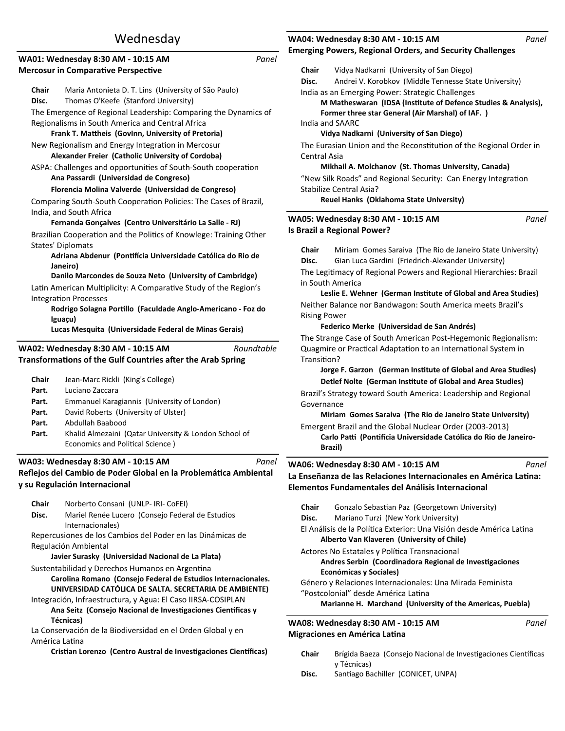# Wednesday

|       | Panel<br>WA01: Wednesday 8:30 AM - 10:15 AM                                                                                  |
|-------|------------------------------------------------------------------------------------------------------------------------------|
|       | <b>Mercosur in Comparative Perspective</b>                                                                                   |
| Chair | Maria Antonieta D. T. Lins (University of São Paulo)                                                                         |
| Disc. | Thomas O'Keefe (Stanford University)                                                                                         |
|       | The Emergence of Regional Leadership: Comparing the Dynamics of                                                              |
|       | Regionalisms in South America and Central Africa                                                                             |
|       | Frank T. Mattheis (GovInn, University of Pretoria)                                                                           |
|       | New Regionalism and Energy Integration in Mercosur<br>Alexander Freier (Catholic University of Cordoba)                      |
|       | ASPA: Challenges and opportunities of South-South cooperation<br>Ana Passardi (Universidad de Congreso)                      |
|       | Florencia Molina Valverde (Universidad de Congreso)                                                                          |
|       | Comparing South-South Cooperation Policies: The Cases of Brazil,                                                             |
|       | India, and South Africa                                                                                                      |
|       | Fernanda Gonçalves (Centro Universitário La Salle - RJ)                                                                      |
|       | Brazilian Cooperation and the Politics of Knowlege: Training Other                                                           |
|       | <b>States' Diplomats</b>                                                                                                     |
|       | Adriana Abdenur (Pontifícia Universidade Católica do Rio de                                                                  |
|       | Janeiro)<br>Danilo Marcondes de Souza Neto (University of Cambridge)                                                         |
|       |                                                                                                                              |
|       | Latin American Multiplicity: A Comparative Study of the Region's<br><b>Integration Processes</b>                             |
|       | Rodrigo Solagna Portillo (Faculdade Anglo-Americano - Foz do                                                                 |
|       | Iguaçu)                                                                                                                      |
|       |                                                                                                                              |
|       | Lucas Mesquita (Universidade Federal de Minas Gerais)                                                                        |
|       |                                                                                                                              |
|       | Roundtable<br>WA02: Wednesday 8:30 AM - 10:15 AM                                                                             |
|       | Transformations of the Gulf Countries after the Arab Spring                                                                  |
| Chair | Jean-Marc Rickli (King's College)                                                                                            |
| Part. | Luciano Zaccara                                                                                                              |
| Part. | Emmanuel Karagiannis (University of London)                                                                                  |
| Part. | David Roberts (University of Ulster)                                                                                         |
| Part. | Abdullah Baabood                                                                                                             |
| Part. | Khalid Almezaini (Qatar University & London School of<br>Economics and Political Science)                                    |
|       |                                                                                                                              |
|       | WA03: Wednesday 8:30 AM - 10:15 AM<br>Panel                                                                                  |
|       | Reflejos del Cambio de Poder Global en la Problemática Ambiental                                                             |
|       | y su Regulación Internacional                                                                                                |
| Chair | Norberto Consani (UNLP- IRI- CoFEI)                                                                                          |
| Disc. | Mariel Renée Lucero (Consejo Federal de Estudios                                                                             |
|       | Internacionales)                                                                                                             |
|       | Repercusiones de los Cambios del Poder en las Dinámicas de                                                                   |
|       | Regulación Ambiental                                                                                                         |
|       | Javier Surasky (Universidad Nacional de La Plata)                                                                            |
|       | Sustentabilidad y Derechos Humanos en Argentina                                                                              |
|       | Carolina Romano (Consejo Federal de Estudios Internacionales.                                                                |
|       | UNIVERSIDAD CATÓLICA DE SALTA. SECRETARIA DE AMBIENTE)                                                                       |
|       | Integración, Infraestructura, y Agua: El Caso IIRSA-COSIPLAN<br>Ana Seitz (Consejo Nacional de Investigaciones Científicas y |

**Técnicas)** La Conservación de la Biodiversidad en el Orden Global y en

América Latina

**Cristian Lorenzo (Centro Austral de Investigaciones Científicas)** 

### **Emerging Powers, Regional Orders, and Security Challenges WA04: Wednesday 8:30 AM - 10:15 AM**

| Chair               | Vidya Nadkarni (University of San Diego)                                   |  |
|---------------------|----------------------------------------------------------------------------|--|
| Disc.               | Andrei V. Korobkov (Middle Tennesse State University)                      |  |
|                     | India as an Emerging Power: Strategic Challenges                           |  |
|                     | M Matheswaran (IDSA (Institute of Defence Studies & Analysis),             |  |
|                     | Former three star General (Air Marshal) of IAF. )                          |  |
|                     | India and SAARC                                                            |  |
|                     | Vidya Nadkarni (University of San Diego)                                   |  |
|                     | The Eurasian Union and the Reconstitution of the Regional Order in         |  |
| Central Asia        |                                                                            |  |
|                     | Mikhail A. Molchanov (St. Thomas University, Canada)                       |  |
|                     | "New Silk Roads" and Regional Security: Can Energy Integration             |  |
|                     | Stabilize Central Asia?                                                    |  |
|                     | Reuel Hanks (Oklahoma State University)                                    |  |
|                     |                                                                            |  |
|                     | WA05: Wednesday 8:30 AM - 10:15 AM<br>Panel<br>Is Brazil a Regional Power? |  |
|                     |                                                                            |  |
| Chair               | Miriam Gomes Saraiva (The Rio de Janeiro State University)                 |  |
| Disc.               | Gian Luca Gardini (Friedrich-Alexander University)                         |  |
|                     | The Legitimacy of Regional Powers and Regional Hierarchies: Brazil         |  |
|                     | in South America                                                           |  |
|                     | Leslie E. Wehner (German Institute of Global and Area Studies)             |  |
|                     |                                                                            |  |
|                     | Neither Balance nor Bandwagon: South America meets Brazil's                |  |
| <b>Rising Power</b> |                                                                            |  |
|                     | Federico Merke (Universidad de San Andrés)                                 |  |
|                     | The Strange Case of South American Post-Hegemonic Regionalism:             |  |
|                     | Quagmire or Practical Adaptation to an International System in             |  |
| Transition?         |                                                                            |  |
|                     | Jorge F. Garzon (German Institute of Global and Area Studies)              |  |
|                     | Detlef Nolte (German Institute of Global and Area Studies)                 |  |
|                     | Brazil's Strategy toward South America: Leadership and Regional            |  |
| Governance          |                                                                            |  |
|                     | Miriam Gomes Saraiva (The Rio de Janeiro State University)                 |  |
|                     | Emergent Brazil and the Global Nuclear Order (2003-2013)                   |  |
|                     | Carlo Patti (Pontifícia Universidade Católica do Rio de Janeiro-           |  |
|                     | Brazil)                                                                    |  |
|                     |                                                                            |  |
|                     | WA06: Wednesday 8:30 AM - 10:15 AM<br>Panel                                |  |
|                     | La Enseñanza de las Relaciones Internacionales en América Latina:          |  |
|                     |                                                                            |  |
|                     | Elementos Fundamentales del Análisis Internacional                         |  |
|                     |                                                                            |  |
| Chair               | Gonzalo Sebastian Paz (Georgetown University)                              |  |
| Disc.               | Mariano Turzi (New York University)                                        |  |
|                     | El Análisis de la Política Exterior: Una Visión desde América Latina       |  |
|                     | Alberto Van Klaveren (University of Chile)                                 |  |
|                     | Actores No Estatales y Política Transnacional                              |  |
|                     | Andres Serbin (Coordinadora Regional de Investigaciones                    |  |
|                     | <b>Económicas y Sociales)</b>                                              |  |
|                     | Género y Relaciones Internacionales: Una Mirada Feminista                  |  |
|                     | "Postcolonial" desde América Latina                                        |  |
|                     | Marianne H. Marchand (University of the Americas, Puebla)                  |  |

- Chair Brígida Baeza (Consejo Nacional de Investigaciones Científicas y Técnicas)
- Disc. Santiago Bachiller (CONICET, UNPA)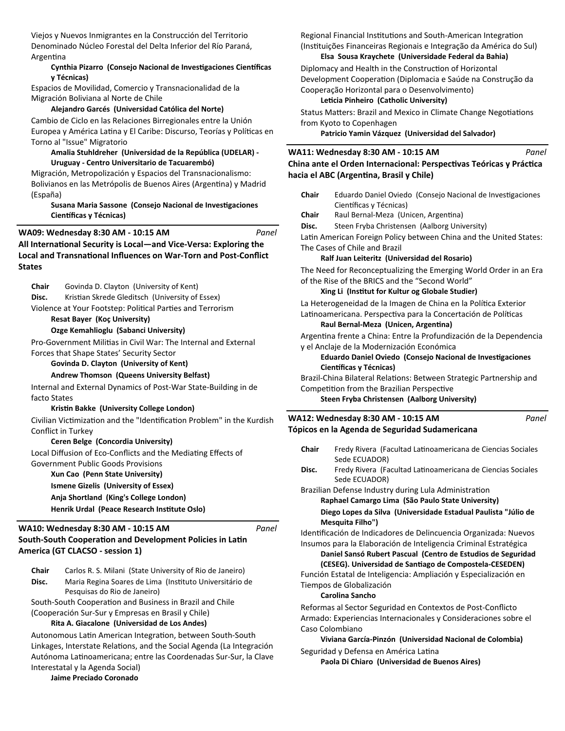Viejos y Nuevos Inmigrantes en la Construcción del Territorio Denominado Núcleo Forestal del Delta Inferior del Río Paraná, ArgenƟna

### **Cynthia Pizarro (Consejo Nacional de Investigaciones Científicas y Técnicas)**

Espacios de Movilidad, Comercio y Transnacionalidad de la Migración Boliviana al Norte de Chile

### **Alejandro Garcés (Universidad Católica del Norte)**

Cambio de Ciclo en las Relaciones Birregionales entre la Unión Europea y América Latina y El Caribe: Discurso, Teorías y Políticas en Torno al "Issue" Migratorio

### **Amalia Stuhldreher (Universidad de la República (UDELAR) - Uruguay - Centro Universitario de Tacuarembó)**

Migración, Metropolización y Espacios del Transnacionalismo: Bolivianos en las Metrópolis de Buenos Aires (Argentina) y Madrid (España)

### **Susana Maria Sassone (Consejo Nacional de Investigaciones Científicas y Técnicas)**

All International Security is Local—and Vice-Versa: Exploring the **Local and Transnational Influences on War-Torn and Post-Conflict States WA09: Wednesday 8:30 AM - 10:15 AM** *Panel*

**Chair** Govinda D. Clayton (University of Kent) **Disc.** Kristian Skrede Gleditsch (University of Essex) Violence at Your Footstep: Political Parties and Terrorism **Resat Bayer (Koç University) Ozge Kemahlioglu (Sabanci University)** Pro-Government Militias in Civil War: The Internal and External Forces that Shape States' Security Sector **Govinda D. Clayton (University of Kent) Andrew Thomson (Queens University Belfast)** Internal and External Dynamics of Post-War State-Building in de facto States **KrisƟn Bakke (University College London)** Civilian Victimization and the "Identification Problem" in the Kurdish Conflict in Turkey **Ceren Belge (Concordia University)** Local Diffusion of Eco-Conflicts and the Mediating Effects of Government Public Goods Provisions **Xun Cao (Penn State University)**

**Ismene Gizelis (University of Essex)**

**Anja Shortland (King's College London)**

**Henrik Urdal (Peace Research Institute Oslo)** 

## South-South Cooperation and Development Policies in Latin **America (GT CLACSO - session 1) WA10: Wednesday 8:30 AM - 10:15 AM**

Disc. Maria Regina Soares de Lima (Instituto Universitário de Pesquisas do Rio de Janeiro)

South-South Cooperation and Business in Brazil and Chile

(Cooperación Sur-Sur y Empresas en Brasil y Chile)

**Rita A. Giacalone (Universidad de Los Andes)**

Autonomous Latin American Integration, between South-South Linkages, Interstate Relations, and the Social Agenda (La Integración Autónoma LaƟnoamericana; entre las Coordenadas Sur-Sur, la Clave Interestatal y la Agenda Social)

**Jaime Preciado Coronado** 

Regional Financial Institutions and South-American Integration (Instituições Financeiras Regionais e Integração da América do Sul)

### **Elsa Sousa Kraychete (Universidade Federal da Bahia)**

Diplomacy and Health in the Construction of Horizontal Development Cooperation (Diplomacia e Saúde na Construção da Cooperação Horizontal para o Desenvolvimento)

**Leticia Pinheiro (Catholic University)** 

Status Matters: Brazil and Mexico in Climate Change Negotiations from Kyoto to Copenhagen

**Patricio Yamin Vázquez (Universidad del Salvador)**

#### **China ante el Orden Internacional: Perspectivas Teóricas y Práctica hacia el ABC (ArgenƟna, Brasil y Chile) WA11: Wednesday 8:30 AM - 10:15 AM** *Panel*

| Eduardo Daniel Oviedo (Consejo Nacional de Investigaciones                   |                                                                                                                                                                                                                                                                                                                                                                                                                                                                                                                                                                                                                                                                                                                                                                                                                                                                                                                                                                                                                                                         |
|------------------------------------------------------------------------------|---------------------------------------------------------------------------------------------------------------------------------------------------------------------------------------------------------------------------------------------------------------------------------------------------------------------------------------------------------------------------------------------------------------------------------------------------------------------------------------------------------------------------------------------------------------------------------------------------------------------------------------------------------------------------------------------------------------------------------------------------------------------------------------------------------------------------------------------------------------------------------------------------------------------------------------------------------------------------------------------------------------------------------------------------------|
| Científicas y Técnicas)                                                      |                                                                                                                                                                                                                                                                                                                                                                                                                                                                                                                                                                                                                                                                                                                                                                                                                                                                                                                                                                                                                                                         |
| Raul Bernal-Meza (Unicen, Argentina)                                         |                                                                                                                                                                                                                                                                                                                                                                                                                                                                                                                                                                                                                                                                                                                                                                                                                                                                                                                                                                                                                                                         |
| Steen Fryba Christensen (Aalborg University)                                 |                                                                                                                                                                                                                                                                                                                                                                                                                                                                                                                                                                                                                                                                                                                                                                                                                                                                                                                                                                                                                                                         |
|                                                                              |                                                                                                                                                                                                                                                                                                                                                                                                                                                                                                                                                                                                                                                                                                                                                                                                                                                                                                                                                                                                                                                         |
|                                                                              |                                                                                                                                                                                                                                                                                                                                                                                                                                                                                                                                                                                                                                                                                                                                                                                                                                                                                                                                                                                                                                                         |
|                                                                              |                                                                                                                                                                                                                                                                                                                                                                                                                                                                                                                                                                                                                                                                                                                                                                                                                                                                                                                                                                                                                                                         |
|                                                                              |                                                                                                                                                                                                                                                                                                                                                                                                                                                                                                                                                                                                                                                                                                                                                                                                                                                                                                                                                                                                                                                         |
|                                                                              |                                                                                                                                                                                                                                                                                                                                                                                                                                                                                                                                                                                                                                                                                                                                                                                                                                                                                                                                                                                                                                                         |
|                                                                              |                                                                                                                                                                                                                                                                                                                                                                                                                                                                                                                                                                                                                                                                                                                                                                                                                                                                                                                                                                                                                                                         |
|                                                                              |                                                                                                                                                                                                                                                                                                                                                                                                                                                                                                                                                                                                                                                                                                                                                                                                                                                                                                                                                                                                                                                         |
|                                                                              |                                                                                                                                                                                                                                                                                                                                                                                                                                                                                                                                                                                                                                                                                                                                                                                                                                                                                                                                                                                                                                                         |
|                                                                              |                                                                                                                                                                                                                                                                                                                                                                                                                                                                                                                                                                                                                                                                                                                                                                                                                                                                                                                                                                                                                                                         |
|                                                                              |                                                                                                                                                                                                                                                                                                                                                                                                                                                                                                                                                                                                                                                                                                                                                                                                                                                                                                                                                                                                                                                         |
|                                                                              |                                                                                                                                                                                                                                                                                                                                                                                                                                                                                                                                                                                                                                                                                                                                                                                                                                                                                                                                                                                                                                                         |
|                                                                              |                                                                                                                                                                                                                                                                                                                                                                                                                                                                                                                                                                                                                                                                                                                                                                                                                                                                                                                                                                                                                                                         |
|                                                                              |                                                                                                                                                                                                                                                                                                                                                                                                                                                                                                                                                                                                                                                                                                                                                                                                                                                                                                                                                                                                                                                         |
|                                                                              |                                                                                                                                                                                                                                                                                                                                                                                                                                                                                                                                                                                                                                                                                                                                                                                                                                                                                                                                                                                                                                                         |
|                                                                              |                                                                                                                                                                                                                                                                                                                                                                                                                                                                                                                                                                                                                                                                                                                                                                                                                                                                                                                                                                                                                                                         |
| Panel                                                                        |                                                                                                                                                                                                                                                                                                                                                                                                                                                                                                                                                                                                                                                                                                                                                                                                                                                                                                                                                                                                                                                         |
|                                                                              |                                                                                                                                                                                                                                                                                                                                                                                                                                                                                                                                                                                                                                                                                                                                                                                                                                                                                                                                                                                                                                                         |
|                                                                              |                                                                                                                                                                                                                                                                                                                                                                                                                                                                                                                                                                                                                                                                                                                                                                                                                                                                                                                                                                                                                                                         |
| Sede ECUADOR)                                                                |                                                                                                                                                                                                                                                                                                                                                                                                                                                                                                                                                                                                                                                                                                                                                                                                                                                                                                                                                                                                                                                         |
| Fredy Rivera (Facultad Latinoamericana de Ciencias Sociales<br>Sede ECUADOR) |                                                                                                                                                                                                                                                                                                                                                                                                                                                                                                                                                                                                                                                                                                                                                                                                                                                                                                                                                                                                                                                         |
|                                                                              | Latin American Foreign Policy between China and the United States:<br>The Cases of Chile and Brazil<br>Ralf Juan Leiteritz (Universidad del Rosario)<br>The Need for Reconceptualizing the Emerging World Order in an Era<br>of the Rise of the BRICS and the "Second World"<br>Xing Li (Institut for Kultur og Globale Studier)<br>La Heterogeneidad de la Imagen de China en la Política Exterior<br>Latinoamericana. Perspectiva para la Concertación de Políticas<br>Raul Bernal-Meza (Unicen, Argentina)<br>Argentina frente a China: Entre la Profundización de la Dependencia<br>y el Anclaje de la Modernización Económica<br>Eduardo Daniel Oviedo (Consejo Nacional de Investigaciones<br>Científicas y Técnicas)<br>Brazil-China Bilateral Relations: Between Strategic Partnership and<br>Competition from the Brazilian Perspective<br>Steen Fryba Christensen (Aalborg University)<br>WA12: Wednesday 8:30 AM - 10:15 AM<br>Tópicos en la Agenda de Seguridad Sudamericana<br>Fredy Rivera (Facultad Latinoamericana de Ciencias Sociales |

Brazilian Defense Industry during Lula Administration

**Raphael Camargo Lima (São Paulo State University)**

**Diego Lopes da Silva (Universidade Estadual Paulista "Júlio de Mesquita Filho")**

Identificación de Indicadores de Delincuencia Organizada: Nuevos Insumos para la Elaboración de Inteligencia Criminal Estratégica

**Daniel Sansó Rubert Pascual (Centro de Estudios de Seguridad (CESEG). Universidad de SanƟago de Compostela-CESEDEN)**

Función Estatal de Inteligencia: Ampliación y Especialización en Tiempos de Globalización

**Carolina Sancho** 

*Panel*

Reformas al Sector Seguridad en Contextos de Post-Conflicto Armado: Experiencias Internacionales y Consideraciones sobre el Caso Colombiano

**Viviana García-Pinzón (Universidad Nacional de Colombia)** Seguridad y Defensa en América Latina

**Paola Di Chiaro (Universidad de Buenos Aires)**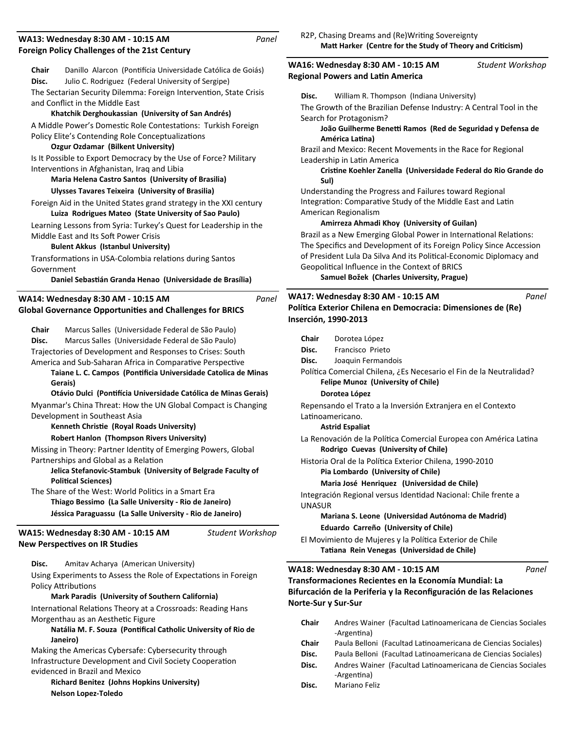#### **Foreign Policy Challenges of the 21st Century WA13: Wednesday 8:30 AM - 10:15 AM Chair** Danillo Alarcon (PonƟİcia Universidade Católica de Goiás) **Disc.** Julio C. Rodriguez (Federal University of Sergipe) *Panel* The Sectarian Security Dilemma: Foreign Intervention, State Crisis and Conflict in the Middle East **Khatchik Derghoukassian (University of San Andrés)** A Middle Power's Domestic Role Contestations: Turkish Foreign Policy Elite's Contending Role Conceptualizations **Ozgur Ozdamar (Bilkent University)** Is It Possible to Export Democracy by the Use of Force? Military Interventions in Afghanistan, Iraq and Libia **Maria Helena Castro Santos (University of Brasilia) Ulysses Tavares Teixeira (University of Brasilia)** Foreign Aid in the United States grand strategy in the XXI century **Luiza Rodrigues Mateo (State University of Sao Paulo)** Learning Lessons from Syria: Turkey's Quest for Leadership in the Middle East and Its Soft Power Crisis **Bulent Akkus (Istanbul University)** Transformations in USA-Colombia relations during Santos Government **Daniel SebasƟán Granda Henao (Universidade de Brasília) Global Governance OpportuniƟes and Challenges for BRICS WA14: Wednesday 8:30 AM - 10:15 AM Chair** Marcus Salles (Universidade Federal de São Paulo) **Disc.** Marcus Salles (Universidade Federal de São Paulo) *Panel* Trajectories of Development and Responses to Crises: South America and Sub-Saharan Africa in Comparative Perspective Taiane L. C. Campos (Pontificia Universidade Catolica de Minas **Gerais) Otávio Dulci (PonƟİcia Universidade Católica de Minas Gerais)** Myanmar's China Threat: How the UN Global Compact is Changing Development in Southeast Asia **Kenneth ChrisƟe (Royal Roads University) Robert Hanlon (Thompson Rivers University)** Missing in Theory: Partner Identity of Emerging Powers, Global Partnerships and Global as a Relation **Jelica Stefanovic-Stambuk (University of Belgrade Faculty of PoliƟcal Sciences)** The Share of the West: World Politics in a Smart Era **Thiago Bessimo (La Salle University - Rio de Janeiro) Jéssica Paraguassu (La Salle University - Rio de Janeiro) New Perspectives on IR Studies WA15: Wednesday 8:30 AM - 10:15 AM Disc.** Amitav Acharya (American University) *Student Workshop* Using Experiments to Assess the Role of Expectations in Foreign Policy Attributions **Mark Paradis (University of Southern California)** International Relations Theory at a Crossroads: Reading Hans Morgenthau as an Aesthetic Figure **Natália M. F. Souza (Pontifical Catholic University of Rio de Janeiro)** Making the Americas Cybersafe: Cybersecurity through Infrastructure Development and Civil Society Cooperation evidenced in Brazil and Mexico **Richard Benitez (Johns Hopkins University)** R2P, Chasing Dreams and (Re)Writing Sovereignty Matt Harker (Centre for the Study of Theory and Criticism) **Regional Powers and LaƟn America WA16: Wednesday 8:30 AM - 10:15 AM Disc.** William R. Thompson (Indiana University) *Student Workshop* The Growth of the Brazilian Defense Industry: A Central Tool in the Search for Protagonism? João Guilherme Benetti Ramos (Red de Seguridad y Defensa de **América LaƟna)** Brazil and Mexico: Recent Movements in the Race for Regional Leadership in Latin America **CrisƟne Koehler Zanella (Universidade Federal do Rio Grande do Sul)** Understanding the Progress and Failures toward Regional Integration: Comparative Study of the Middle East and Latin American Regionalism **Amirreza Ahmadi Khoy (University of Guilan)** Brazil as a New Emerging Global Power in International Relations: The Specifics and Development of its Foreign Policy Since Accession of President Lula Da Silva And its Political-Economic Diplomacy and Geopolitical Influence in the Context of BRICS **Samuel Božek (Charles University, Prague) PolíƟca Exterior Chilena en Democracia: Dimensiones de (Re) Inserción, 1990-2013 WA17: Wednesday 8:30 AM - 10:15 AM Chair** Dorotea López **Disc.** Francisco Prieto **Disc.** Joaquin Fermandois *Panel* Política Comercial Chilena, ¿Es Necesario el Fin de la Neutralidad? **Felipe Munoz (University of Chile) Dorotea López**  Repensando el Trato a la Inversión Extranjera en el Contexto Latinoamericano. **Astrid Espaliat**  La Renovación de la Política Comercial Europea con América Latina **Rodrigo Cuevas (University of Chile)** Historia Oral de la Política Exterior Chilena, 1990-2010 **Pia Lombardo (University of Chile) Maria José Henriquez (Universidad de Chile)** Integración Regional versus Identidad Nacional: Chile frente a UNASUR **Mariana S. Leone (Universidad Autónoma de Madrid) Eduardo Carreño (University of Chile)** El Movimiento de Mujeres y la Política Exterior de Chile **TaƟana Rein Venegas (Universidad de Chile) Transformaciones Recientes en la Economía Mundial: La Bifurcación de la Periferia y la Reconfiguración de las Relaciones Norte-Sur y Sur-Sur WA18: Wednesday 8:30 AM - 10:15 AM** Chair Andres Wainer (Facultad Latinoamericana de Ciencias Sociales -Argentina) **Chair** Paula Belloni (Facultad Latinoamericana de Ciencias Sociales) Disc. Paula Belloni (Facultad Latinoamericana de Ciencias Sociales) Disc. Andres Wainer (Facultad Latinoamericana de Ciencias Sociales -Argentina) **Disc.** Mariano Feliz *Panel*

**Nelson Lopez-Toledo**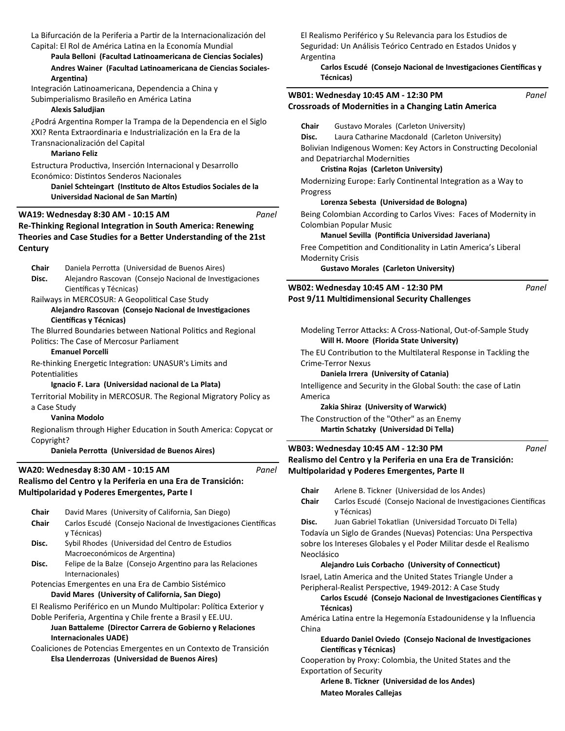La Bifurcación de la Periferia a Partir de la Internacionalización del Capital: El Rol de América Latina en la Economía Mundial

### Paula Belloni (Facultad Latinoamericana de Ciencias Sociales) Andres Wainer (Facultad Latinoamericana de Ciencias Sociales-**ArgenƟna)**

Integración Latinoamericana, Dependencia a China y Subimperialismo Brasileño en América Latina

### **Alexis Saludjian**

¿Podrá Argentina Romper la Trampa de la Dependencia en el Siglo XXI? Renta Extraordinaria e Industrialización en la Era de la Transnacionalización del Capital

### **Mariano Feliz**

Estructura ProducƟva, Inserción Internacional y Desarrollo Económico: Distintos Senderos Nacionales

**Daniel Schteingart (InsƟtuto de Altos Estudios Sociales de la Universidad Nacional de San Martín)** 

```
Panel
```
**Re-Thinking Regional Integration in South America: Renewing Theories and Case Studies for a Better Understanding of the 21st Century WA19: Wednesday 8:30 AM - 10:15 AM**

| Chair | Daniela Perrotta (Universidad de Buenos Aires) |  |
|-------|------------------------------------------------|--|
|       |                                                |  |

Disc. Alejandro Rascovan (Consejo Nacional de Investigaciones Científicas y Técnicas)

Railways in MERCOSUR: A Geopolitical Case Study

### Alejandro Rascovan (Consejo Nacional de Investigaciones **Científicas y Técnicas)**

The Blurred Boundaries between National Politics and Regional Politics: The Case of Mercosur Parliament

**Emanuel Porcelli** 

Re-thinking Energetic Integration: UNASUR's Limits and Potentialities

### **Ignacio F. Lara (Universidad nacional de La Plata)**

Territorial Mobility in MERCOSUR. The Regional Migratory Policy a a Case Study

### **Vanina Modolo**

Regionalism through Higher Education in South America: Copycat Copyright?

### **Daniela PerroƩa (Universidad de Buenos Aires)**

| WA20: Wednesday 8:30 AM - 10:15 AM                           |
|--------------------------------------------------------------|
| Realismo del Centro y la Periferia en una Era de Transición: |
| Multipolaridad y Poderes Emergentes, Parte I                 |

| Chair | David Mares (University of California, San Diego)                  |
|-------|--------------------------------------------------------------------|
| Chair | Carlos Escudé (Consejo Nacional de Investigaciones Científicas     |
|       | y Técnicas)                                                        |
| Disc. | Sybil Rhodes (Universidad del Centro de Estudios                   |
|       | Macroeconómicos de Argentina)                                      |
| Disc. | Felipe de la Balze (Consejo Argentino para las Relaciones          |
|       | Internacionales)                                                   |
|       | Potencias Emergentes en una Era de Cambio Sistémico                |
|       | David Mares (University of California, San Diego)                  |
|       | El Realismo Periférico en un Mundo Multipolar: Política Exterior y |
|       | Doble Periferia, Argentina y Chile frente a Brasil y EE.UU.        |

### **Juan Battaleme (Director Carrera de Gobierno y Relaciones Internacionales UADE)**

Coaliciones de Potencias Emergentes en un Contexto de Transición **Elsa Llenderrozas (Universidad de Buenos Aires)**

El Realismo Periférico y Su Relevancia para los Estudios de Seguridad: Un Análisis Teórico Centrado en Estados Unidos y **Argentina** 

**Carlos Escudé (Consejo Nacional de Investigaciones Científicas y Técnicas)**

|          |            | recnicas)                                                                                     |       |
|----------|------------|-----------------------------------------------------------------------------------------------|-------|
|          |            | WB01: Wednesday 10:45 AM - 12:30 PM                                                           | Panel |
|          |            | <b>Crossroads of Modernities in a Changing Latin America</b>                                  |       |
| iglo     | Chair      | Gustavo Morales (Carleton University)                                                         |       |
|          | Disc.      | Laura Catharine Macdonald (Carleton University)                                               |       |
|          |            |                                                                                               |       |
|          |            | Bolivian Indigenous Women: Key Actors in Constructing Decolonial                              |       |
|          |            | and Depatriarchal Modernities                                                                 |       |
|          |            | Cristina Rojas (Carleton University)                                                          |       |
| а        | Progress   | Modernizing Europe: Early Continental Integration as a Way to                                 |       |
|          |            | Lorenza Sebesta (Universidad de Bologna)                                                      |       |
| Panel    |            | Being Colombian According to Carlos Vives: Faces of Modernity in                              |       |
|          |            | Colombian Popular Music                                                                       |       |
| 1st      |            | Manuel Sevilla (Pontificia Universidad Javeriana)                                             |       |
|          |            | Free Competition and Conditionality in Latin America's Liberal                                |       |
|          |            | <b>Modernity Crisis</b>                                                                       |       |
|          |            | <b>Gustavo Morales (Carleton University)</b>                                                  |       |
| 9Ś       |            | WB02: Wednesday 10:45 AM - 12:30 PM                                                           | Panel |
|          |            | Post 9/11 Multidimensional Security Challenges                                                |       |
|          |            |                                                                                               |       |
|          |            | Modeling Terror Attacks: A Cross-National, Out-of-Sample Study                                |       |
|          |            | Will H. Moore (Florida State University)                                                      |       |
|          |            |                                                                                               |       |
|          |            | The EU Contribution to the Multilateral Response in Tackling the<br><b>Crime-Terror Nexus</b> |       |
|          |            |                                                                                               |       |
|          |            | Daniela Irrera (University of Catania)                                                        |       |
|          |            | Intelligence and Security in the Global South: the case of Latin                              |       |
| cy as    | America    |                                                                                               |       |
|          |            | Zakia Shiraz (University of Warwick)                                                          |       |
|          |            | The Construction of the "Other" as an Enemy                                                   |       |
| cat or:  |            | Martin Schatzky (Universidad Di Tella)                                                        |       |
|          |            | WB03: Wednesday 10:45 AM - 12:30 PM                                                           | Panel |
|          |            | Realismo del Centro y la Periferia en una Era de Transición:                                  |       |
| Panel    |            | Multipolaridad y Poderes Emergentes, Parte II                                                 |       |
|          |            | Chair Arlene B. Tickner (Universidad de los Andes)                                            |       |
|          | Chair      | Carlos Escudé (Consejo Nacional de Investigaciones Científicas                                |       |
|          |            | y Técnicas)                                                                                   |       |
| ıtíficas | Disc.      | Juan Gabriel Tokatlian (Universidad Torcuato Di Tella)                                        |       |
|          |            | Todavía un Siglo de Grandes (Nuevas) Potencias: Una Perspectiva                               |       |
|          |            | sobre los Intereses Globales y el Poder Militar desde el Realismo                             |       |
|          | Neoclásico |                                                                                               |       |
| S        |            | Alejandro Luis Corbacho (University of Connecticut)                                           |       |
|          |            | Israel, Latin America and the United States Triangle Under a                                  |       |
|          |            | Peripheral-Realist Perspective, 1949-2012: A Case Study                                       |       |
|          |            | Carlos Escudé (Consejo Nacional de Investigaciones Científicas y                              |       |
| r y      |            | Técnicas)                                                                                     |       |
|          |            | América Latina entre la Hegemonía Estadounidense y la Influencia                              |       |

América Latina entre la Hegemonia Estadounidense y la Influencia China

### **Eduardo Daniel Oviedo (Consejo Nacional de Investigaciones Científicas y Técnicas)**

Cooperation by Proxy: Colombia, the United States and the Exportation of Security

**Arlene B. Tickner (Universidad de los Andes)**

**Mateo Morales Callejas**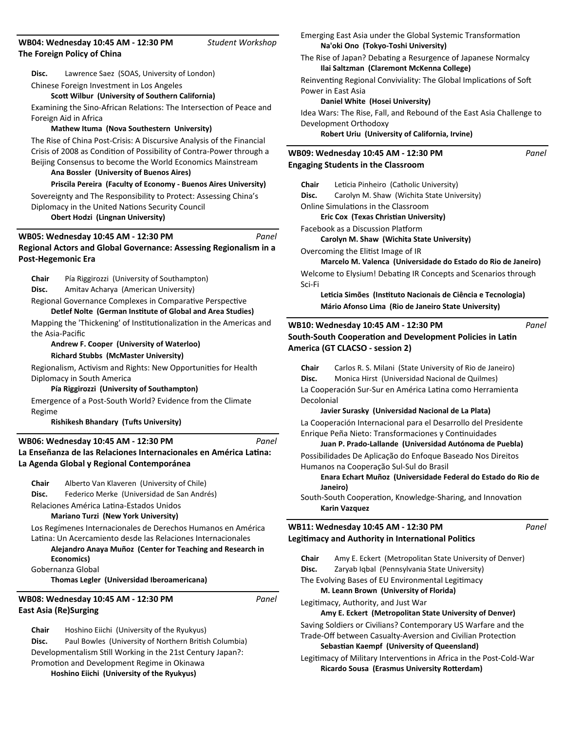**Disc.** Lawrence Saez (SOAS, University of London) Chinese Foreign Investment in Los Angeles

**ScoƩ Wilbur (University of Southern California)**

Examining the Sino-African Relations: The Intersection of Peace and Foreign Aid in Africa

*Student Workshop*

#### **Mathew Ituma (Nova Southestern University)**

The Rise of China Post-Crisis: A Discursive Analysis of the Financial Crisis of 2008 as Condition of Possibility of Contra-Power through a Beijing Consensus to become the World Economics Mainstream

### **Ana Bossler (University of Buenos Aires)**

**Priscila Pereira (Faculty of Economy - Buenos Aires University)** Sovereignty and The Responsibility to Protect: Assessing China's Diplomacy in the United Nations Security Council **Obert Hodzi (Lingnan University)**

#### **Regional Actors and Global Governance: Assessing Regionalism in a Post-Hegemonic Era WB05: Wednesday 10:45 AM - 12:30 PM** *Panel*

**Chair** Pía Riggirozzi (University of Southampton) **Disc.** Amitav Acharya (American University)

Regional Governance Complexes in Comparative Perspective

**Detlef Nolte (German InsƟtute of Global and Area Studies)** Mapping the 'Thickening' of Institutionalization in the Americas and the Asia-Pacific

**Andrew F. Cooper (University of Waterloo)**

#### **Richard Stubbs (McMaster University)**

Regionalism, Activism and Rights: New Opportunities for Health Diplomacy in South America

#### **Pía Riggirozzi (University of Southampton)**

Emergence of a Post-South World? Evidence from the Climate Regime

**Rishikesh Bhandary (Tufts University)** 

#### La Enseñanza de las Relaciones Internacionales en América Latina: **La Agenda Global y Regional Contemporánea WB06: Wednesday 10:45 AM - 12:30 PM** *Panel*

**Chair** Alberto Van Klaveren (University of Chile) **Disc.** Federico Merke (Universidad de San Andrés) Relaciones América LaƟna-Estados Unidos

**Mariano Turzi (New York University)**

Los Regímenes Internacionales de Derechos Humanos en América Latina: Un Acercamiento desde las Relaciones Internacionales **Alejandro Anaya Muñoz (Center for Teaching and Research in** 

**Economics)**

Gobernanza Global

**Thomas Legler (Universidad Iberoamericana)**

## **East Asia (Re)Surging WB08: Wednesday 10:45 AM - 12:30 PM**

**Chair** Hoshino Eiichi (University of the Ryukyus) **Disc.** Paul Bowles (University of Northern British Columbia) Developmentalism Still Working in the 21st Century Japan?: Promotion and Development Regime in Okinawa **Hoshino Eiichi (University of the Ryukyus)**

Emerging East Asia under the Global Systemic Transformation **Na'oki Ono (Tokyo-Toshi University)**

The Rise of Japan? Debating a Resurgence of Japanese Normalcy **Ilai Saltzman (Claremont McKenna College)**

Reinventing Regional Conviviality: The Global Implications of Soft Power in East Asia

### **Daniel White (Hosei University)**

Idea Wars: The Rise, Fall, and Rebound of the East Asia Challenge to Development Orthodoxy

*Panel*

*Panel*

*Panel*

**Robert Uriu (University of California, Irvine)**

### **Engaging Students in the Classroom WB09: Wednesday 10:45 AM - 12:30 PM**

**Chair** Leticia Pinheiro (Catholic University) **Disc.** Carolyn M. Shaw (Wichita State University) Online Simulations in the Classroom

**Eric Cox (Texas Christian University)** 

Facebook as a Discussion Platform

**Carolyn M. Shaw (Wichita State University)**

Overcoming the Elitist Image of IR

**Marcelo M. Valenca (Universidade do Estado do Rio de Janeiro)** Welcome to Elysium! Debating IR Concepts and Scenarios through Sci-Fi

**LeƟcia Simões (InsƟtuto Nacionais de Ciência e Tecnologia) Mário Afonso Lima (Rio de Janeiro State University)**

## **South-South Cooperation and Development Policies in Latin America (GT CLACSO - session 2) WB10: Wednesday 10:45 AM - 12:30 PM**

**Chair** Carlos R. S. Milani (State University of Rio de Janeiro) **Disc.** Monica Hirst (Universidad Nacional de Quilmes) La Cooperación Sur-Sur en América Latina como Herramienta Decolonial

**Javier Surasky (Universidad Nacional de La Plata)**

La Cooperación Internacional para el Desarrollo del Presidente Enrique Peña Nieto: Transformaciones y Continuidades

**Juan P. Prado-Lallande (Universidad Autónoma de Puebla)**

Possibilidades De Aplicação do Enfoque Baseado Nos Direitos Humanos na Cooperação Sul-Sul do Brasil

**Enara Echart Muñoz (Universidade Federal do Estado do Rio de Janeiro)**

South-South Cooperation, Knowledge-Sharing, and Innovation **Karin Vazquez** 

### **Legitimacy and Authority in International Politics WB11: Wednesday 10:45 AM - 12:30 PM**

| Chair | Amy E. Eckert (Metropolitan State University of Denver)             |
|-------|---------------------------------------------------------------------|
| Disc. | Zaryab Iqbal (Pennsylvania State University)                        |
|       | The Evolving Bases of EU Environmental Legitimacy                   |
|       | M. Leann Brown (University of Florida)                              |
|       | Legitimacy, Authority, and Just War                                 |
|       | Amy E. Eckert (Metropolitan State University of Denver)             |
|       | Saving Soldiers or Civilians? Contemporary US Warfare and the       |
|       | Trade-Off between Casualty-Aversion and Civilian Protection         |
|       | Sebastian Kaempf (University of Queensland)                         |
|       | Legitimacy of Military Interventions in Africa in the Post-Cold-War |
|       | <b>Ricardo Sousa (Erasmus University Rotterdam)</b>                 |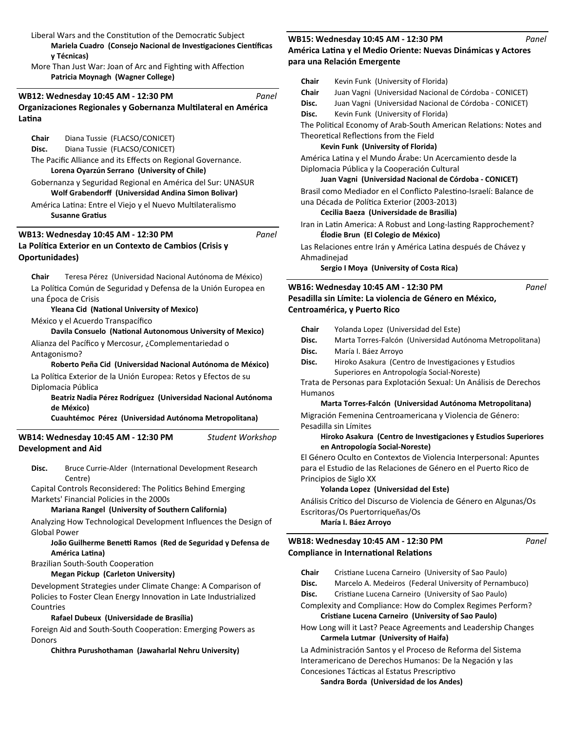Liberal Wars and the Constitution of the Democratic Subject

**Mariela Cuadro (Consejo Nacional de Investigaciones Científicas y Técnicas)** More Than Just War: Joan of Arc and Fighting with Affection

**Patricia Moynagh (Wagner College)**

#### **Organizaciones Regionales y Gobernanza MulƟlateral en América LaƟna WB12: Wednesday 10:45 AM - 12:30 PM** *Panel*

**Chair** Diana Tussie (FLACSO/CONICET) **Disc.** Diana Tussie (FLACSO/CONICET)

The Pacific Alliance and its Effects on Regional Governance. **Lorena Oyarzún Serrano (University of Chile)**

Gobernanza y Seguridad Regional en América del Sur: UNASUR **Wolf Grabendorī (Universidad Andina Simon Bolivar)**

América Latina: Entre el Viejo y el Nuevo Multilateralismo **Susanne GraƟus** 

### **La PolíƟca Exterior en un Contexto de Cambios (Crisis y Oportunidades) WB13: Wednesday 10:45 AM - 12:30 PM**

**Chair** Teresa Pérez (Universidad Nacional Autónoma de México) La Política Común de Seguridad y Defensa de la Unión Europea en una Época de Crisis

*Panel*

**Yleana Cid (National University of Mexico)** 

México y el Acuerdo Transpacífico

**Davila Consuelo (NaƟonal Autonomous University of Mexico)** Alianza del Pacífico y Mercosur, ¿Complementariedad o

Antagonismo?

**Roberto Peña Cid (Universidad Nacional Autónoma de México)** La Política Exterior de la Unión Europea: Retos y Efectos de su Diplomacia Pública

**Beatriz Nadia Pérez Rodríguez (Universidad Nacional Autónoma de México)**

**Cuauhtémoc Pérez (Universidad Autónoma Metropolitana)**

**Development and Aid WB14: Wednesday 10:45 AM - 12:30 PM** *Student Workshop*

Disc. Bruce Currie-Alder (International Development Research Centre)

Capital Controls Reconsidered: The Politics Behind Emerging Markets' Financial Policies in the 2000s

### **Mariana Rangel (University of Southern California)**

Analyzing How Technological Development Influences the Design of Global Power

### João Guilherme Benetti Ramos (Red de Seguridad y Defensa de **América LaƟna)**

Brazilian South-South Cooperation

### **Megan Pickup (Carleton University)**

Development Strategies under Climate Change: A Comparison of Policies to Foster Clean Energy Innovation in Late Industrialized Countries

### **Rafael Dubeux (Universidade de Brasília)**

Foreign Aid and South-South Cooperation: Emerging Powers as Donors

### **Chithra Purushothaman (Jawaharlal Nehru University)**

#### **América LaƟna y el Medio Oriente: Nuevas Dinámicas y Actores para una Relación Emergente WB15: Wednesday 10:45 AM - 12:30 PM** *Panel*

| Chair       | Kevin Funk (University of Florida)                                 |       |
|-------------|--------------------------------------------------------------------|-------|
| Chair       | Juan Vagni (Universidad Nacional de Córdoba - CONICET)             |       |
| Disc.       | Juan Vagni (Universidad Nacional de Córdoba - CONICET)             |       |
| Disc.       | Kevin Funk (University of Florida)                                 |       |
|             | The Political Economy of Arab-South American Relations: Notes and  |       |
|             | Theoretical Reflections from the Field                             |       |
|             | Kevin Funk (University of Florida)                                 |       |
|             | América Latina y el Mundo Árabe: Un Acercamiento desde la          |       |
|             | Diplomacia Pública y la Cooperación Cultural                       |       |
|             | Juan Vagni (Universidad Nacional de Córdoba - CONICET)             |       |
|             | Brasil como Mediador en el Conflicto Palestino-Israelí: Balance de |       |
|             | una Década de Política Exterior (2003-2013)                        |       |
|             | Cecilia Baeza (Universidade de Brasilia)                           |       |
|             | Iran in Latin America: A Robust and Long-lasting Rapprochement?    |       |
|             | Élodie Brun (El Colegio de México)                                 |       |
|             | Las Relaciones entre Irán y América Latina después de Chávez y     |       |
| Ahmadinejad |                                                                    |       |
|             | Sergio I Moya (University of Costa Rica)                           |       |
|             | WB16: Wednesday 10:45 AM - 12:30 PM                                | Panel |
|             | Pesadilla sin Límite: La violencia de Género en México,            |       |
|             | Centroamérica, y Puerto Rico                                       |       |
|             |                                                                    |       |
| Chair       | Yolanda Lopez (Universidad del Este)                               |       |
| Disc.       | Marta Torres-Falcón (Universidad Autónoma Metropolitana)           |       |
| Disc.       | María I. Báez Arroyo                                               |       |
| Disc.       | Hiroko Asakura (Centro de Investigaciones y Estudios               |       |
|             | Superiores en Antropología Social-Noreste)                         |       |

Trata de Personas para Explotación Sexual: Un Análisis de Derechos Humanos

### **Marta Torres-Falcón (Universidad Autónoma Metropolitana)**

Migración Femenina Centroamericana y Violencia de Género: Pesadilla sin Límites

### **Hiroko Asakura (Centro de InvesƟgaciones y Estudios Superiores en Antropología Social-Noreste)**

El Género Oculto en Contextos de Violencia Interpersonal: Apuntes para el Estudio de las Relaciones de Género en el Puerto Rico de Principios de Siglo XX

### **Yolanda Lopez (Universidad del Este)**

Análisis Crítico del Discurso de Violencia de Género en Algunas/Os Escritoras/Os Puertorriqueñas/Os **María I. Báez Arroyo** 

**Compliance in International Relations WB18: Wednesday 10:45 AM - 12:30 PM** *Panel*

- Chair Cristiane Lucena Carneiro (University of Sao Paulo)
- **Disc.** Marcelo A. Medeiros (Federal University of Pernambuco)
- Disc. Cristiane Lucena Carneiro (University of Sao Paulo)

Complexity and Compliance: How do Complex Regimes Perform? **CrisƟane Lucena Carneiro (University of Sao Paulo)**

How Long will it Last? Peace Agreements and Leadership Changes **Carmela Lutmar (University of Haifa)**

La Administración Santos y el Proceso de Reforma del Sistema Interamericano de Derechos Humanos: De la Negación y las Concesiones Tácticas al Estatus Prescriptivo

**Sandra Borda (Universidad de los Andes)**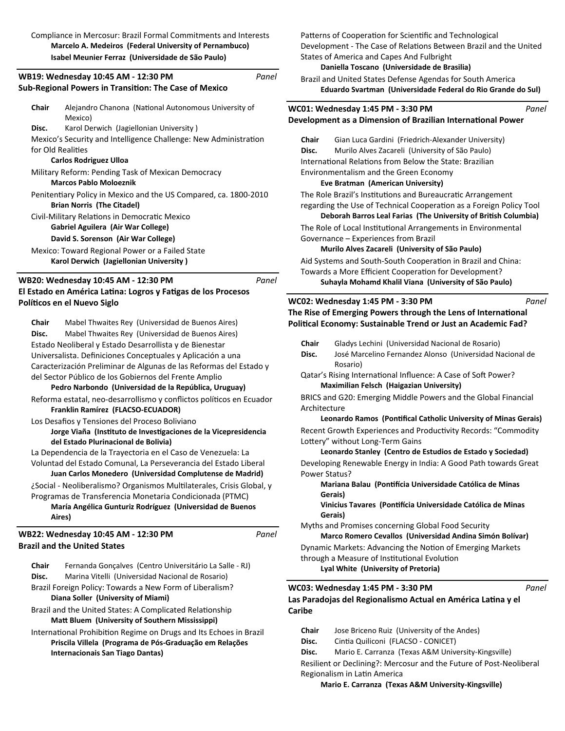Compliance in Mercosur: Brazil Formal Commitments and Interests **Marcelo A. Medeiros (Federal University of Pernambuco) Isabel Meunier Ferraz (Universidade de São Paulo)**

*Panel*

*Panel*

*Panel*

### **Sub-Regional Powers in Transition: The Case of Mexico WB19: Wednesday 10:45 AM - 12:30 PM**

| Chair             | Alejandro Chanona (National Autonomous University of             |
|-------------------|------------------------------------------------------------------|
|                   | Mexico)                                                          |
| Disc.             | Karol Derwich (Jagiellonian University)                          |
|                   | Mexico's Security and Intelligence Challenge: New Administration |
| for Old Realities |                                                                  |
|                   | <b>Carlos Rodriguez Ulloa</b>                                    |
|                   | Military Reform: Pending Task of Mexican Democracy               |
|                   | <b>Marcos Pablo Moloeznik</b>                                    |
|                   | Penitentiary Policy in Mexico and the US Compared, ca. 1800-2010 |
|                   | <b>Brian Norris (The Citadel)</b>                                |
|                   | Civil-Military Relations in Democratic Mexico                    |
|                   | Gabriel Aguilera (Air War College)                               |
|                   | David S. Sorenson (Air War College)                              |
|                   | Mexico: Toward Regional Power or a Failed State                  |
|                   | Karol Derwich (Jagiellonian University)                          |
|                   |                                                                  |

## **WB20: Wednesday 10:45 AM - 12:30 PM**

# **El Estado en América LaƟna: Logros y FaƟgas de los Procesos PolíƟcos en el Nuevo Siglo**

**Chair** Mabel Thwaites Rey (Universidad de Buenos Aires) **Disc.** Mabel Thwaites Rey (Universidad de Buenos Aires) Estado Neoliberal y Estado Desarrollista y de Bienestar Universalista. Definiciones Conceptuales y Aplicación a una Caracterización Preliminar de Algunas de las Reformas del Estado y del Sector Público de los Gobiernos del Frente Amplio

### **Pedro Narbondo (Universidad de la República, Uruguay)**

- Reforma estatal, neo-desarrollismo y conflictos políticos en Ecuador **Franklin Ramírez (FLACSO-ECUADOR)**
- Los Desafios y Tensiones del Proceso Boliviano
- **Jorge Viaña (InsƟtuto de InvesƟgaciones de la Vicepresidencia del Estado Plurinacional de Bolivia)**

La Dependencia de la Trayectoria en el Caso de Venezuela: La Voluntad del Estado Comunal, La Perseverancia del Estado Liberal **Juan Carlos Monedero (Universidad Complutense de Madrid)**

¿Social - Neoliberalismo? Organismos Multilaterales, Crisis Global, y Programas de Transferencia Monetaria Condicionada (PTMC) **María Angélica Gunturiz Rodríguez (Universidad de Buenos Aires)**

**Brazil and the United States WB22: Wednesday 10:45 AM - 12:30 PM**

**Chair** Fernanda Gonçalves (Centro Universitário La Salle - RJ) **Disc.** Marina Vitelli (Universidad Nacional de Rosario)

- Brazil Foreign Policy: Towards a New Form of Liberalism? **Diana Soller (University of Miami)**
- Brazil and the United States: A Complicated Relationship **MaƩ Bluem (University of Southern Mississippi)**

International Prohibition Regime on Drugs and Its Echoes in Brazil **Priscila Villela (Programa de Pós-Graduação em Relações Internacionais San Tiago Dantas)**

Patterns of Cooperation for Scientific and Technological Development - The Case of Relations Between Brazil and the United States of America and Capes And Fulbright

### **Daniella Toscano (Universidade de Brasilia)**

Brazil and United States Defense Agendas for South America **Eduardo Svartman (Universidade Federal do Rio Grande do Sul)**

|       | Panel<br>WC01: Wednesday 1:45 PM - 3:30 PM                           |
|-------|----------------------------------------------------------------------|
|       | Development as a Dimension of Brazilian International Power          |
| Chair | Gian Luca Gardini (Friedrich-Alexander University)                   |
| Disc. | Murilo Alves Zacareli (University of São Paulo)                      |
|       | International Relations from Below the State: Brazilian              |
|       | Environmentalism and the Green Economy                               |
|       | Eve Bratman (American University)                                    |
|       | The Role Brazil's Institutions and Bureaucratic Arrangement          |
|       | regarding the Use of Technical Cooperation as a Foreign Policy Tool  |
|       | Deborah Barros Leal Farias (The University of British Columbia)      |
|       | The Role of Local Institutional Arrangements in Environmental        |
|       | Governance – Experiences from Brazil                                 |
|       | Murilo Alves Zacareli (University of São Paulo)                      |
|       | Aid Systems and South-South Cooperation in Brazil and China:         |
|       |                                                                      |
|       | Towards a More Efficient Cooperation for Development?                |
|       | Suhayla Mohamd Khalil Viana (University of São Paulo)                |
|       | Panel<br>WC02: Wednesday 1:45 PM - 3:30 PM                           |
|       | The Rise of Emerging Powers through the Lens of International        |
|       | Political Economy: Sustainable Trend or Just an Academic Fad?        |
| Chair |                                                                      |
| Disc. | Gladys Lechini (Universidad Nacional de Rosario)                     |
|       | José Marcelino Fernandez Alonso (Universidad Nacional de<br>Rosario) |
|       | Qatar's Rising International Influence: A Case of Soft Power?        |
|       | Maximilian Felsch (Haigazian University)                             |
|       | BRICS and G20: Emerging Middle Powers and the Global Financial       |

**Leonardo Ramos (Pontifical Catholic University of Minas Gerais)** Recent Growth Experiences and Productivity Records: "Commodity Lottery" without Long-Term Gains

**Leonardo Stanley (Centro de Estudios de Estado y Sociedad)** Developing Renewable Energy in India: A Good Path towards Great Power Status?

**Mariana Balau (PonƟİcia Universidade Católica de Minas Gerais)**

**Vinicius Tavares (PonƟİcia Universidade Católica de Minas Gerais)**

*Panel*

Myths and Promises concerning Global Food Security **Marco Romero Cevallos (Universidad Andina Simón Bolívar)** Dynamic Markets: Advancing the Notion of Emerging Markets through a Measure of Institutional Evolution **Lyal White (University of Pretoria)**

### Las Paradojas del Regionalismo Actual en América Latina y el **Caribe WC03: Wednesday 1:45 PM - 3:30 PM**

**Chair** Jose Briceno Ruiz (University of the Andes)

Disc. Cintia Quiliconi (FLACSO - CONICET)

**Disc.** Mario E. Carranza (Texas A&M University-Kingsville) Resilient or Declining?: Mercosur and the Future of Post-Neoliberal Regionalism in LaƟn America

**Mario E. Carranza (Texas A&M University-Kingsville)**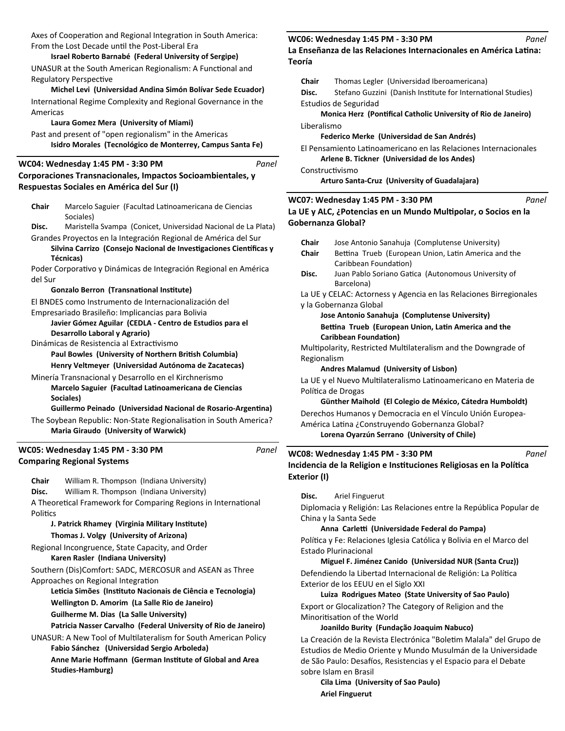Axes of Cooperation and Regional Integration in South America: From the Lost Decade until the Post-Liberal Era

### **Israel Roberto Barnabé (Federal University of Sergipe)**

UNASUR at the South American Regionalism: A Functional and Regulatory Perspective

#### **Michel Levi (Universidad Andina Simón Bolívar Sede Ecuador)**

International Regime Complexity and Regional Governance in the Americas

### **Laura Gomez Mera (University of Miami)**

Past and present of "open regionalism" in the Americas **Isidro Morales (Tecnológico de Monterrey, Campus Santa Fe)**

### **WC04: Wednesday 1:45 PM - 3:30 PM**

*Panel*

*Panel*

### **Corporaciones Transnacionales, Impactos Socioambientales, y Respuestas Sociales en América del Sur (I)**

Chair Marcelo Saguier (Facultad Latinoamericana de Ciencias Sociales)

- **Disc.** Maristella Svampa (Conicet, Universidad Nacional de La Plata) Grandes Proyectos en la Integración Regional de América del Sur
	- Silvina Carrizo (Consejo Nacional de Investigaciones Científicas y **Técnicas)**

Poder Corporativo y Dinámicas de Integración Regional en América del Sur

### **Gonzalo Berron (TransnaƟonal InsƟtute)**

El BNDES como Instrumento de Internacionalización del

Empresariado Brasileño: Implicancias para Bolivia

**Javier Gómez Aguilar (CEDLA - Centro de Estudios para el Desarrollo Laboral y Agrario)**

Dinámicas de Resistencia al Extractivismo Paul Bowles (University of Northern British Columbia)

**Henry Veltmeyer (Universidad Autónoma de Zacatecas)**

Minería Transnacional y Desarrollo en el Kirchnerismo **Marcelo Saguier (Facultad LaƟnoamericana de Ciencias Sociales)**

### Guillermo Peinado (Universidad Nacional de Rosario-Argentina)

The Soybean Republic: Non-State Regionalisation in South America? **Maria Giraudo (University of Warwick)**

### **Comparing Regional Systems WC05: Wednesday 1:45 PM - 3:30 PM**

**Chair** William R. Thompson (Indiana University)

**Disc.** William R. Thompson (Indiana University)

A Theoretical Framework for Comparing Regions in International Politics

### **J. Patrick Rhamey (Virginia Military InsƟtute) Thomas J. Volgy (University of Arizona)**

Regional Incongruence, State Capacity, and Order

**Karen Rasler (Indiana University)**

Southern (Dis)Comfort: SADC, MERCOSUR and ASEAN as Three Approaches on Regional Integration

**LeƟcia Simões (InsƟtuto Nacionais de Ciência e Tecnologia) Wellington D. Amorim (La Salle Rio de Janeiro) Guilherme M. Dias (La Salle University)**

**Patricia Nasser Carvalho (Federal University of Rio de Janeiro)**

UNASUR: A New Tool of Multilateralism for South American Policy **Fabio Sánchez (Universidad Sergio Arboleda)**

**Anne Marie Hoffmann (German Institute of Global and Area Studies-Hamburg)**

#### **WC06: Wednesday 1:45 PM - 3:30 PM**

### La Enseñanza de las Relaciones Internacionales en América Latina: **Teoría**

| Teoria |                |                                                                                                                                      |       |
|--------|----------------|--------------------------------------------------------------------------------------------------------------------------------------|-------|
|        | Chair<br>Disc. | Thomas Legler (Universidad Iberoamericana)<br>Stefano Guzzini (Danish Institute for International Studies)                           |       |
|        |                | Estudios de Seguridad<br>Monica Herz (Pontifical Catholic University of Rio de Janeiro)                                              |       |
|        | Liberalismo    | Federico Merke (Universidad de San Andrés)                                                                                           |       |
|        |                | El Pensamiento Latinoamericano en las Relaciones Internacionales<br>Arlene B. Tickner (Universidad de los Andes)                     |       |
|        |                | Constructivismo<br>Arturo Santa-Cruz (University of Guadalajara)                                                                     |       |
|        |                | WC07: Wednesday 1:45 PM - 3:30 PM<br>La UE y ALC, ¿Potencias en un Mundo Multipolar, o Socios en la<br>Gobernanza Global?            | Panel |
|        | Chair          | Jose Antonio Sanahuja (Complutense University)                                                                                       |       |
|        | Chair          | Bettina Trueb (European Union, Latin America and the<br>Caribbean Foundation)                                                        |       |
|        | Disc.          | Juan Pablo Soriano Gatica (Autonomous University of<br>Barcelona)                                                                    |       |
|        |                | La UE y CELAC: Actorness y Agencia en las Relaciones Birregionales                                                                   |       |
|        |                | y la Gobernanza Global<br>Jose Antonio Sanahuja (Complutense University)                                                             |       |
|        |                | Bettina Trueb (European Union, Latin America and the                                                                                 |       |
|        |                | Caribbean Foundation)                                                                                                                |       |
|        | Regionalism    | Multipolarity, Restricted Multilateralism and the Downgrade of                                                                       |       |
|        |                | Andres Malamud (University of Lisbon)                                                                                                |       |
|        |                | La UE y el Nuevo Multilateralismo Latinoamericano en Materia de                                                                      |       |
|        |                | Política de Drogas<br>Günther Maihold (El Colegio de México, Cátedra Humboldt)                                                       |       |
|        |                | Derechos Humanos y Democracia en el Vínculo Unión Europea-                                                                           |       |
|        |                | América Latina ¿Construyendo Gobernanza Global?                                                                                      |       |
|        |                | Lorena Oyarzún Serrano (University of Chile)                                                                                         |       |
|        |                | WC08: Wednesday 1:45 PM - 3:30 PM                                                                                                    | Panel |
|        |                | Incidencia de la Religion e Instituciones Religiosas en la Política                                                                  |       |
|        | Exterior (I)   |                                                                                                                                      |       |
|        | Disc.          | Ariel Finguerut                                                                                                                      |       |
|        |                | Diplomacia y Religión: Las Relaciones entre la República Popular de                                                                  |       |
|        |                | China y la Santa Sede                                                                                                                |       |
|        |                | Anna Carletti (Universidade Federal do Pampa)                                                                                        |       |
|        |                | Política y Fe: Relaciones Iglesia Católica y Bolivia en el Marco del<br><b>Estado Plurinacional</b>                                  |       |
|        |                | Miguel F. Jiménez Canido (Universidad NUR (Santa Cruz))                                                                              |       |
|        |                | Defendiendo la Libertad Internacional de Religión: La Política<br>Exterior de los EEUU en el Siglo XXI                               |       |
|        |                | Luiza Rodrigues Mateo (State University of Sao Paulo)                                                                                |       |
|        |                | Export or Glocalization? The Category of Religion and the                                                                            |       |
|        |                | Minoritisation of the World<br>Joanildo Burity (Fundação Joaquim Nabuco)                                                             |       |
|        |                | La Creación de la Revista Electrónica "Boletim Malala" del Grupo de<br>Estudios de Medio Oriente y Mundo Musulmán de la Universidade |       |

sobre Islam en Brasil **Cila Lima (University of Sao Paulo) Ariel Finguerut** 

de São Paulo: Desafíos, Resistencias y el Espacio para el Debate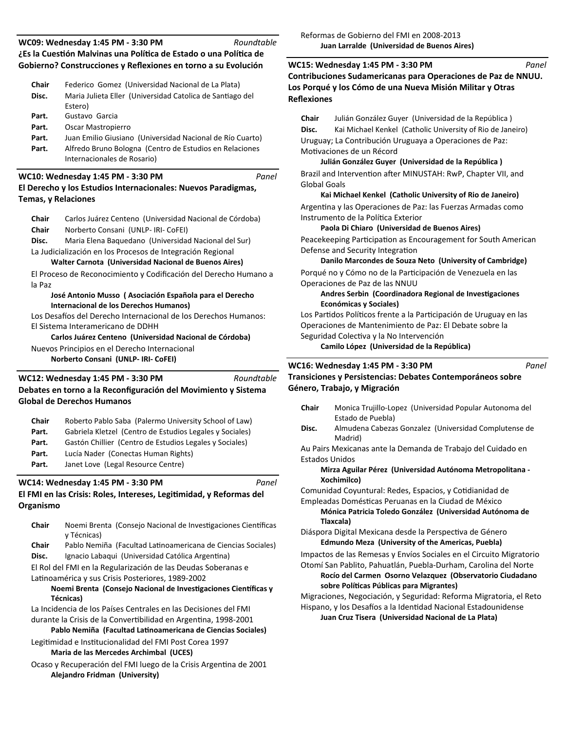| <b>Chair</b> | Federico Gomez (Universidad Nacional de La Plata)                                      |  |  |
|--------------|----------------------------------------------------------------------------------------|--|--|
| Disc.        | Maria Julieta Eller (Universidad Catolica de Santiago del<br>Estero)                   |  |  |
| Part.        | Gustavo Garcia                                                                         |  |  |
| Part.        | Oscar Mastropierro                                                                     |  |  |
| Part.        | Juan Emilio Giusiano (Universidad Nacional de Río Cuarto)                              |  |  |
| Part.        | Alfredo Bruno Bologna (Centro de Estudios en Relaciones<br>Internacionales de Rosario) |  |  |

### **El Derecho y los Estudios Internacionales: Nuevos Paradigmas, WC10: Wednesday 1:45 PM - 3:30 PM**

**Temas, y Relaciones**

| Chair                                                         | Carlos Juárez Centeno (Universidad Nacional de Córdoba) |  |
|---------------------------------------------------------------|---------------------------------------------------------|--|
| Chair                                                         | Norberto Consani (UNLP- IRI- CoFEI)                     |  |
| Maria Elena Baguedano (Universidad Nacional del Sur)<br>Disc. |                                                         |  |
| La Ludicializzación en las Dressese de Integración Desianal   |                                                         |  |

*Panel*

*Panel*

La Judicialización en los Procesos de Integración Regional **Walter Carnota (Universidad Nacional de Buenos Aires)**

El Proceso de Reconocimiento y Codificación del Derecho Humano a la Paz

### **José Antonio Musso ( Asociación Española para el Derecho Internacional de los Derechos Humanos)**

Los Desafíos del Derecho Internacional de los Derechos Humanos: El Sistema Interamericano de DDHH

**Carlos Juárez Centeno (Universidad Nacional de Córdoba)**

Nuevos Principios en el Derecho Internacional

**Norberto Consani (UNLP- IRI- CoFEI)**

#### **Debates en torno a la Reconfiguración del Movimiento y Sistema Global de Derechos Humanos WC12: Wednesday 1:45 PM - 3:30 PM** *Roundtable*

| Chair | Roberto Pablo Saba (Palermo University School of Law)    |  |  |
|-------|----------------------------------------------------------|--|--|
| Part. | Gabriela Kletzel (Centro de Estudios Legales y Sociales) |  |  |
| Part. | Gastón Chillier (Centro de Estudios Legales y Sociales)  |  |  |
| Part. | Lucía Nader (Conectas Human Rights)                      |  |  |
| Part. | Janet Love (Legal Resource Centre)                       |  |  |

# **WC14: Wednesday 1:45 PM - 3:30 PM**

# **El FMI en las Crisis: Roles, Intereses, LegiƟmidad, y Reformas del Organismo**

- Chair Noemi Brenta (Consejo Nacional de Investigaciones Científicas y Técnicas)
- Chair Pablo Nemiña (Facultad Latinoamericana de Ciencias Sociales) **Disc.** Ignacio Labaqui (Universidad Católica Argentina)

El Rol del FMI en la Regularización de las Deudas Soberanas e Latinoamérica y sus Crisis Posteriores, 1989-2002

# **Noemi Brenta (Consejo Nacional de Investigaciones Científicas y Técnicas)**

La Incidencia de los Países Centrales en las Decisiones del FMI durante la Crisis de la Convertibilidad en Argentina, 1998-2001 Pablo Nemiña (Facultad Latinoamericana de Ciencias Sociales)

Legitimidad e Institucionalidad del FMI Post Corea 1997

# **Maria de las Mercedes Archimbal (UCES)**

Ocaso y Recuperación del FMI luego de la Crisis Argentina de 2001 **Alejandro Fridman (University)**

**Contribuciones Sudamericanas para Operaciones de Paz de NNUU. Los Porqué y los Cómo de una Nueva Misión Militar y Otras Reflexiones WC15: Wednesday 1:45 PM - 3:30 PM** *Panel*

**Chair** Julián González Guyer (Universidad de la República )

**Disc.** Kai Michael Kenkel (Catholic University of Rio de Janeiro) Uruguay; La Contribución Uruguaya a Operaciones de Paz: Motivaciones de un Récord

**Julián González Guyer (Universidad de la República )** Brazil and Intervention after MINUSTAH: RwP, Chapter VII, and Global Goals

## **Kai Michael Kenkel (Catholic University of Rio de Janeiro)**

Argentina y las Operaciones de Paz: las Fuerzas Armadas como Instrumento de la Política Exterior

## **Paola Di Chiaro (Universidad de Buenos Aires)**

Peacekeeping Participation as Encouragement for South American Defense and Security Integration

### **Danilo Marcondes de Souza Neto (University of Cambridge)** Porqué no y Cómo no de la Participación de Venezuela en las Operaciones de Paz de las NNUU

### Andres Serbin (Coordinadora Regional de Investigaciones **Económicas y Sociales)**

Los Partidos Políticos frente a la Participación de Uruguay en las Operaciones de Mantenimiento de Paz: El Debate sobre la Seguridad Colectiva y la No Intervención

**Camilo López (Universidad de la República)**

## **WC16: Wednesday 1:45 PM - 3:30 PM**

**Transiciones y Persistencias: Debates Contemporáneos sobre Género, Trabajo, y Migración**

- **Chair** Monica Trujillo-Lopez (Universidad Popular Autonoma del Estado de Puebla)
- **Disc.** Almudena Cabezas Gonzalez (Universidad Complutense de Madrid)

Au Pairs Mexicanas ante la Demanda de Trabajo del Cuidado en Estados Unidos

### **Mirza Aguilar Pérez (Universidad Autónoma Metropolitana - Xochimilco)**

Comunidad Coyuntural: Redes, Espacios, y Cotidianidad de Empleadas DomésƟcas Peruanas en la Ciudad de México

**Mónica Patricia Toledo González (Universidad Autónoma de Tlaxcala)**

Diáspora Digital Mexicana desde la Perspectiva de Género **Edmundo Meza (University of the Americas, Puebla)**

Impactos de las Remesas y Envíos Sociales en el Circuito Migratorio

Otomí San Pablito, Pahuatlán, Puebla-Durham, Carolina del Norte **Rocío del Carmen Osorno Velazquez (Observatorio Ciudadano sobre PolíƟcas Públicas para Migrantes)**

Migraciones, Negociación, y Seguridad: Reforma Migratoria, el Reto Hispano, y los Desafíos a la Identidad Nacional Estadounidense **Juan Cruz Tisera (Universidad Nacional de La Plata)**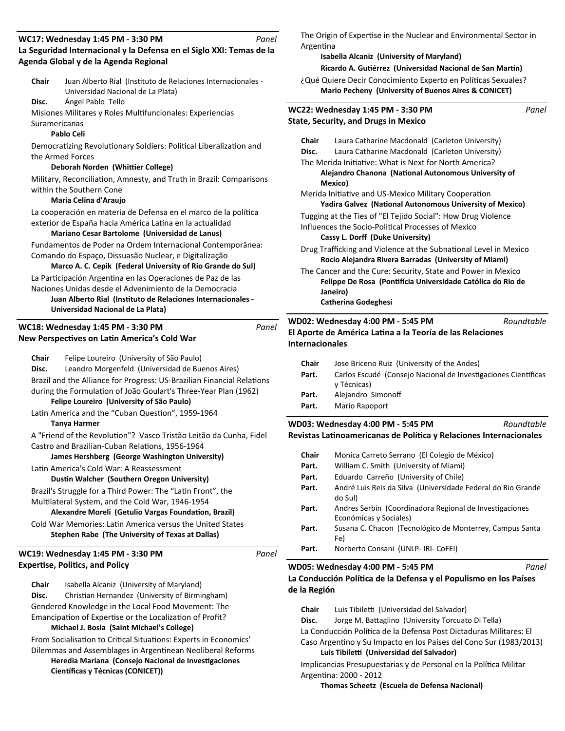#### **La Seguridad Internacional y la Defensa en el Siglo XXI: Temas de la Agenda Global y de la Agenda Regional WC17: Wednesday 1:45 PM - 3:30 PM** *Panel*

Chair Juan Alberto Rial (Instituto de Relaciones Internacionales -Universidad Nacional de La Plata)

**Disc.** Ángel Pablo Tello

Misiones Militares y Roles Multifuncionales: Experiencias

Suramericanas

### **Pablo Celi**

Democratizing Revolutionary Soldiers: Political Liberalization and the Armed Forces

### **Deborah Norden (Whiƫer College)**

Military, Reconciliation, Amnesty, and Truth in Brazil: Comparisons within the Southern Cone

### **Maria Celina d'Araujo**

La cooperación en materia de Defensa en el marco de la política exterior de España hacia América Latina en la actualidad

### **Mariano Cesar Bartolome (Universidad de Lanus)**

Fundamentos de Poder na Ordem Internacional Contemporânea: Comando do Espaço, Dissuasão Nuclear, e Digitalização

**Marco A. C. Cepik (Federal University of Rio Grande do Sul)** La Participación Argentina en las Operaciones de Paz de las

Naciones Unidas desde el Advenimiento de la Democracia

**Juan Alberto Rial (Instituto de Relaciones Internacionales -Universidad Nacional de La Plata)**

## **New Perspectives on Latin America's Cold War WC18: Wednesday 1:45 PM - 3:30 PM**

|                                        | Chair | Felipe Loureiro (University of São Paulo)                              |       |
|----------------------------------------|-------|------------------------------------------------------------------------|-------|
|                                        | Disc. | Leandro Morgenfeld (Universidad de Buenos Aires)                       |       |
|                                        |       | Brazil and the Alliance for Progress: US-Brazilian Financial Relations |       |
|                                        |       | during the Formulation of João Goulart's Three-Year Plan (1962)        |       |
|                                        |       | Felipe Loureiro (University of São Paulo)                              |       |
|                                        |       | Latin America and the "Cuban Question", 1959-1964                      |       |
|                                        |       | <b>Tanya Harmer</b>                                                    |       |
|                                        |       | A "Friend of the Revolution"? Vasco Tristão Leitão da Cunha, Fidel     |       |
|                                        |       | Castro and Brazilian-Cuban Relations, 1956-1964                        |       |
|                                        |       | James Hershberg (George Washington University)                         |       |
|                                        |       | Latin America's Cold War: A Reassessment                               |       |
|                                        |       | Dustin Walcher (Southern Oregon University)                            |       |
|                                        |       | Brazil's Struggle for a Third Power: The "Latin Front", the            |       |
|                                        |       | Multilateral System, and the Cold War, 1946-1954                       |       |
|                                        |       | Alexandre Moreli (Getulio Vargas Foundation, Brazil)                   |       |
|                                        |       | Cold War Memories: Latin America versus the United States              |       |
|                                        |       | Stephen Rabe (The University of Texas at Dallas)                       |       |
|                                        |       | WC19: Wednesday 1:45 PM - 3:30 PM                                      | Panel |
| <b>Expertise, Politics, and Policy</b> |       |                                                                        |       |
|                                        | Chair | Isabella Alcaniz (University of Maryland)                              |       |
|                                        | Disc. |                                                                        |       |
|                                        |       | Christian Hernandez (University of Birmingham)                         |       |

Gendered Knowledge in the Local Food Movement: The Emancipation of Expertise or the Localization of Profit? **Michael J. Bosia (Saint Michael's College)**

From Socialisation to Critical Situations: Experts in Economics' Dilemmas and Assemblages in Argentinean Neoliberal Reforms **Heredia Mariana (Consejo Nacional de Investigaciones** 

**Científicas y Técnicas (CONICET))** 

The Origin of Expertise in the Nuclear and Environmental Sector in **Argentina** 

### **Isabella Alcaniz (University of Maryland)**

**Ricardo A. Gutiérrez (Universidad Nacional de San Martín)** 

¿Qué Quiere Decir Conocimiento Experto en Políticas Sexuales? **Mario Pecheny (University of Buenos Aires & CONICET)**

| WC22: Wednesday 1:45 PM - 3:30 PM<br>Panel |                                                                                                                                                                       |  |
|--------------------------------------------|-----------------------------------------------------------------------------------------------------------------------------------------------------------------------|--|
|                                            | <b>State, Security, and Drugs in Mexico</b>                                                                                                                           |  |
| Chair                                      | Laura Catharine Macdonald (Carleton University)                                                                                                                       |  |
| Disc.                                      | Laura Catharine Macdonald (Carleton University)                                                                                                                       |  |
|                                            | The Merida Initiative: What is Next for North America?                                                                                                                |  |
|                                            | Alejandro Chanona (National Autonomous University of<br>Mexico)                                                                                                       |  |
|                                            | Merida Initiative and US-Mexico Military Cooperation<br>Yadira Galvez (National Autonomous University of Mexico)                                                      |  |
|                                            | Tugging at the Ties of "El Tejido Social": How Drug Violence<br>Influences the Socio-Political Processes of Mexico<br>Cassy L. Dorff (Duke University)                |  |
|                                            | Drug Trafficking and Violence at the Subnational Level in Mexico<br>Rocio Alejandra Rivera Barradas (University of Miami)                                             |  |
|                                            | The Cancer and the Cure: Security, State and Power in Mexico<br>Felippe De Rosa (Pontifícia Universidade Católica do Rio de<br>Janeiro)<br><b>Catherina Godeghesi</b> |  |

#### **El Aporte de América LaƟna a la Teoría de las Relaciones Internacionales WD02: Wednesday 4:00 PM - 5:45 PM** *Roundtable*

| Chair | Jose Briceno Ruiz (University of the Andes)                                   |  |  |
|-------|-------------------------------------------------------------------------------|--|--|
| Part. | Carlos Escudé (Consejo Nacional de Investigaciones Científicas<br>y Técnicas) |  |  |
| Part. | Alejandro Simonoff                                                            |  |  |
| Part. | Mario Rapoport                                                                |  |  |

Revistas Latinoamericanas de Política y Relaciones Internacionales **WD03: Wednesday 4:00 PM - 5:45 PM** *Roundtable*

| Chair | Monica Carreto Serrano (El Colegio de México)                                     |  |  |
|-------|-----------------------------------------------------------------------------------|--|--|
| Part. | William C. Smith (University of Miami)                                            |  |  |
| Part. | Eduardo Carreño (University of Chile)                                             |  |  |
| Part. | André Luis Reis da Silva (Universidade Federal do Rio Grande<br>do Sul)           |  |  |
| Part. | Andres Serbin (Coordinadora Regional de Investigaciones<br>Económicas y Sociales) |  |  |
| Part. | Susana C. Chacon (Tecnológico de Monterrey, Campus Santa<br>Fe)                   |  |  |
| Part. | Norberto Consani (UNLP- IRI- CoFEI)                                               |  |  |

### **WD05: Wednesday 4:00 PM - 5:45 PM**

La Conducción Política de la Defensa y el Populismo en los Países **de la Región**

*Panel*

Chair Luis Tibiletti (Universidad del Salvador) Disc. Jorge M. Battaglino (University Torcuato Di Tella)

La Conducción Política de la Defensa Post Dictaduras Militares: El

Caso Argentino y Su Impacto en los Países del Cono Sur (1983/2013) **Luis Tibileƫ (Universidad del Salvador)**

Implicancias Presupuestarias y de Personal en la Política Militar Argentina: 2000 - 2012

**Thomas Scheetz (Escuela de Defensa Nacional)**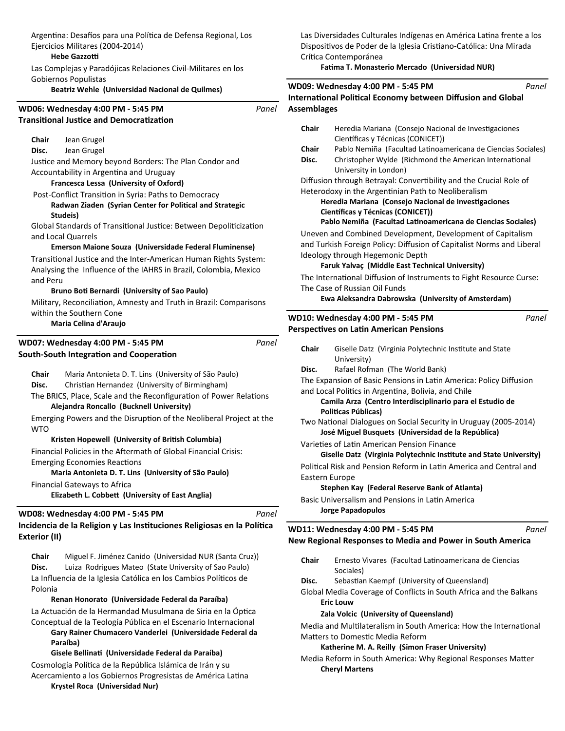Argentina: Desafíos para una Política de Defensa Regional, Los Ejercicios Militares (2004-2014)

### **Hebe Gazzotti**

Las Complejas y Paradójicas Relaciones Civil-Militares en los Gobiernos Populistas

**Beatriz Wehle (Universidad Nacional de Quilmes)**

# **Transitional Justice and Democratization WD06: Wednesday 4:00 PM - 5:45 PM Chair** Jean Grugel **Disc.** Jean Grugel *Panel* Justice and Memory beyond Borders: The Plan Condor and Accountability in Argentina and Uruguay **Francesca Lessa (University of Oxford)** Post-Conflict Transition in Syria: Paths to Democracy **Radwan Ziaden (Syrian Center for Political and Strategic Studeis)** Global Standards of Transitional Justice: Between Depoliticization and Local Quarrels **Emerson Maione Souza (Universidade Federal Fluminense)** Transitional Justice and the Inter-American Human Rights System: Analysing the Influence of the IAHRS in Brazil, Colombia, Mexico and Peru **Bruno BoƟ Bernardi (University of Sao Paulo)** Military, Reconciliation, Amnesty and Truth in Brazil: Comparisons within the Southern Cone **Maria Celina d'Araujo South-South Integration and Cooperation WD07: Wednesday 4:00 PM - 5:45 PM Chair** Maria Antonieta D. T. Lins (University of São Paulo) Disc. Christian Hernandez (University of Birmingham) *Panel* The BRICS, Place, Scale and the Reconfiguration of Power Relations **Alejandra Roncallo (Bucknell University)** Emerging Powers and the Disruption of the Neoliberal Project at the WTO **Kristen Hopewell (University of British Columbia)** Financial Policies in the Aftermath of Global Financial Crisis: Emerging Economies Reactions **Maria Antonieta D. T. Lins (University of São Paulo)** Financial Gateways to Africa **Elizabeth L. CobbeƩ (University of East Anglia)** Incidencia de la Religion y Las Instituciones Religiosas en la Política **Exterior (II) WD08: Wednesday 4:00 PM - 5:45 PM Chair** Miguel F. Jiménez Canido (Universidad NUR (Santa Cruz)) **Disc.** Luiza Rodrigues Mateo (State University of Sao Paulo) *Panel* La Influencia de la Iglesia Católica en los Cambios Políticos de Polonia

# **Renan Honorato (Universidade Federal da Paraíba)**

La Actuación de la Hermandad Musulmana de Siria en la Óptica Conceptual de la Teología Pública en el Escenario Internacional

**Gary Rainer Chumacero Vanderlei (Universidade Federal da Paraíba)**

## **Gisele BellinaƟ (Universidade Federal da Paraíba)**

Cosmología Política de la República Islámica de Irán y su Acercamiento a los Gobiernos Progresistas de América Latina

**Krystel Roca (Universidad Nur)**

Las Diversidades Culturales Indígenas en América Latina frente a los Dispositivos de Poder de la Iglesia Cristiano-Católica: Una Mirada Crítica Contemporánea

**FaƟma T. Monasterio Mercado (Universidad NUR)**

|                    | WD09: Wednesday 4:00 PM - 5:45 PM<br>Panel                                                                             |
|--------------------|------------------------------------------------------------------------------------------------------------------------|
|                    | <b>International Political Economy between Diffusion and Global</b>                                                    |
| <b>Assemblages</b> |                                                                                                                        |
| Chair              | Heredia Mariana (Consejo Nacional de Investigaciones                                                                   |
|                    | Científicas y Técnicas (CONICET))                                                                                      |
| Chair              | Pablo Nemiña (Facultad Latinoamericana de Ciencias Sociales)                                                           |
| Disc.              | Christopher Wylde (Richmond the American International<br>University in London)                                        |
|                    | Diffusion through Betrayal: Convertibility and the Crucial Role of                                                     |
|                    | Heterodoxy in the Argentinian Path to Neoliberalism                                                                    |
|                    | Heredia Mariana (Consejo Nacional de Investigaciones                                                                   |
|                    | Científicas y Técnicas (CONICET))                                                                                      |
|                    | Pablo Nemiña (Facultad Latinoamericana de Ciencias Sociales)                                                           |
|                    | Uneven and Combined Development, Development of Capitalism                                                             |
|                    | and Turkish Foreign Policy: Diffusion of Capitalist Norms and Liberal                                                  |
|                    | Ideology through Hegemonic Depth                                                                                       |
|                    | Faruk Yalvaç (Middle East Technical University)                                                                        |
|                    | The International Diffusion of Instruments to Fight Resource Curse:                                                    |
|                    | The Case of Russian Oil Funds                                                                                          |
|                    | Ewa Aleksandra Dabrowska (University of Amsterdam)                                                                     |
|                    | Panel                                                                                                                  |
|                    | WD10: Wednesday 4:00 PM - 5:45 PM                                                                                      |
|                    | <b>Perspectives on Latin American Pensions</b>                                                                         |
| Chair              | Giselle Datz (Virginia Polytechnic Institute and State                                                                 |
|                    | University)                                                                                                            |
| Disc.              | Rafael Rofman (The World Bank)                                                                                         |
|                    | The Expansion of Basic Pensions in Latin America: Policy Diffusion                                                     |
|                    | and Local Politics in Argentina, Bolivia, and Chile                                                                    |
|                    | Camila Arza (Centro Interdisciplinario para el Estudio de                                                              |
|                    | Politicas Públicas)                                                                                                    |
|                    | Two National Dialogues on Social Security in Uruguay (2005-2014)<br>José Miguel Busquets (Universidad de la República) |
|                    | Varieties of Latin American Pension Finance                                                                            |
|                    | Giselle Datz (Virginia Polytechnic Institute and State University)                                                     |
|                    | Political Risk and Pension Reform in Latin America and Central and                                                     |
|                    | Eastern Europe                                                                                                         |
|                    | Stephen Kay (Federal Reserve Bank of Atlanta)                                                                          |
|                    |                                                                                                                        |
|                    | Basic Universalism and Pensions in Latin America                                                                       |
|                    | <b>Jorge Papadopulos</b>                                                                                               |
|                    |                                                                                                                        |
|                    | WD11: Wednesday 4:00 PM - 5:45 PM<br>Panel                                                                             |
|                    | New Regional Responses to Media and Power in South America                                                             |
| Chair              | Ernesto Vivares (Facultad Latinoamericana de Ciencias<br>Sociales)                                                     |
| Disc.              | Sebastian Kaempf (University of Queensland)                                                                            |

**Eric Louw** 

### **Zala Volcic (University of Queensland)**

Media and Multilateralism in South America: How the International Matters to Domestic Media Reform

### **Katherine M. A. Reilly (Simon Fraser University)**

Media Reform in South America: Why Regional Responses Matter **Cheryl Martens**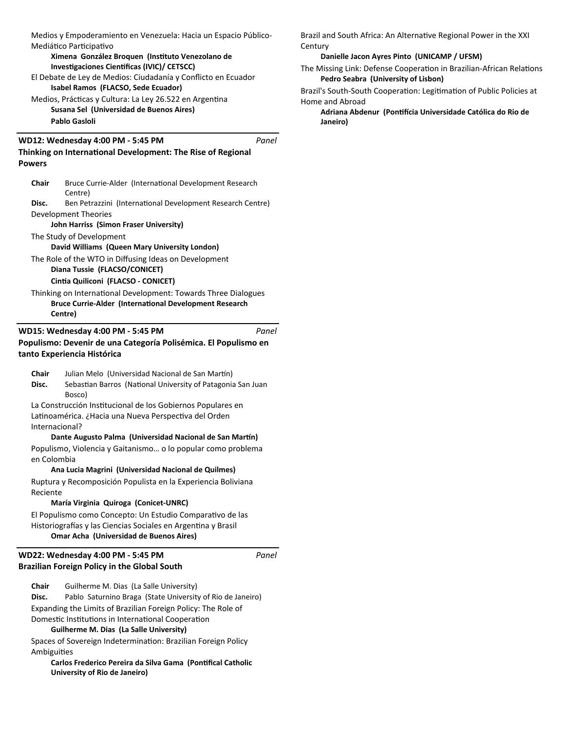Medios y Empoderamiento en Venezuela: Hacia un Espacio Público-Mediático Participativo

**Ximena González Broquen (InsƟtuto Venezolano de Investigaciones Cientificas (IVIC)/ CETSCC)** 

## El Debate de Ley de Medios: Ciudadanía y Conflicto en Ecuador **Isabel Ramos (FLACSO, Sede Ecuador)**

Medios, Prácticas y Cultura: La Ley 26.522 en Argentina **Susana Sel (Universidad de Buenos Aires) Pablo Gasloli** 

### **WD12: Wednesday 4:00 PM - 5:45 PM**

*Panel*

# **Thinking on International Development: The Rise of Regional Powers**

| Bruce Currie-Alder (International Development Research<br>Chair |                                                            |  |
|-----------------------------------------------------------------|------------------------------------------------------------|--|
|                                                                 | Centre)                                                    |  |
| Disc.                                                           | Ben Petrazzini (International Development Research Centre) |  |
| Development Theories                                            |                                                            |  |

### **John Harriss (Simon Fraser University)**

The Study of Development

**David Williams (Queen Mary University London)**

The Role of the WTO in Diffusing Ideas on Development **Diana Tussie (FLACSO/CONICET)**

# **CinƟa Quiliconi (FLACSO - CONICET)**

Thinking on International Development: Towards Three Dialogues **Bruce Currie-Alder (International Development Research Centre)**

#### **Populismo: Devenir de una Categoría Polisémica. El Populismo en tanto Experiencia Histórica WD15: Wednesday 4:00 PM - 5:45 PM** *Panel*

Chair Julian Melo (Universidad Nacional de San Martín) Disc. Sebastian Barros (National University of Patagonia San Juan Bosco)

La Construcción Institucional de los Gobiernos Populares en Latinoamérica. ¿Hacia una Nueva Perspectiva del Orden Internacional?

### **Dante Augusto Palma (Universidad Nacional de San Martín)**

Populismo, Violencia y Gaitanismo… o lo popular como problema en Colombia

### **Ana Lucia Magrini (Universidad Nacional de Quilmes)**

Ruptura y Recomposición Populista en la Experiencia Boliviana Reciente

## **María Virginia Quiroga (Conicet-UNRC)**

El Populismo como Concepto: Un Estudio Comparativo de las Historiografías y las Ciencias Sociales en Argentina y Brasil **Omar Acha (Universidad de Buenos Aires)**

## **Brazilian Foreign Policy in the Global South WD22: Wednesday 4:00 PM - 5:45 PM**

**Chair** Guilherme M. Dias (La Salle University) **Disc.** Pablo Saturnino Braga (State University of Rio de Janeiro) Expanding the Limits of Brazilian Foreign Policy: The Role of Domestic Institutions in International Cooperation **Guilherme M. Dias (La Salle University)**

Spaces of Sovereign Indetermination: Brazilian Foreign Policy **Ambiguities** 

**Carlos Frederico Pereira da Silva Gama (Pontifical Catholic University of Rio de Janeiro)**

Brazil and South Africa: An Alternative Regional Power in the XXI **Century** 

**Danielle Jacon Ayres Pinto (UNICAMP / UFSM)**

The Missing Link: Defense Cooperation in Brazilian-African Relations **Pedro Seabra (University of Lisbon)**

Brazil's South-South Cooperation: Legitimation of Public Policies at Home and Abroad

**Adriana Abdenur (PonƟİcia Universidade Católica do Rio de Janeiro)**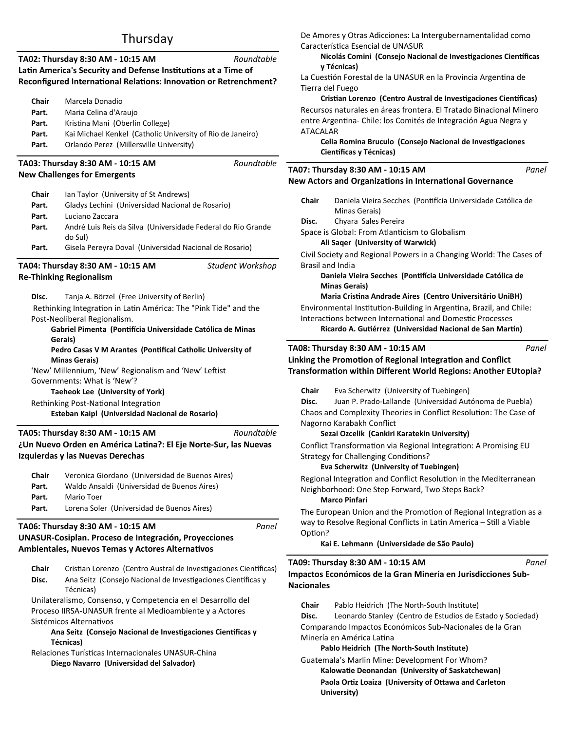# Thursday

| Roundtable<br>TA02: Thursday 8:30 AM - 10:15 AM<br>Latin America's Security and Defense Institutions at a Time of<br>Reconfigured International Relations: Innovation or Retrenchment?                                                                                                                                                                                                                                                                                                                                                                |                                                                                                                                                                                                                                                                                                      |       |  |
|-------------------------------------------------------------------------------------------------------------------------------------------------------------------------------------------------------------------------------------------------------------------------------------------------------------------------------------------------------------------------------------------------------------------------------------------------------------------------------------------------------------------------------------------------------|------------------------------------------------------------------------------------------------------------------------------------------------------------------------------------------------------------------------------------------------------------------------------------------------------|-------|--|
| Chair<br>Part.<br>Part.<br>Part.<br>Part.                                                                                                                                                                                                                                                                                                                                                                                                                                                                                                             | Marcela Donadio<br>Maria Celina d'Araujo<br>Kristina Mani (Oberlin College)<br>Kai Michael Kenkel (Catholic University of Rio de Janeiro)<br>Orlando Perez (Millersville University)                                                                                                                 |       |  |
|                                                                                                                                                                                                                                                                                                                                                                                                                                                                                                                                                       | Roundtable<br>TA03: Thursday 8:30 AM - 10:15 AM                                                                                                                                                                                                                                                      |       |  |
|                                                                                                                                                                                                                                                                                                                                                                                                                                                                                                                                                       | <b>New Challenges for Emergents</b>                                                                                                                                                                                                                                                                  |       |  |
| Chair<br>Part.<br>Part.<br>Part.<br>Part.                                                                                                                                                                                                                                                                                                                                                                                                                                                                                                             | Ian Taylor (University of St Andrews)<br>Gladys Lechini (Universidad Nacional de Rosario)<br>Luciano Zaccara<br>André Luis Reis da Silva (Universidade Federal do Rio Grande<br>do Sul)<br>Gisela Pereyra Doval (Universidad Nacional de Rosario)                                                    |       |  |
|                                                                                                                                                                                                                                                                                                                                                                                                                                                                                                                                                       | TA04: Thursday 8:30 AM - 10:15 AM<br>Student Workshop<br><b>Re-Thinking Regionalism</b>                                                                                                                                                                                                              |       |  |
| Disc.<br>Tanja A. Börzel (Free University of Berlin)<br>Rethinking Integration in Latin América: The "Pink Tide" and the<br>Post-Neoliberal Regionalism.<br>Gabriel Pimenta (Pontifícia Universidade Católica de Minas<br>Gerais)<br>Pedro Casas V M Arantes (Pontifical Catholic University of<br><b>Minas Gerais)</b><br>'New' Millennium, 'New' Regionalism and 'New' Leftist<br>Governments: What is 'New'?<br><b>Taeheok Lee (University of York)</b><br>Rethinking Post-National Integration<br>Esteban Kaipl (Universidad Nacional de Rosario) |                                                                                                                                                                                                                                                                                                      |       |  |
|                                                                                                                                                                                                                                                                                                                                                                                                                                                                                                                                                       | Roundtable<br>TA05: Thursday 8:30 AM - 10:15 AM<br>¿Un Nuevo Orden en América Latina?: El Eje Norte-Sur, las Nuevas<br>Izquierdas y las Nuevas Derechas                                                                                                                                              |       |  |
| Chair<br>Part.<br>Part.<br>Part.                                                                                                                                                                                                                                                                                                                                                                                                                                                                                                                      | Veronica Giordano (Universidad de Buenos Aires)<br>Waldo Ansaldi (Universidad de Buenos Aires)<br>Mario Toer<br>Lorena Soler (Universidad de Buenos Aires)                                                                                                                                           |       |  |
|                                                                                                                                                                                                                                                                                                                                                                                                                                                                                                                                                       | TA06: Thursday 8:30 AM - 10:15 AM<br>UNASUR-Cosiplan. Proceso de Integración, Proyecciones<br><b>Ambientales, Nuevos Temas y Actores Alternativos</b>                                                                                                                                                | Panel |  |
| Chair<br>Disc.                                                                                                                                                                                                                                                                                                                                                                                                                                                                                                                                        | Cristian Lorenzo (Centro Austral de Investigaciones Científicas)<br>Ana Seitz (Consejo Nacional de Investigaciones Científicas y<br>Técnicas)<br>Unilateralismo, Consenso, y Competencia en el Desarrollo del<br>Proceso IIRSA-UNASUR frente al Medioambiente y a Actores<br>Sistémicos Alternativos |       |  |

Ana Seitz (Consejo Nacional de Investigaciones Científicas y **Técnicas)**

Relaciones Turísticas Internacionales UNASUR-China **Diego Navarro (Universidad del Salvador)**

De Amores y Otras Adicciones: La Intergubernamentalidad como Característica Esencial de UNASUR

### **Nicolás Comini (Consejo Nacional de Investigaciones Científicas y Técnicas)**

La Cuestión Forestal de la UNASUR en la Provincia Argentina de Tierra del Fuego

**Cristian Lorenzo (Centro Austral de Investigaciones Científicas)** Recursos naturales en áreas frontera. El Tratado Binacional Minero entre Argentina- Chile: los Comités de Integración Agua Negra y ATACALAR

**Celia Romina Bruculo (Consejo Nacional de Investigaciones Científicas y Técnicas)** 

#### **New Actors and Organizations in International Governance TA07: Thursday 8:30 AM - 10:15 AM** *Panel*

- **Chair** Daniela Vieira Secches (PonƟİcia Universidade Católica de Minas Gerais)
- **Disc.** Chyara Sales Pereira
- Space is Global: From Atlanticism to Globalism
	- **Ali Saqer (University of Warwick)**

Civil Society and Regional Powers in a Changing World: The Cases of Brasil and India

### **Daniela Vieira Secches (PonƟİcia Universidade Católica de Minas Gerais)**

**Maria CrisƟna Andrade Aires (Centro Universitário UniBH)** Environmental Institution-Building in Argentina, Brazil, and Chile: Interactions between International and Domestic Processes **Ricardo A. Gutiérrez (Universidad Nacional de San Martín)** 

## **TA08: Thursday 8:30 AM - 10:15 AM**

**Linking the Promotion of Regional Integration and Conflict TransformaƟon within Diīerent World Regions: Another EUtopia?**

*Panel*

**Chair** Eva Scherwitz (University of Tuebingen)

**Disc.** Juan P. Prado-Lallande (Universidad Autónoma de Puebla) Chaos and Complexity Theories in Conflict Resolution: The Case of Nagorno Karabakh Conflict

## **Sezai Ozcelik (Cankiri Karatekin University)**

Conflict Transformation via Regional Integration: A Promising EU Strategy for Challenging Conditions?

## **Eva Scherwitz (University of Tuebingen)**

Regional Integration and Conflict Resolution in the Mediterranean Neighborhood: One Step Forward, Two Steps Back? **Marco Pinfari** 

The European Union and the Promotion of Regional Integration as a way to Resolve Regional Conflicts in Latin America - Still a Viable Option?

**Kai E. Lehmann (Universidade de São Paulo)**

## **TA09: Thursday 8:30 AM - 10:15 AM**

**Impactos Económicos de la Gran Minería en Jurisdicciones Sub-Nacionales** *Panel*

Chair Pablo Heidrich (The North-South Institute)

**Disc.** Leonardo Stanley (Centro de Estudios de Estado y Sociedad) Comparando Impactos Económicos Sub-Nacionales de la Gran Minería en América Latina

## **Pablo Heidrich (The North-South Institute)**

Guatemala's Marlin Mine: Development For Whom? **KalowaƟe Deonandan (University of Saskatchewan)** Paola Ortiz Loaiza (University of Ottawa and Carleton **University)**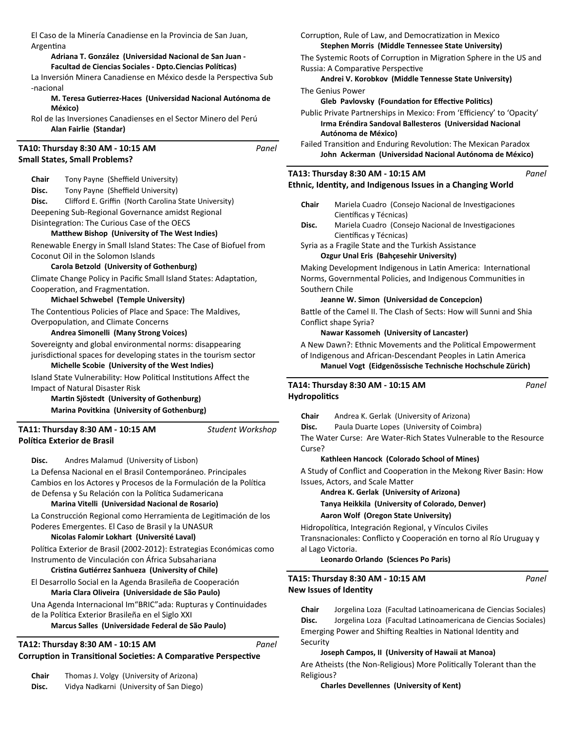El Caso de la Minería Canadiense en la Provincia de San Juan, ArgenƟna

### **Adriana T. González (Universidad Nacional de San Juan -**  Facultad de Ciencias Sociales - Dpto.Ciencias Políticas)

La Inversión Minera Canadiense en México desde la Perspectiva Sub -nacional

### **M. Teresa GuƟerrez-Haces (Universidad Nacional Autónoma de México)**

Rol de las Inversiones Canadienses en el Sector Minero del Perú **Alan Fairlie (Standar)**

#### **Small States, Small Problems? TA10: Thursday 8:30 AM - 10:15 AM** *Panel*

**Chair** Tony Payne (Sheffield University)

**Disc.** Tony Payne (Sheffield University)

**Disc.** Clifford E. Griffin (North Carolina State University) Deepening Sub-Regional Governance amidst Regional Disintegration: The Curious Case of the OECS

### **MaƩhew Bishop (University of The West Indies)**

Renewable Energy in Small Island States: The Case of Biofuel from Coconut Oil in the Solomon Islands

### **Carola Betzold (University of Gothenburg)**

Climate Change Policy in Pacific Small Island States: Adaptation, Cooperation, and Fragmentation.

### **Michael Schwebel (Temple University)**

The Contentious Policies of Place and Space: The Maldives, Overpopulation, and Climate Concerns

### **Andrea Simonelli (Many Strong Voices)**

Sovereignty and global environmental norms: disappearing jurisdictional spaces for developing states in the tourism sector **Michelle Scobie (University of the West Indies)**

Island State Vulnerability: How Political Institutions Affect the Impact of Natural Disaster Risk

**MarƟn Sjöstedt (University of Gothenburg) Marina Povitkina (University of Gothenburg)**

**PolíƟca Exterior de Brasil TA11: Thursday 8:30 AM - 10:15 AM**

*Student Workshop*

**Disc.** Andres Malamud (University of Lisbon)

La Defensa Nacional en el Brasil Contemporáneo. Principales Cambios en los Actores y Procesos de la Formulación de la Política de Defensa y Su Relación con la Política Sudamericana

## **Marina Vitelli (Universidad Nacional de Rosario)**

La Construcción Regional como Herramienta de Legitimación de los Poderes Emergentes. El Caso de Brasil y la UNASUR

## **Nicolas Falomir Lokhart (Université Laval)**

Política Exterior de Brasil (2002-2012): Estrategias Económicas como Instrumento de Vinculación con África Subsahariana

# **CrisƟna GuƟérrez Sanhueza (University of Chile)**

El Desarrollo Social en la Agenda Brasileña de Cooperación **Maria Clara Oliveira (Universidade de São Paulo)**

Una Agenda Internacional Im"BRIC" ada: Rupturas y Continuidades de la Política Exterior Brasileña en el Siglo XXI

## **Marcus Salles (Universidade Federal de São Paulo)**

#### Corruption in Transitional Societies: A Comparative Perspective **TA12: Thursday 8:30 AM - 10:15 AM** *Panel*

| <b>Chair</b> | Thomas J. Volgy (University of Arizona) |
|--------------|-----------------------------------------|
|--------------|-----------------------------------------|

**Disc.** Vidya Nadkarni (University of San Diego)

### Corruption, Rule of Law, and Democratization in Mexico **Stephen Morris (Middle Tennessee State University)**

The Systemic Roots of Corruption in Migration Sphere in the US and Russia: A Comparative Perspective

**Andrei V. Korobkov (Middle Tennesse State University)** The Genius Power

## **Gleb Pavlovsky (Foundation for Effective Politics)**

Public Private Partnerships in Mexico: From 'Efficiency' to 'Opacity' **Irma Eréndira Sandoval Ballesteros (Universidad Nacional Autónoma de México)**

Failed Transition and Enduring Revolution: The Mexican Paradox **John Ackerman (Universidad Nacional Autónoma de México)**

# **TA13: Thursday 8:30 AM - 10:15 AM**

# **Ethnic, IdenƟty, and Indigenous Issues in a Changing World**

- Chair Mariela Cuadro (Consejo Nacional de Investigaciones Científicas y Técnicas)
- Disc. Mariela Cuadro (Consejo Nacional de Investigaciones Científicas y Técnicas)
- Syria as a Fragile State and the Turkish Assistance

# **Ozgur Unal Eris (Bahçesehir University)**

Making Development Indigenous in Latin America: International Norms, Governmental Policies, and Indigenous Communities in Southern Chile

# **Jeanne W. Simon (Universidad de Concepcion)**

Battle of the Camel II. The Clash of Sects: How will Sunni and Shia Conflict shape Syria?

# **Nawar Kassomeh (University of Lancaster)**

A New Dawn?: Ethnic Movements and the Political Empowerment of Indigenous and African-Descendant Peoples in Latin America **Manuel Vogt (Eidgenössische Technische Hochschule Zürich)**

# **Hydropolitics TA14: Thursday 8:30 AM - 10:15 AM**

**Chair** Andrea K. Gerlak (University of Arizona)

**Disc.** Paula Duarte Lopes (University of Coimbra)

The Water Curse: Are Water-Rich States Vulnerable to the Resource Curse?

## **Kathleen Hancock (Colorado School of Mines)**

A Study of Conflict and Cooperation in the Mekong River Basin: How Issues, Actors, and Scale Matter

**Andrea K. Gerlak (University of Arizona)**

**Tanya Heikkila (University of Colorado, Denver)**

# **Aaron Wolf (Oregon State University)**

Hidropolítica, Integración Regional, y Vínculos Civiles Transnacionales: Conflicto y Cooperación en torno al Río Uruguay y al Lago Victoria.

## **Leonardo Orlando (Sciences Po Paris)**

**New Issues of Identity TA15: Thursday 8:30 AM - 10:15 AM**

**Chair** Jorgelina Loza (Facultad Latinoamericana de Ciencias Sociales) Disc. Jorgelina Loza (Facultad Latinoamericana de Ciencias Sociales) Emerging Power and Shifting Realties in National Identity and Security

# **Joseph Campos, II (University of Hawaii at Manoa)**

Are Atheists (the Non-Religious) More Politically Tolerant than the Religious?

## **Charles Devellennes (University of Kent)**

*Panel*

*Panel*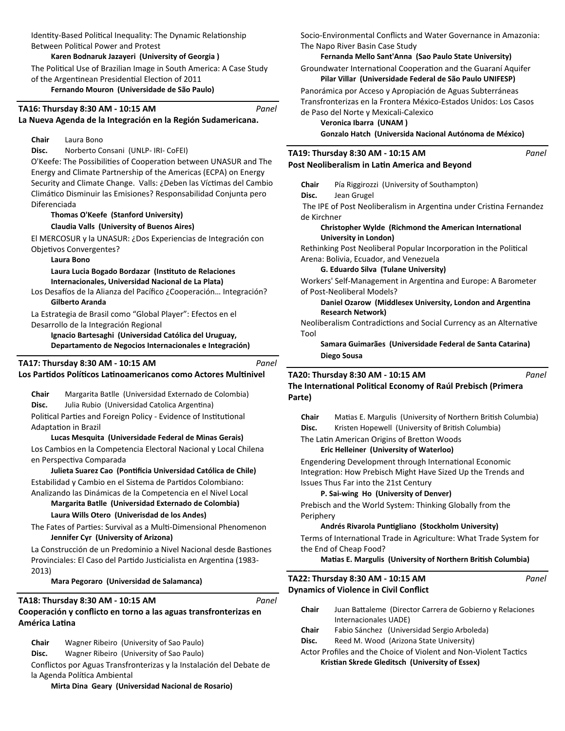Identity-Based Political Inequality: The Dynamic Relationship Between Political Power and Protest

**Karen Bodnaruk Jazayeri (University of Georgia )**

The Political Use of Brazilian Image in South America: A Case Study of the Argentinean Presidential Election of 2011

**Fernando Mouron (Universidade de São Paulo)**

### **TA16: Thursday 8:30 AM - 10:15 AM**

## **La Nueva Agenda de la Integración en la Región Sudamericana.**

# **Chair** Laura Bono

**Disc.** Norberto Consani (UNLP- IRI- CoFEI)

O'Keefe: The Possibilities of Cooperation between UNASUR and The Energy and Climate Partnership of the Americas (ECPA) on Energy Security and Climate Change. Valls: ¿Deben las Víctimas del Cambio ClimáƟco Disminuir las Emisiones? Responsabilidad Conjunta pero Diferenciada

### **Thomas O'Keefe (Stanford University) Claudia Valls (University of Buenos Aires)**

El MERCOSUR y la UNASUR: ¿Dos Experiencias de Integración con Obietivos Convergentes?

**Laura Bono** 

**Laura Lucia Bogado Bordazar (InsƟtuto de Relaciones Internacionales, Universidad Nacional de La Plata)**

Los Desafíos de la Alianza del Pacífico ¿Cooperación... Integración? **Gilberto Aranda** 

La Estrategia de Brasil como "Global Player": Efectos en el Desarrollo de la Integración Regional

**Ignacio Bartesaghi (Universidad Católica del Uruguay, Departamento de Negocios Internacionales e Integración)**

# **TA17: Thursday 8:30 AM - 10:15 AM**

# Los Partidos Políticos Latinoamericanos como Actores Multinivel

**Chair** Margarita Batlle (Universidad Externado de Colombia) **Disc.** Julia Rubio (Universidad Catolica Argentina) Political Parties and Foreign Policy - Evidence of Institutional Adaptation in Brazil

## **Lucas Mesquita (Universidade Federal de Minas Gerais)**

Los Cambios en la Competencia Electoral Nacional y Local Chilena en Perspectiva Comparada

Julieta Suarez Cao (Pontificia Universidad Católica de Chile) Estabilidad y Cambio en el Sistema de Partidos Colombiano: Analizando las Dinámicas de la Competencia en el Nivel Local

**Margarita Batlle (Universidad Externado de Colombia) Laura Wills Otero (Univerisdad de los Andes)**

The Fates of Parties: Survival as a Multi-Dimensional Phenomenon **Jennifer Cyr (University of Arizona)**

La Construcción de un Predominio a Nivel Nacional desde Bastiones Provinciales: El Caso del Partido Justicialista en Argentina (1983-2013)

**Mara Pegoraro (Universidad de Salamanca)**

# **TA18: Thursday 8:30 AM - 10:15 AM**

# **Cooperación y conflicto en torno a las aguas transfronterizas en América LaƟna**

**Chair** Wagner Ribeiro (University of Sao Paulo)

**Disc.** Wagner Ribeiro (University of Sao Paulo)

Conflictos por Aguas Transfronterizas y la Instalación del Debate de la Agenda Política Ambiental

**Mirta Dina Geary (Universidad Nacional de Rosario)**

Socio-Environmental Conflicts and Water Governance in Amazonia: The Napo River Basin Case Study

### **Fernanda Mello Sant'Anna (Sao Paulo State University)**

Groundwater International Cooperation and the Guaraní Aquifer **Pilar Villar (Universidade Federal de São Paulo UNIFESP)**

Panorámica por Acceso y Apropiación de Aguas Subterráneas Transfronterizas en la Frontera México-Estados Unidos: Los Casos de Paso del Norte y Mexicali-Calexico

**Veronica Ibarra (UNAM )**

*Panel*

*Panel*

*Panel*

**Gonzalo Hatch (Universida Nacional Autónoma de México)**

*Panel*

*Panel*

### **Post Neoliberalism in Latin America and Beyond TA19: Thursday 8:30 AM - 10:15 AM**

**Chair** Pía Riggirozzi (University of Southampton)

**Disc.** Jean Grugel The IPE of Post Neoliberalism in Argentina under Cristina Fernandez de Kirchner

### **Christopher Wylde (Richmond the American International University in London)**

Rethinking Post Neoliberal Popular Incorporation in the Political Arena: Bolivia, Ecuador, and Venezuela

# **G. Eduardo Silva (Tulane University)**

Workers' Self-Management in Argentina and Europe: A Barometer of Post-Neoliberal Models?

# **Daniel Ozarow (Middlesex University, London and Argentina Research Network)**

Neoliberalism Contradictions and Social Currency as an Alternative Tool

**Samara Guimarães (Universidade Federal de Santa Catarina) Diego Sousa** 

### **TA20: Thursday 8:30 AM - 10:15 AM**

**The InternaƟonal PoliƟcal Economy of Raúl Prebisch (Primera Parte)** *Panel*

**Chair** Matias E. Margulis (University of Northern British Columbia)

**Disc.** Kristen Hopewell (University of British Columbia)

### The Latin American Origins of Bretton Woods **Eric Helleiner (University of Waterloo)**

Engendering Development through International Economic Integration: How Prebisch Might Have Sized Up the Trends and Issues Thus Far into the 21st Century

# **P. Sai-wing Ho (University of Denver)**

Prebisch and the World System: Thinking Globally from the Periphery

# **Andrés Rivarola PunƟgliano (Stockholm University)**

Terms of International Trade in Agriculture: What Trade System for the End of Cheap Food?

# **Matias E. Margulis (University of Northern British Columbia)**

**Dynamics of Violence in Civil Conflict TA22: Thursday 8:30 AM - 10:15 AM**

- Chair Juan Battaleme (Director Carrera de Gobierno y Relaciones Internacionales UADE) **Chair** Fabio Sánchez (Universidad Sergio Arboleda)
- 
- **Disc.** Reed M. Wood (Arizona State University)

## Actor Profiles and the Choice of Violent and Non-Violent Tactics **KrisƟan Skrede Gleditsch (University of Essex)**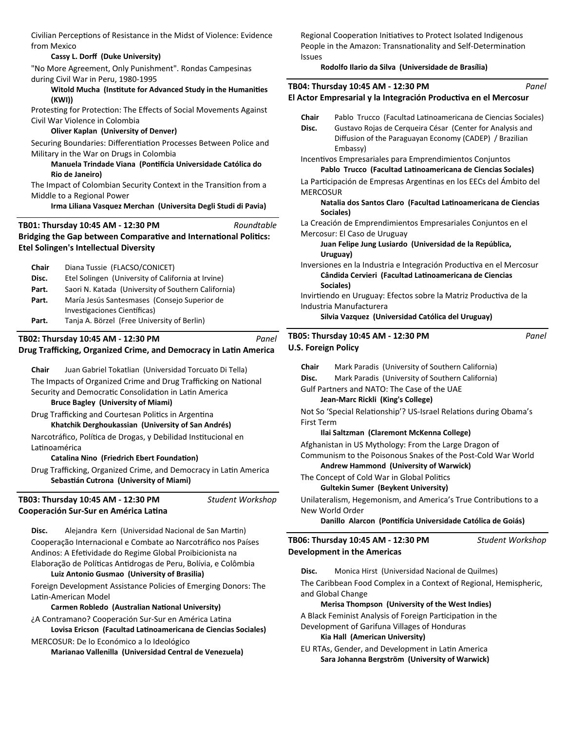Civilian Perceptions of Resistance in the Midst of Violence: Evidence from Mexico

### **Cassy L. Dorff (Duke University)**

"No More Agreement, Only Punishment". Rondas Campesinas during Civil War in Peru, 1980-1995

### Witold Mucha (Institute for Advanced Study in the Humanities **(KWI))**

Protesting for Protection: The Effects of Social Movements Against Civil War Violence in Colombia

### **Oliver Kaplan (University of Denver)**

Securing Boundaries: Differentiation Processes Between Police and Military in the War on Drugs in Colombia

### **Manuela Trindade Viana (PonƟİcia Universidade Católica do Rio de Janeiro)**

The Impact of Colombian Security Context in the Transition from a Middle to a Regional Power

**Irma Liliana Vasquez Merchan (Universita Degli Studi di Pavia)**

*Roundtable*

### **TB01: Thursday 10:45 AM - 12:30 PM**

**Bridging the Gap between Comparative and International Politics: Etel Solingen's Intellectual Diversity**

| <b>Chair</b> | Diana Tussie (FLACSO/CONICET)                       |  |
|--------------|-----------------------------------------------------|--|
| Disc.        | Etel Solingen (University of California at Irvine)  |  |
| Part.        | Saori N. Katada (University of Southern California) |  |
| Part.        | María Jesús Santesmases (Consejo Superior de        |  |
|              | Investigaciones Científicas)                        |  |
| Part.        | Tanja A. Börzel (Free University of Berlin)         |  |

#### **Drug Trafficking, Organized Crime, and Democracy in Latin America TB02: Thursday 10:45 AM - 12:30 PM** *Panel*

**Chair** Juan Gabriel Tokatlian (Universidad Torcuato Di Tella) The Impacts of Organized Crime and Drug Trafficking on National Security and Democratic Consolidation in Latin America **Bruce Bagley (University of Miami)**

Drug Trafficking and Courtesan Politics in Argentina **Khatchik Derghoukassian (University of San Andrés)**

Narcotráfico, Política de Drogas, y Debilidad Institucional en Latinoamérica

**Catalina Nino (Friedrich Ebert Foundation)** 

Drug Trafficking, Organized Crime, and Democracy in Latin America **SebasƟán Cutrona (University of Miami)**

**Cooperación Sur-Sur en América LaƟna TB03: Thursday 10:45 AM - 12:30 PM** *Student Workshop*

**Disc.** Alejandra Kern (Universidad Nacional de San Martin) Cooperação Internacional e Combate ao Narcotráfico nos Países Andinos: A Efetividade do Regime Global Proibicionista na Elaboração de Políticas Antidrogas de Peru, Bolívia, e Colômbia

### **Luiz Antonio Gusmao (University of Brasilia)**

Foreign Development Assistance Policies of Emerging Donors: The Latin-American Model

### **Carmen Robledo (Australian NaƟonal University)**

¿A Contramano? Cooperación Sur-Sur en América Latina **Lovisa Ericson (Facultad LaƟnoamericana de Ciencias Sociales)**

MERCOSUR: De lo Económico a lo Ideológico **Marianao Vallenilla (Universidad Central de Venezuela)** Regional Cooperation Initiatives to Protect Isolated Indigenous People in the Amazon: Transnationality and Self-Determination Issues

### **Rodolfo Ilario da Silva (Universidade de Brasília)**

|                            | TB04: Thursday 10:45 AM - 12:30 PM                                                                                                                                                               | Panel |
|----------------------------|--------------------------------------------------------------------------------------------------------------------------------------------------------------------------------------------------|-------|
|                            | El Actor Empresarial y la Integración Productiva en el Mercosur                                                                                                                                  |       |
| Chair<br>Disc.             | Pablo Trucco (Facultad Latinoamericana de Ciencias Sociales)<br>Gustavo Rojas de Cerqueira César (Center for Analysis and<br>Diffusion of the Paraguayan Economy (CADEP) / Brazilian<br>Embassy) |       |
|                            | Incentivos Empresariales para Emprendimientos Conjuntos<br>Pablo Trucco (Facultad Latinoamericana de Ciencias Sociales)                                                                          |       |
| <b>MERCOSUR</b>            | La Participación de Empresas Argentinas en los EECs del Ambito del                                                                                                                               |       |
|                            | Natalia dos Santos Claro (Facultad Latinoamericana de Ciencias<br>Sociales)                                                                                                                      |       |
|                            | La Creación de Emprendimientos Empresariales Conjuntos en el<br>Mercosur: El Caso de Uruguay                                                                                                     |       |
|                            | Juan Felipe Jung Lusiardo (Universidad de la República,<br>Uruguay)                                                                                                                              |       |
|                            | Inversiones en la Industria e Integración Productiva en el Mercosur<br>Cândida Cervieri (Facultad Latinoamericana de Ciencias                                                                    |       |
|                            | Sociales)<br>Invirtiendo en Uruguay: Efectos sobre la Matriz Productiva de la<br>Industria Manufacturera                                                                                         |       |
|                            | Silvia Vazquez (Universidad Católica del Uruguay)                                                                                                                                                |       |
| <b>U.S. Foreign Policy</b> | TB05: Thursday 10:45 AM - 12:30 PM                                                                                                                                                               | Panel |

|                                                              |                 | TB06: Thursday 10:45 AM - 12:30 PM                          | Student Workshop                                                  |
|--------------------------------------------------------------|-----------------|-------------------------------------------------------------|-------------------------------------------------------------------|
|                                                              |                 | Danillo Alarcon (Pontifícia Universidade Católica de Goiás) |                                                                   |
|                                                              | New World Order |                                                             |                                                                   |
|                                                              |                 |                                                             | Unilateralism, Hegemonism, and America's True Contributions to a  |
|                                                              |                 | <b>Gultekin Sumer (Beykent University)</b>                  |                                                                   |
|                                                              |                 | The Concept of Cold War in Global Politics                  |                                                                   |
|                                                              |                 | <b>Andrew Hammond (University of Warwick)</b>               |                                                                   |
| Communism to the Poisonous Snakes of the Post-Cold War World |                 |                                                             |                                                                   |
|                                                              |                 | Afghanistan in US Mythology: From the Large Dragon of       |                                                                   |
|                                                              |                 | Ilai Saltzman (Claremont McKenna College)                   |                                                                   |
| <b>First Term</b>                                            |                 |                                                             |                                                                   |
|                                                              |                 |                                                             | Not So 'Special Relationship'? US-Israel Relations during Obama's |
|                                                              |                 | Jean-Marc Rickli (King's College)                           |                                                                   |
|                                                              |                 | Gulf Partners and NATO: The Case of the UAE                 |                                                                   |
| Disc.                                                        |                 | Mark Paradis (University of Southern California)            |                                                                   |
| Chair                                                        |                 | Mark Paradis (University of Southern California)            |                                                                   |
|                                                              |                 |                                                             |                                                                   |

**Disc.** Monica Hirst (Universidad Nacional de Quilmes)

The Caribbean Food Complex in a Context of Regional, Hemispheric, and Global Change

### **Merisa Thompson (University of the West Indies)**

A Black Feminist Analysis of Foreign Participation in the Development of Garifuna Villages of Honduras

### **Kia Hall (American University)**

**Development in the Americas**

EU RTAs, Gender, and Development in Latin America **Sara Johanna Bergström (University of Warwick)**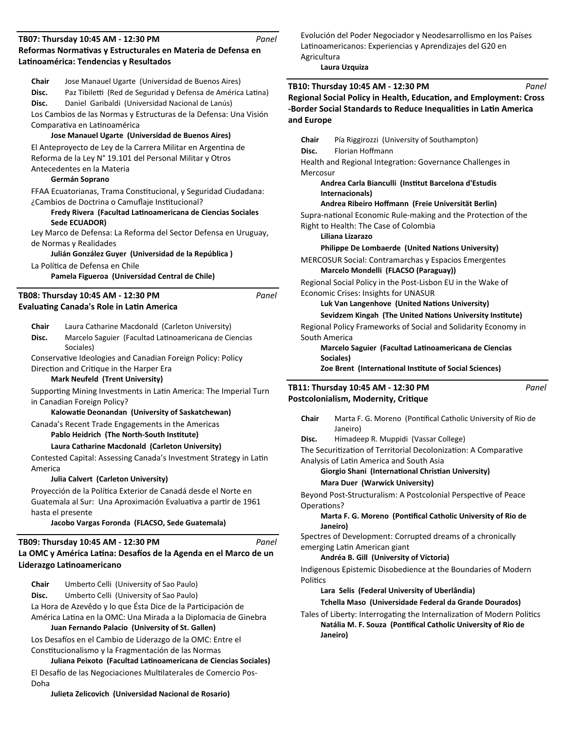#### **Reformas NormaƟvas y Estructurales en Materia de Defensa en LaƟnoamérica: Tendencias y Resultados TB07: Thursday 10:45 AM - 12:30 PM** *Panel*

| Chair        | Jose Manauel Ugarte (Universidad de Buenos Aires)                  |       |
|--------------|--------------------------------------------------------------------|-------|
| Disc.        | Paz Tibiletti (Red de Seguridad y Defensa de América Latina)       |       |
|              |                                                                    |       |
| Disc.        | Daniel Garibaldi (Universidad Nacional de Lanús)                   |       |
|              | Los Cambios de las Normas y Estructuras de la Defensa: Una Visión  |       |
|              | Comparativa en Latinoamérica                                       |       |
|              | Jose Manauel Ugarte (Universidad de Buenos Aires)                  |       |
|              | El Anteproyecto de Ley de la Carrera Militar en Argentina de       |       |
|              | Reforma de la Ley N° 19.101 del Personal Militar y Otros           |       |
|              |                                                                    |       |
|              | Antecedentes en la Materia                                         |       |
|              | Germán Soprano                                                     |       |
|              | FFAA Ecuatorianas, Trama Constitucional, y Seguridad Ciudadana:    |       |
|              | ¿Cambios de Doctrina o Camuflaje Institucional?                    |       |
|              | Fredy Rivera (Facultad Latinoamericana de Ciencias Sociales        |       |
|              | Sede ECUADOR)                                                      |       |
|              | Ley Marco de Defensa: La Reforma del Sector Defensa en Uruguay,    |       |
|              | de Normas y Realidades                                             |       |
|              | Julián González Guyer (Universidad de la República)                |       |
|              |                                                                    |       |
|              | La Política de Defensa en Chile                                    |       |
|              | Pamela Figueroa (Universidad Central de Chile)                     |       |
|              | TB08: Thursday 10:45 AM - 12:30 PM                                 | Panel |
|              |                                                                    |       |
|              | <b>Evaluating Canada's Role in Latin America</b>                   |       |
| <b>Chair</b> | Laura Catharine Macdonald (Carleton University)                    |       |
|              |                                                                    |       |
| Disc.        | Marcelo Saguier (Facultad Latinoamericana de Ciencias              |       |
|              | Sociales)                                                          |       |
|              | Conservative Ideologies and Canadian Foreign Policy: Policy        |       |
|              | Direction and Critique in the Harper Era                           |       |
|              | <b>Mark Neufeld (Trent University)</b>                             |       |
|              | Supporting Mining Investments in Latin America: The Imperial Turn  |       |
|              | in Canadian Foreign Policy?                                        |       |
|              | Kalowatie Deonandan (University of Saskatchewan)                   |       |
|              |                                                                    |       |
|              | Canada's Recent Trade Engagements in the Americas                  |       |
|              | Pablo Heidrich (The North-South Institute)                         |       |
|              | Laura Catharine Macdonald (Carleton University)                    |       |
|              | Contested Capital: Assessing Canada's Investment Strategy in Latin |       |
| America      |                                                                    |       |
|              | Julia Calvert (Carleton University)                                |       |
|              | Proyección de la Política Exterior de Canadá desde el Norte en     |       |
|              | Guatemala al Sur: Una Aproximación Evaluativa a partir de 1961     |       |
|              | hasta el presente                                                  |       |
|              |                                                                    |       |
|              | Jacobo Vargas Foronda (FLACSO, Sede Guatemala)                     |       |
|              | TB09: Thursday 10:45 AM - 12:30 PM                                 | Panel |
|              | La OMC y América Latina: Desafíos de la Agenda en el Marco de un   |       |
|              | Liderazgo Latinoamericano                                          |       |
|              |                                                                    |       |
| Chair        | Umberto Celli (University of Sao Paulo)                            |       |
| Disc.        | Umberto Celli (University of Sao Paulo)                            |       |
|              |                                                                    |       |
|              | La Hora de Azevêdo y lo que Ésta Dice de la Participación de       |       |
|              | América Latina en la OMC: Una Mirada a la Diplomacia de Ginebra    |       |
|              | Juan Fernando Palacio (University of St. Gallen)                   |       |

Los Desafíos en el Cambio de Liderazgo de la OMC: Entre el Constitucionalismo y la Fragmentación de las Normas

**Juliana Peixoto (Facultad LaƟnoamericana de Ciencias Sociales)** El Desafío de las Negociaciones Multilaterales de Comercio Pos-Doha

**Julieta Zelicovich (Universidad Nacional de Rosario)**

Evolución del Poder Negociador y Neodesarrollismo en los Países Latinoamericanos: Experiencias y Aprendizajes del G20 en Agricultura

**Laura Uzquiza** 

|                | Laura Uzquiza                                                                                                                                                                                       |       |
|----------------|-----------------------------------------------------------------------------------------------------------------------------------------------------------------------------------------------------|-------|
|                | TB10: Thursday 10:45 AM - 12:30 PM<br>Panel<br>Regional Social Policy in Health, Education, and Employment: Cross<br>-Border Social Standards to Reduce Inequalities in Latin America<br>and Europe |       |
| Chair<br>Disc. | Pía Riggirozzi (University of Southampton)<br>Florian Hoffmann                                                                                                                                      |       |
| Mercosur       | Health and Regional Integration: Governance Challenges in                                                                                                                                           |       |
|                | Andrea Carla Bianculli (Institut Barcelona d'Estudis<br>Internacionals)<br>Andrea Ribeiro Hoffmann (Freie Universität Berlin)                                                                       |       |
|                | Supra-national Economic Rule-making and the Protection of the<br>Right to Health: The Case of Colombia<br>Liliana Lizarazo                                                                          |       |
|                | Philippe De Lombaerde (United Nations University)                                                                                                                                                   |       |
|                | <b>MERCOSUR Social: Contramarchas y Espacios Emergentes</b><br>Marcelo Mondelli (FLACSO (Paraguay))                                                                                                 |       |
|                | Regional Social Policy in the Post-Lisbon EU in the Wake of<br>Economic Crises: Insights for UNASUR                                                                                                 |       |
|                | Luk Van Langenhove (United Nations University)                                                                                                                                                      |       |
|                | Sevidzem Kingah (The United Nations University Institute)                                                                                                                                           |       |
|                | Regional Policy Frameworks of Social and Solidarity Economy in                                                                                                                                      |       |
| South America  |                                                                                                                                                                                                     |       |
|                | Marcelo Saguier (Facultad Latinoamericana de Ciencias<br>Sociales)                                                                                                                                  |       |
|                | Zoe Brent (International Institute of Social Sciences)                                                                                                                                              |       |
|                |                                                                                                                                                                                                     | Panel |
|                | TB11: Thursday 10:45 AM - 12:30 PM<br>Postcolonialism, Modernity, Critique                                                                                                                          |       |
|                |                                                                                                                                                                                                     |       |
| Chair          | Marta F. G. Moreno (Pontifical Catholic University of Rio de<br>Janeiro)                                                                                                                            |       |
| Disc.          | Himadeep R. Muppidi (Vassar College)                                                                                                                                                                |       |
|                | The Securitization of Territorial Decolonization: A Comparative                                                                                                                                     |       |
|                | Analysis of Latin America and South Asia<br>Giorgio Shani (International Christian University)                                                                                                      |       |
|                | Mara Duer (Warwick University)                                                                                                                                                                      |       |
| Operations?    | Beyond Post-Structuralism: A Postcolonial Perspective of Peace                                                                                                                                      |       |
|                | Marta F. G. Moreno (Pontifical Catholic University of Rio de<br>Janeiro)                                                                                                                            |       |
|                | Spectres of Development: Corrupted dreams of a chronically<br>emerging Latin American giant<br>Andréa B. Gill (University of Victoria)                                                              |       |
|                |                                                                                                                                                                                                     |       |
| Politics       | Indigenous Epistemic Disobedience at the Boundaries of Modern                                                                                                                                       |       |
|                | Lara Selis (Federal University of Uberlândia)                                                                                                                                                       |       |
|                | Tchella Maso (Universidade Federal da Grande Dourados)                                                                                                                                              |       |

Tales of Liberty: Interrogating the Internalization of Modern Politics **Natália M. F. Souza (Pontifical Catholic University of Rio de Janeiro)**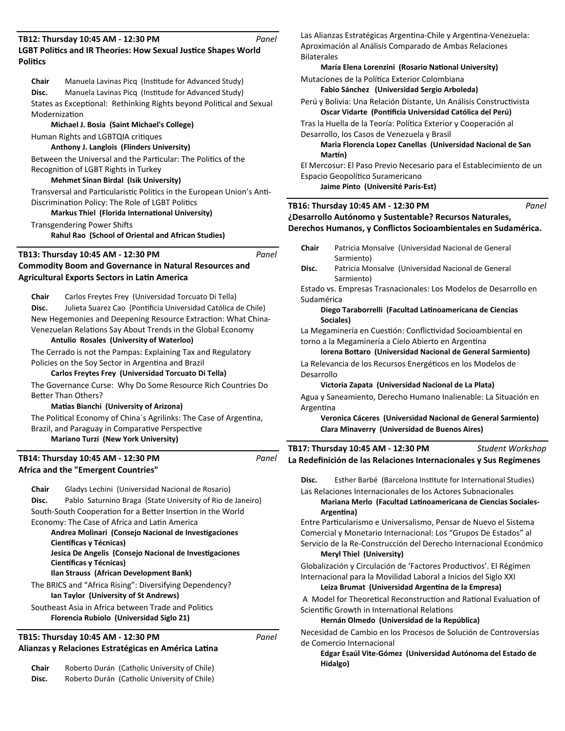#### **LGBT Politics and IR Theories: How Sexual Justice Shapes World PoliƟcs TB12: Thursday 10:45 AM - 12:30 PM** *Panel*

**Chair** Manuela Lavinas Picq (Institude for Advanced Study) **Disc.** Manuela Lavinas Picq (Institude for Advanced Study) States as Exceptional: Rethinking Rights beyond Political and Sexual **Modernization** 

**Michael J. Bosia (Saint Michael's College)** Human Rights and LGBTQIA critiques

# **Anthony J. Langlois (Flinders University)**

Between the Universal and the Particular: The Politics of the Recognition of LGBT Rights in Turkey

### **Mehmet Sinan Birdal (Isik University)**

Transversal and Particularistic Politics in the European Union's Anti-Discrimination Policy: The Role of LGBT Politics

### **Markus Thiel (Florida International University)**

Transgendering Power Shifts

**Rahul Rao (School of Oriental and African Studies)**

# **TB13: Thursday 10:45 AM - 12:30 PM**

*Panel*

*Panel*

*Panel*

### **Commodity Boom and Governance in Natural Resources and Agricultural Exports Sectors in LaƟn America**

**Chair** Carlos Freytes Frey (Universidad Torcuato Di Tella) Disc. Julieta Suarez Cao (Pontificia Universidad Católica de Chile) New Hegemonies and Deepening Resource Extraction: What China-Venezuelan Relations Say About Trends in the Global Economy

# **Antulio Rosales (University of Waterloo)**

The Cerrado is not the Pampas: Explaining Tax and Regulatory Policies on the Soy Sector in Argentina and Brazil

## **Carlos Freytes Frey (Universidad Torcuato Di Tella)**

The Governance Curse: Why Do Some Resource Rich Countries Do Better Than Others?

### **MaƟas Bianchi (University of Arizona)**

The Political Economy of China's Agrilinks: The Case of Argentina, Brazil, and Paraguay in Comparative Perspective **Mariano Turzi (New York University)**

### **Africa and the "Emergent Countries" TB14: Thursday 10:45 AM - 12:30 PM**

**Chair** Gladys Lechini (Universidad Nacional de Rosario) **Disc.** Pablo Saturnino Braga (State University of Rio de Janeiro) South-South Cooperation for a Better Insertion in the World Economy: The Case of Africa and Latin America

### **Andrea Molinari (Consejo Nacional de Investigaciones Científicas y Técnicas) Jesica De Angelis (Consejo Nacional de Investigaciones Científicas y Técnicas)**

## **Ilan Strauss (African Development Bank)**

The BRICS and "Africa Rising": Diversifying Dependency? **Ian Taylor (University of St Andrews)**

### Southeast Asia in Africa between Trade and Politics **Florencia Rubiolo (Universidad Siglo 21)**

## **Alianzas y Relaciones Estratégicas en América Latina TB15: Thursday 10:45 AM - 12:30 PM**

**Chair** Roberto Durán (Catholic University of Chile) **Disc.** Roberto Durán (Catholic University of Chile) Las Alianzas Estratégicas Argentina-Chile y Argentina-Venezuela: Aproximación al Análisis Comparado de Ambas Relaciones Bilaterales

# **María Elena Lorenzini (Rosario National University)** Mutaciones de la Política Exterior Colombiana **Fabio Sánchez (Universidad Sergio Arboleda)**

Perú y Bolivia: Una Relación Distante, Un Análisis Constructivista **Oscar Vidarte (Pontificia Universidad Católica del Perú)** Tras la Huella de la Teoría: Política Exterior y Cooperación al

Desarrollo, los Casos de Venezuela y Brasil

**Maria Florencia Lopez Canellas (Universidad Nacional de San Marơn)**

El Mercosur: El Paso Previo Necesario para el Establecimiento de un Espacio Geopolítico Suramericano

**Jaime Pinto (Université Paris-Est)**

#### **¿Desarrollo Autónomo y Sustentable? Recursos Naturales, Derechos Humanos, y Conflictos Socioambientales en Sudamérica. TB16: Thursday 10:45 AM - 12:30 PM** *Panel*

- **Chair** Patricia Monsalve (Universidad Nacional de General Sarmiento) **Disc.** Patricia Monsalve (Universidad Nacional de General
- Sarmiento)

Estado vs. Empresas Trasnacionales: Los Modelos de Desarrollo en Sudamérica

### **Diego Taraborrelli (Facultad LaƟnoamericana de Ciencias Sociales)**

La Megaminería en Cuestión: Conflictividad Socioambiental en torno a la Megaminería a Cielo Abierto en Argentina

# **lorena Bottaro (Universidad Nacional de General Sarmiento)**

La Relevancia de los Recursos Energéticos en los Modelos de Desarrollo

### **Victoria Zapata (Universidad Nacional de La Plata)**

Agua y Saneamiento, Derecho Humano Inalienable: La Situación en **Argentina** 

**Veronica Cáceres (Universidad Nacional de General Sarmiento) Clara Minaverry (Universidad de Buenos Aires)**

| TB17: Thursday 10:45 AM - 12:30 PM                                | Student Workshop |
|-------------------------------------------------------------------|------------------|
| La Redefinición de las Relaciones Internacionales y Sus Regímenes |                  |
|                                                                   |                  |

Disc. Esther Barbé (Barcelona Institute for International Studies)

Las Relaciones Internacionales de los Actores Subnacionales **Mariana Merlo (Facultad Latinoamericana de Ciencias Sociales-ArgenƟna)**

Entre Particularismo e Universalismo, Pensar de Nuevo el Sistema Comercial y Monetario Internacional: Los "Grupos De Estados" al Servicio de la Re-Construcción del Derecho Internacional Económico **Meryl Thiel (University)**

Globalización y Circulación de 'Factores Productivos'. El Régimen Internacional para la Movilidad Laboral a Inicios del Siglo XXI **Leiza Brumat (Universidad ArgenƟna de la Empresa)**

A Model for Theoretical Reconstruction and Rational Evaluation of Scientific Growth in International Relations

### **Hernán Olmedo (Universidad de la República)**

Necesidad de Cambio en los Procesos de Solución de Controversias de Comercio Internacional

**Edgar Esaúl Vite-Gómez (Universidad Autónoma del Estado de Hidalgo)**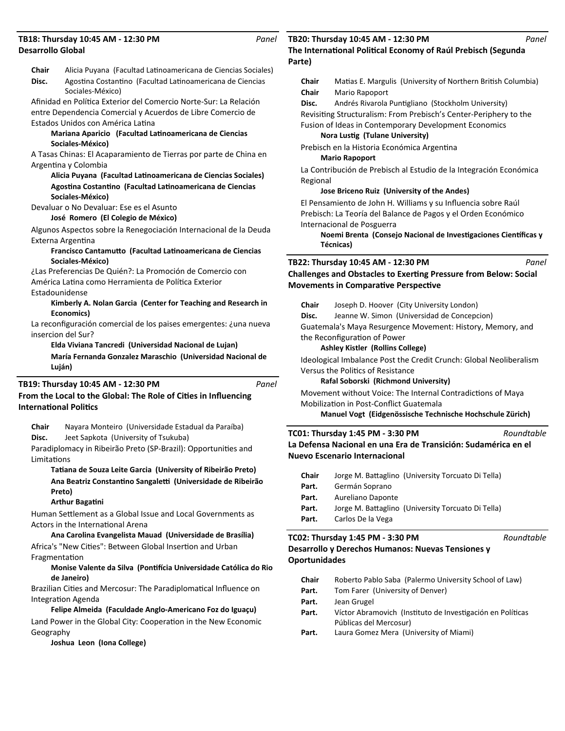### **Desarrollo Global TB18: Thursday 10:45 AM - 12:30 PM**

*Panel*

|                               | <b>Desarrollo Global</b>                                                                                                                       |  |  |
|-------------------------------|------------------------------------------------------------------------------------------------------------------------------------------------|--|--|
| Chair<br>Disc.                | Alicia Puyana (Facultad Latinoamericana de Ciencias Sociales)<br>Agostina Costantino (Facultad Latinoamericana de Ciencias<br>Sociales-México) |  |  |
|                               | Afinidad en Política Exterior del Comercio Norte-Sur: La Relación                                                                              |  |  |
|                               | entre Dependencia Comercial y Acuerdos de Libre Comercio de                                                                                    |  |  |
|                               | Estados Unidos con América Latina                                                                                                              |  |  |
|                               | Mariana Aparicio (Facultad Latinoamericana de Ciencias                                                                                         |  |  |
|                               | Sociales-México)                                                                                                                               |  |  |
|                               | A Tasas Chinas: El Acaparamiento de Tierras por parte de China en<br>Argentina y Colombia                                                      |  |  |
|                               | Alicia Puyana (Facultad Latinoamericana de Ciencias Sociales)                                                                                  |  |  |
|                               | Agostina Costantino (Facultad Latinoamericana de Ciencias                                                                                      |  |  |
|                               | Sociales-México)                                                                                                                               |  |  |
|                               | Devaluar o No Devaluar: Ese es el Asunto                                                                                                       |  |  |
|                               | José Romero (El Colegio de México)                                                                                                             |  |  |
|                               | Algunos Aspectos sobre la Renegociación Internacional de la Deuda                                                                              |  |  |
|                               | Externa Argentina                                                                                                                              |  |  |
|                               | Francisco Cantamutto (Facultad Latinoamericana de Ciencias<br>Sociales-México)                                                                 |  |  |
|                               | ¿Las Preferencias De Quién?: La Promoción de Comercio con                                                                                      |  |  |
|                               | América Latina como Herramienta de Política Exterior                                                                                           |  |  |
| Estadounidense                |                                                                                                                                                |  |  |
|                               | Kimberly A. Nolan Garcia (Center for Teaching and Research in<br>Economics)                                                                    |  |  |
|                               | La reconfiguración comercial de los paises emergentes: ¿una nueva                                                                              |  |  |
|                               | insercion del Sur?                                                                                                                             |  |  |
|                               | Elda Viviana Tancredi (Universidad Nacional de Lujan)                                                                                          |  |  |
|                               | María Fernanda Gonzalez Maraschio (Universidad Nacional de                                                                                     |  |  |
|                               | Luján)                                                                                                                                         |  |  |
|                               | TB19: Thursday 10:45 AM - 12:30 PM<br>Panel                                                                                                    |  |  |
|                               | From the Local to the Global: The Role of Cities in Influencing                                                                                |  |  |
| <b>International Politics</b> |                                                                                                                                                |  |  |
| Chair<br>Disc.                | Nayara Monteiro (Universidade Estadual da Paraíba)<br>Jeet Sapkota (University of Tsukuba)                                                     |  |  |

Paradiplomacy in Ribeirão Preto (SP-Brazil): Opportunities and **Limitations** 

**TaƟana de Souza Leite Garcia (University of Ribeirão Preto) Ana Beatriz ConstanƟno Sangaleƫ (Universidade de Ribeirão Preto)**

### **Arthur BagaƟni**

Human Settlement as a Global Issue and Local Governments as Actors in the International Arena

**Ana Carolina Evangelista Mauad (Universidade de Brasília)** Africa's "New Cities": Between Global Insertion and Urban FragmentaƟon

### **Monise Valente da Silva (PonƟİcia Universidade Católica do Rio de Janeiro)**

Brazilian Cities and Mercosur: The Paradiplomatical Influence on Integration Agenda

**Felipe Almeida (Faculdade Anglo-Americano Foz do Iguaçu)** Land Power in the Global City: Cooperation in the New Economic Geography

**Joshua Leon (Iona College)**

### **The International Political Economy of Raúl Prebisch (Segunda TB20: Thursday 10:45 AM - 12:30 PM**

### **Parte)**

**Chair** Matias E. Margulis (University of Northern British Columbia) **Chair** Mario Rapoport Disc. Andrés Rivarola Puntigliano (Stockholm University) Revisiting Structuralism: From Prebisch's Center-Periphery to the Fusion of Ideas in Contemporary Development Economics **Nora LusƟg (Tulane University)** Prebisch en la Historia Económica Argentina **Mario Rapoport**  La Contribución de Prebisch al Estudio de la Integración Económica Regional **Jose Briceno Ruiz (University of the Andes)** El Pensamiento de John H. Williams y su Influencia sobre Raúl Prebisch: La Teoría del Balance de Pagos y el Orden Económico Internacional de Posguerra **Noemi Brenta (Consejo Nacional de Investigaciones Científicas y Técnicas) TB22: Thursday 10:45 AM - 12:30 PM** *Panel*

**Challenges and Obstacles to Exerting Pressure from Below: Social Movements in Comparative Perspective** 

| Chair                                                      | Joseph D. Hoover (City University London)   |  |
|------------------------------------------------------------|---------------------------------------------|--|
| Disc.                                                      | Jeanne W. Simon (Universidad de Concepcion) |  |
| Guatemala's Maya Resurgence Movement: History, Memory, and |                                             |  |
| the Reconfiguration of Power                               |                                             |  |

#### **Ashley Kistler (Rollins College)**

Ideological Imbalance Post the Credit Crunch: Global Neoliberalism Versus the Politics of Resistance

**Rafal Soborski (Richmond University)**

Movement without Voice: The Internal Contradictions of Maya Mobilization in Post-Conflict Guatemala

**Manuel Vogt (Eidgenössische Technische Hochschule Zürich)**

#### **La Defensa Nacional en una Era de Transición: Sudamérica en el Nuevo Escenario Internacional TC01: Thursday 1:45 PM - 3:30 PM** *Roundtable*

| <b>Chair</b> |                   | Jorge M. Battaglino (University Torcuato Di Tella) |
|--------------|-------------------|----------------------------------------------------|
| Part.        | Germán Soprano    |                                                    |
| Part.        | Aureliano Daponte |                                                    |
| Part.        |                   | Jorge M. Battaglino (University Torcuato Di Tella) |
| Part.        | Carlos De la Vega |                                                    |

### **Desarrollo y Derechos Humanos: Nuevas Tensiones y Oportunidades TC02: Thursday 1:45 PM - 3:30 PM**

| <b>Chair</b> | Roberto Pablo Saba (Palermo University School of Law)      |
|--------------|------------------------------------------------------------|
| Part.        | Tom Farer (University of Denver)                           |
| Part.        | Jean Grugel                                                |
| Part.        | Víctor Abramovich (Instituto de Investigación en Políticas |
|              | Públicas del Mercosur)                                     |
| Part.        | Laura Gomez Mera (University of Miami)                     |
|              |                                                            |

*Roundtable*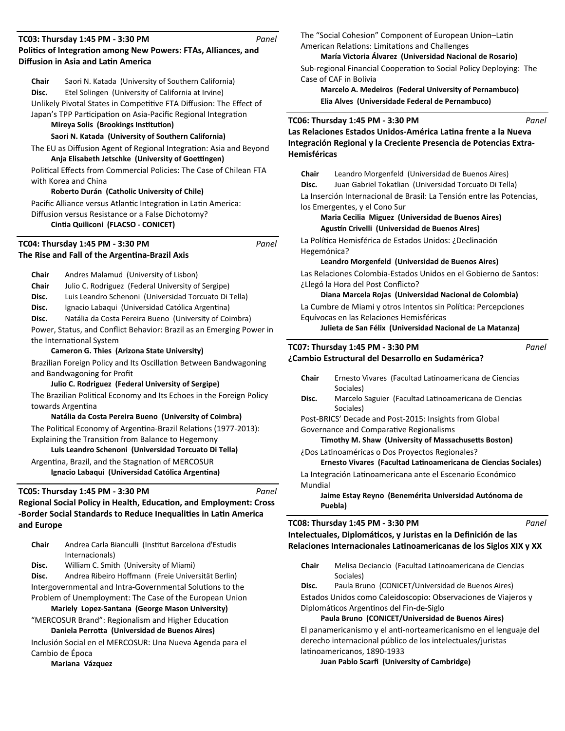#### **Politics of Integration among New Powers: FTAs, Alliances, and Diffusion in Asia and Latin America TC03: Thursday 1:45 PM - 3:30 PM** *Panel*

**Chair** Saori N. Katada (University of Southern California) **Disc.** Etel Solingen (University of California at Irvine)

Unlikely Pivotal States in Competitive FTA Diffusion: The Effect of Japan's TPP Participation on Asia-Pacific Regional Integration

### **Mireya Solis (Brookings Institution)**

### **Saori N. Katada (University of Southern California)**

The EU as Diffusion Agent of Regional Integration: Asia and Beyond **Anja Elisabeth Jetschke (University of Goettingen)** 

Political Effects from Commercial Policies: The Case of Chilean FTA with Korea and China

### **Roberto Durán (Catholic University of Chile)**

Pacific Alliance versus Atlantic Integration in Latin America: Diffusion versus Resistance or a False Dichotomy?

# **CinƟa Quiliconi (FLACSO - CONICET)**

**The Rise and Fall of the Argentina-Brazil Axis TC04: Thursday 1:45 PM - 3:30 PM** *Panel*

**Chair** Andres Malamud (University of Lisbon) **Chair** Julio C. Rodriguez (Federal University of Sergipe) **Disc.** Luis Leandro Schenoni (Universidad Torcuato Di Tella) **Disc.** Ignacio Labaqui (Universidad Católica Argentina) **Disc.** Natália da Costa Pereira Bueno (University of Coimbra) Power, Status, and Conflict Behavior: Brazil as an Emerging Power in the International System

### **Cameron G. Thies (Arizona State University)**

Brazilian Foreign Policy and Its Oscillation Between Bandwagoning and Bandwagoning for Profit

#### **Julio C. Rodriguez (Federal University of Sergipe)**

The Brazilian Political Economy and Its Echoes in the Foreign Policy towards Argentina

### **Natália da Costa Pereira Bueno (University of Coimbra)** The Political Economy of Argentina-Brazil Relations (1977-2013): Explaining the Transition from Balance to Hegemony

**Luis Leandro Schenoni (Universidad Torcuato Di Tella)** Argentina, Brazil, and the Stagnation of MERCOSUR

Ignacio Labaqui (Universidad Católica Argentina)

### **TC05: Thursday 1:45 PM - 3:30 PM**

*Panel*

# **Regional Social Policy in Health, Education, and Employment: Cross -Border Social Standards to Reduce Inequalities in Latin America and Europe**

| <b>Chair</b> | Andrea Carla Bianculli (Institut Barcelona d'Estudis |
|--------------|------------------------------------------------------|
|              | Internacionals)                                      |

**Disc.** William C. Smith (University of Miami)

Disc. Andrea Ribeiro Hoffmann (Freie Universität Berlin)

Intergovernmental and Intra-Governmental Solutions to the Problem of Unemployment: The Case of the European Union

**Mariely Lopez-Santana (George Mason University)** "MERCOSUR Brand": Regionalism and Higher Education

**Daniela PerroƩa (Universidad de Buenos Aires)**

Inclusión Social en el MERCOSUR: Una Nueva Agenda para el Cambio de Época

## **Mariana Vázquez**

The "Social Cohesion" Component of European Union-Latin American Relations: Limitations and Challenges

### **María Victoria Álvarez (Universidad Nacional de Rosario)**

Sub-regional Financial Cooperation to Social Policy Deploying: The Case of CAF in Bolivia

**Marcelo A. Medeiros (Federal University of Pernambuco) Elia Alves (Universidade Federal de Pernambuco)**

### **TC06: Thursday 1:45 PM - 3:30 PM**

Las Relaciones Estados Unidos-América Latina frente a la Nueva **Integración Regional y la Creciente Presencia de Potencias Extra-Hemisféricas**

**Chair** Leandro Morgenfeld (Universidad de Buenos Aires) **Disc.** Juan Gabriel Tokatlian (Universidad Torcuato Di Tella) La Inserción Internacional de Brasil: La Tensión entre las Potencias, los Emergentes, y el Cono Sur

### **Maria Cecilia Miguez (Universidad de Buenos Aires) Agusơn Crivelli (Universidad de Buenos AIres)**

La Política Hemisférica de Estados Unidos: ¿Declinación Hegemónica?

**Leandro Morgenfeld (Universidad de Buenos Aires)**

Las Relaciones Colombia-Estados Unidos en el Gobierno de Santos: ¿Llegó la Hora del Post Conflicto?

### **Diana Marcela Rojas (Universidad Nacional de Colombia)**

La Cumbre de Miami y otros Intentos sin Política: Percepciones Equívocas en las Relaciones Hemisféricas

**Julieta de San Félix (Universidad Nacional de La Matanza)**

### **¿Cambio Estructural del Desarrollo en Sudamérica? TC07: Thursday 1:45 PM - 3:30 PM**

*Panel*

*Panel*

*Panel*

- **Chair** Ernesto Vivares (Facultad Latinoamericana de Ciencias Sociales)
- **Disc.** Marcelo Saguier (Facultad Latinoamericana de Ciencias Sociales)

Post-BRICS' Decade and Post-2015: Insights from Global Governance and Comparative Regionalisms

**Timothy M. Shaw (University of Massachusetts Boston)** 

¿Dos Latinoaméricas o Dos Proyectos Regionales?

**Ernesto Vivares (Facultad LaƟnoamericana de Ciencias Sociales)**

La Integración Latinoamericana ante el Escenario Económico Mundial

**Jaime Estay Reyno (Benemérita Universidad Autónoma de Puebla)**

### **TC08: Thursday 1:45 PM - 3:30 PM**

Intelectuales, Diplomáticos, y Juristas en la Definición de las Relaciones Internacionales Latinoamericanas de los Siglos XIX y XX

**Chair** Melisa Deciancio (Facultad Latinoamericana de Ciencias Sociales)

**Disc.** Paula Bruno (CONICET/Universidad de Buenos Aires)

Estados Unidos como Caleidoscopio: Observaciones de Viajeros y Diplomáticos Argentinos del Fin-de-Siglo

### **Paula Bruno (CONICET/Universidad de Buenos Aires)**

El panamericanismo y el anti-norteamericanismo en el lenguaje del derecho internacional público de los intelectuales/juristas latinoamericanos, 1890-1933

**Juan Pablo Scarfi (University of Cambridge)**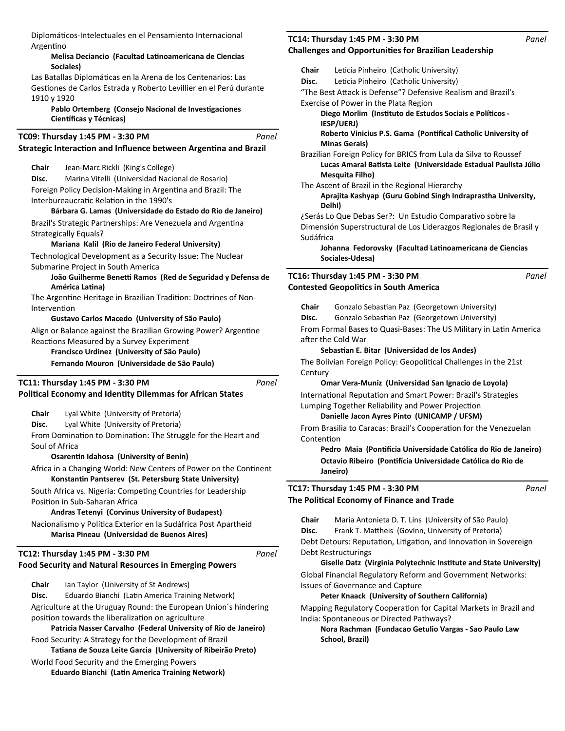DiplomáƟcos-Intelectuales en el Pensamiento Internacional Argentino

### **Melisa Deciancio (Facultad LaƟnoamericana de Ciencias Sociales)**

Las Batallas Diplomáticas en la Arena de los Centenarios: Las Gestiones de Carlos Estrada y Roberto Levillier en el Perú durante 1910 y 1920

Pablo Ortemberg (Consejo Nacional de Investigaciones **Científicas y Técnicas)** 

#### **Strategic Interaction and Influence between Argentina and Brazil TC09: Thursday 1:45 PM - 3:30 PM** *Panel*

**Chair** Jean-Marc Rickli (King's College)

**Disc.** Marina Vitelli (Universidad Nacional de Rosario) Foreign Policy Decision-Making in Argentina and Brazil: The Interbureaucratic Relation in the 1990's

### **Bárbara G. Lamas (Universidade do Estado do Rio de Janeiro)**

Brazil's Strategic Partnerships: Are Venezuela and Argentina Strategically Equals?

### **Mariana Kalil (Rio de Janeiro Federal University)**

Technological Development as a Security Issue: The Nuclear Submarine Project in South America

### João Guilherme Benetti Ramos (Red de Seguridad y Defensa de **América LaƟna)**

The Argentine Heritage in Brazilian Tradition: Doctrines of Non-Intervention

### **Gustavo Carlos Macedo (University of São Paulo)**

Align or Balance against the Brazilian Growing Power? Argentine Reactions Measured by a Survey Experiment

# **Francisco Urdinez (University of São Paulo)**

**Fernando Mouron (Universidade de São Paulo)**

### **TC11: Thursday 1:45 PM - 3:30 PM**

### **PoliƟcal Economy and IdenƟty Dilemmas for African States**

**Chair** Lyal White (University of Pretoria)

**Disc.** Lyal White (University of Pretoria)

From Domination to Domination: The Struggle for the Heart and Soul of Africa

**OsarenƟn Idahosa (University of Benin)**

Africa in a Changing World: New Centers of Power on the Continent **KonstanƟn Pantserev (St. Petersburg State University)**

South Africa vs. Nigeria: Competing Countries for Leadership Position in Sub-Saharan Africa

### **Andras Tetenyi (Corvinus University of Budapest)**

Nacionalismo y Política Exterior en la Sudáfrica Post Apartheid **Marisa Pineau (Universidad de Buenos Aires)**

## **TC12: Thursday 1:45 PM - 3:30 PM**

### **Food Security and Natural Resources in Emerging Powers**

**Chair** Ian Taylor (University of St Andrews)

Disc. Eduardo Bianchi (Latin America Training Network)

Agriculture at the Uruguay Round: the European Union´s hindering position towards the liberalization on agriculture

**Patricia Nasser Carvalho (Federal University of Rio de Janeiro)** Food Security: A Strategy for the Development of Brazil

**TaƟana de Souza Leite Garcia (University of Ribeirão Preto)**

World Food Security and the Emerging Powers **Eduardo Bianchi (LaƟn America Training Network)**

### **Challenges and OpportuniƟes for Brazilian Leadership TC14: Thursday 1:45 PM - 3:30 PM**

| Chair     | Leticia Pinheiro (Catholic University)                             |
|-----------|--------------------------------------------------------------------|
| Disc.     | Leticia Pinheiro (Catholic University)                             |
|           | "The Best Attack is Defense"? Defensive Realism and Brazil's       |
|           | Exercise of Power in the Plata Region                              |
|           | Diego Morlim (Instituto de Estudos Sociais e Políticos -           |
|           | <b>IESP/UERJ</b> )                                                 |
|           | Roberto Vinicius P.S. Gama (Pontifical Catholic University of      |
|           | <b>Minas Gerais)</b>                                               |
|           | Brazilian Foreign Policy for BRICS from Lula da Silva to Roussef   |
|           | Lucas Amaral Batista Leite (Universidade Estadual Paulista Júlio   |
|           | Mesquita Filho)                                                    |
|           | The Ascent of Brazil in the Regional Hierarchy                     |
|           | Aprajita Kashyap (Guru Gobind Singh Indraprastha University,       |
| Delhi)    |                                                                    |
|           | ¿Serás Lo Que Debas Ser?: Un Estudio Comparativo sobre la          |
|           | Dimensión Superstructural de Los Liderazgos Regionales de Brasil y |
| Sudáfrica |                                                                    |
|           | Johanna Fedorovsky (Facultad Latinoamericana de Ciencias           |
|           | Sociales-Udesa)                                                    |
|           |                                                                    |

### **Contested GeopoliƟcs in South America TC16: Thursday 1:45 PM - 3:30 PM**

*Panel*

*Panel*

Chair Gonzalo Sebastian Paz (Georgetown University)

Disc. Gonzalo Sebastian Paz (Georgetown University)

From Formal Bases to Quasi-Bases: The US Military in Latin America after the Cold War

### Sebastian E. Bitar (Universidad de los Andes)

The Bolivian Foreign Policy: Geopolitical Challenges in the 21st **Century** 

### **Omar Vera-Muniz (Universidad San Ignacio de Loyola)**

International Reputation and Smart Power: Brazil's Strategies Lumping Together Reliability and Power Projection

### **Danielle Jacon Ayres Pinto (UNICAMP / UFSM)**

From Brasilia to Caracas: Brazil's Cooperation for the Venezuelan **Contention** 

**Pedro Maia (PonƟİcia Universidade Católica do Rio de Janeiro) Octavio Ribeiro (PonƟİcia Universidade Católica do Rio de Janeiro)**

# **TC17: Thursday 1:45 PM - 3:30 PM**

**The PoliƟcal Economy of Finance and Trade**

**Chair** Maria Antonieta D. T. Lins (University of São Paulo) **Disc.** Frank T. Mattheis (GovInn, University of Pretoria) Debt Detours: Reputation, Litigation, and Innovation in Sovereign Debt Restructurings

**Giselle Datz (Virginia Polytechnic InsƟtute and State University)** Global Financial Regulatory Reform and Government Networks:

Issues of Governance and Capture

**Peter Knaack (University of Southern California)**

Mapping Regulatory Cooperation for Capital Markets in Brazil and India: Spontaneous or Directed Pathways?

**Nora Rachman (Fundacao Getulio Vargas - Sao Paulo Law School, Brazil)**

*Panel*

*Panel*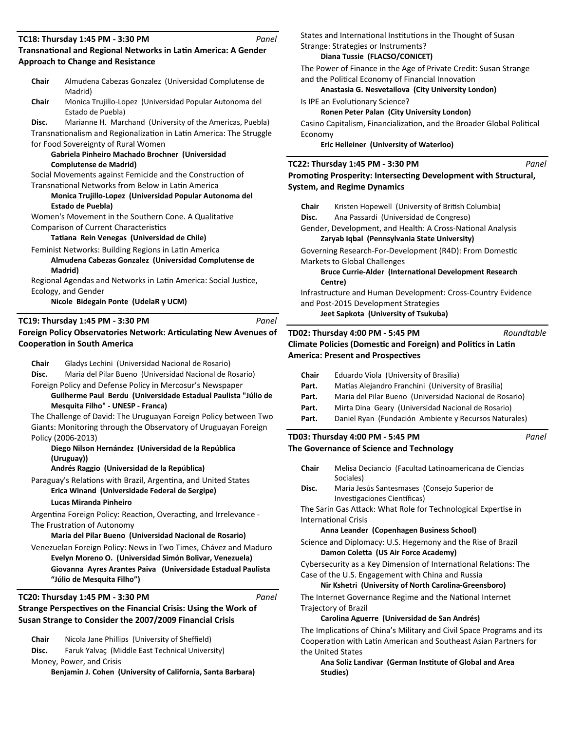#### **Transnational and Regional Networks in Latin America: A Gender Approach to Change and Resistance TC18: Thursday 1:45 PM - 3:30 PM** *Panel*

| <b>Chair</b>                                                                          | Almudena Cabezas Gonzalez (Universidad Complutense de<br>Madrid)                                      |  |
|---------------------------------------------------------------------------------------|-------------------------------------------------------------------------------------------------------|--|
| Chair                                                                                 | Monica Trujillo-Lopez (Universidad Popular Autonoma del<br>Estado de Puebla)                          |  |
| Disc.                                                                                 | Marianne H. Marchand (University of the Americas, Puebla)                                             |  |
|                                                                                       | Transnationalism and Regionalization in Latin America: The Struggle                                   |  |
|                                                                                       | for Food Sovereignty of Rural Women                                                                   |  |
|                                                                                       | Gabriela Pinheiro Machado Brochner (Universidad                                                       |  |
|                                                                                       | <b>Complutense de Madrid)</b>                                                                         |  |
|                                                                                       | Social Movements against Femicide and the Construction of                                             |  |
|                                                                                       | Transnational Networks from Below in Latin America                                                    |  |
|                                                                                       | Monica Trujillo-Lopez (Universidad Popular Autonoma del                                               |  |
|                                                                                       | Estado de Puebla)                                                                                     |  |
|                                                                                       | Women's Movement in the Southern Cone. A Qualitative                                                  |  |
|                                                                                       | <b>Comparison of Current Characteristics</b>                                                          |  |
|                                                                                       | Tatiana Rein Venegas (Universidad de Chile)                                                           |  |
|                                                                                       | Feminist Networks: Building Regions in Latin America                                                  |  |
|                                                                                       | Almudena Cabezas Gonzalez (Universidad Complutense de                                                 |  |
|                                                                                       | Madrid)<br>Regional Agendas and Networks in Latin America: Social Justice,                            |  |
|                                                                                       | Ecology, and Gender                                                                                   |  |
|                                                                                       | Nicole Bidegain Ponte (UdelaR y UCM)                                                                  |  |
|                                                                                       |                                                                                                       |  |
|                                                                                       | TC19: Thursday 1:45 PM - 3:30 PM<br>Panel                                                             |  |
|                                                                                       | Foreign Policy Observatories Network: Articulating New Avenues of                                     |  |
|                                                                                       | <b>Cooperation in South America</b>                                                                   |  |
|                                                                                       |                                                                                                       |  |
| Chair                                                                                 | Gladys Lechini (Universidad Nacional de Rosario)                                                      |  |
| Disc.                                                                                 | Maria del Pilar Bueno (Universidad Nacional de Rosario)                                               |  |
|                                                                                       | Foreign Policy and Defense Policy in Mercosur's Newspaper                                             |  |
|                                                                                       | Guilherme Paul Berdu (Universidade Estadual Paulista "Júlio de                                        |  |
|                                                                                       | Mesquita Filho" - UNESP - Franca)<br>The Challenge of David: The Uruguayan Foreign Policy between Two |  |
|                                                                                       |                                                                                                       |  |
| Giants: Monitoring through the Observatory of Uruguayan Foreign<br>Policy (2006-2013) |                                                                                                       |  |
|                                                                                       | Diego Nilson Hernández (Universidad de la República                                                   |  |
|                                                                                       | (Uruguay))                                                                                            |  |
|                                                                                       | Andrés Raggio (Universidad de la República)                                                           |  |
|                                                                                       |                                                                                                       |  |

Paraguay's Relations with Brazil, Argentina, and United States **Erica Winand (Universidade Federal de Sergipe)**

### **Lucas Miranda Pinheiro**

Argentina Foreign Policy: Reaction, Overacting, and Irrelevance -The Frustration of Autonomy

**Maria del Pilar Bueno (Universidad Nacional de Rosario)**

Venezuelan Foreign Policy: News in Two Times, Chávez and Maduro **Evelyn Moreno O. (Universidad Simón Bolivar, Venezuela) Giovanna Ayres Arantes Paiva (Universidade Estadual Paulista "Júlio de Mesquita Filho")**

### **TC20: Thursday 1:45 PM - 3:30 PM**

*Panel*

# **Strange Perspectives on the Financial Crisis: Using the Work of Susan Strange to Consider the 2007/2009 Financial Crisis**

**Chair** Nicola Jane Phillips (University of Sheffield)

**Disc.** Faruk Yalvaç (Middle East Technical University)

Money, Power, and Crisis

**Benjamin J. Cohen (University of California, Santa Barbara)**

States and International Institutions in the Thought of Susan

### Strange: Strategies or Instruments? **Diana Tussie (FLACSO/CONICET)**

The Power of Finance in the Age of Private Credit: Susan Strange and the Political Economy of Financial Innovation

**Anastasia G. Nesvetailova (City University London)**

Is IPE an Evolutionary Science?

**Ronen Peter Palan (City University London)**

Casino Capitalism, Financialization, and the Broader Global Political Economy

**Eric Helleiner (University of Waterloo)**

### **TC22: Thursday 1:45 PM - 3:30 PM**

*Panel*

*Panel*

**Promoting Prosperity: Intersecting Development with Structural, System, and Regime Dynamics**

| <b>Chair</b> | Kristen Hopewell (University of British Columbia)                                                                                            |
|--------------|----------------------------------------------------------------------------------------------------------------------------------------------|
| Disc.        | Ana Passardi (Universidad de Congreso)                                                                                                       |
|              | Gender, Development, and Health: A Cross-National Analysis<br>Zaryab Iqbal (Pennsylvania State University)                                   |
|              | Governing Research-For-Development (R4D): From Domestic<br><b>Markets to Global Challenges</b>                                               |
|              | <b>Bruce Currie-Alder (International Development Research</b><br>Centre)                                                                     |
|              | Infrastructure and Human Development: Cross-Country Evidence<br>and Post-2015 Development Strategies<br>Jeet Sapkota (University of Tsukuba) |
|              |                                                                                                                                              |

#### **Climate Policies (Domestic and Foreign) and Politics in Latin America: Present and Prospectives TD02: Thursday 4:00 PM - 5:45 PM** *Roundtable*

| Matías Alejandro Franchini (University of Brasília)     |
|---------------------------------------------------------|
| Maria del Pilar Bueno (Universidad Nacional de Rosario) |
| Mirta Dina Geary (Universidad Nacional de Rosario)      |
| Daniel Ryan (Fundación Ambiente y Recursos Naturales)   |
|                                                         |

### **The Governance of Science and Technology TD03: Thursday 4:00 PM - 5:45 PM**

Chair Melisa Deciancio (Facultad Latinoamericana de Ciencias Sociales)

**Disc.** María Jesús Santesmases (Consejo Superior de Investigaciones Científicas)

The Sarin Gas Attack: What Role for Technological Expertise in InternaƟonal Crisis

### **Anna Leander (Copenhagen Business School)**

Science and Diplomacy: U.S. Hegemony and the Rise of Brazil **Damon ColeƩa (US Air Force Academy)**

Cybersecurity as a Key Dimension of International Relations: The Case of the U.S. Engagement with China and Russia

### **Nir Kshetri (University of North Carolina-Greensboro)** The Internet Governance Regime and the National Internet

Trajectory of Brazil

# **Carolina Aguerre (Universidad de San Andrés)**

The Implications of China's Military and Civil Space Programs and its Cooperation with Latin American and Southeast Asian Partners for the United States

**Ana Soliz Landivar (German InsƟtute of Global and Area Studies)**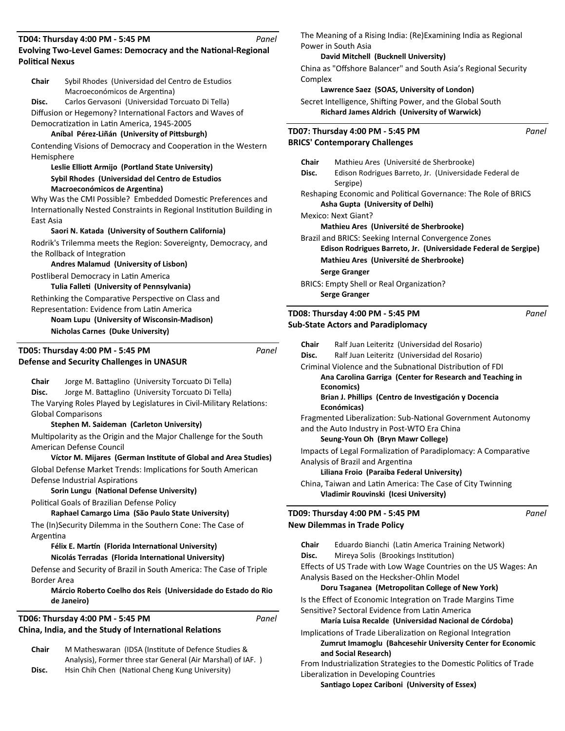**Evolving Two-Level Games: Democracy and the National-Regional Political Nexus TD04: Thursday 4:00 PM - 5:45 PM** *Panel*

**Chair** Sybil Rhodes (Universidad del Centro de Estudios Macroeconómicos de Argentina)

**Disc.** Carlos Gervasoni (Universidad Torcuato Di Tella) Diffusion or Hegemony? International Factors and Waves of Democratization in Latin America, 1945-2005

### **Aníbal Pérez-Liñán (University of PiƩsburgh)**

Contending Visions of Democracy and Cooperation in the Western Hemisphere

**Leslie EllioƩ Armijo (Portland State University) Sybil Rhodes (Universidad del Centro de Estudios Macroeconómicos de Argentina)** 

Why Was the CMI Possible? Embedded Domestic Preferences and Internationally Nested Constraints in Regional Institution Building in East Asia

**Saori N. Katada (University of Southern California)** Rodrik's Trilemma meets the Region: Sovereignty, Democracy, and the Rollback of Integration

**Andres Malamud (University of Lisbon)**

Postliberal Democracy in Latin America

**Tulia FalleƟ (University of Pennsylvania)** Rethinking the Comparative Perspective on Class and

Representation: Evidence from Latin America **Noam Lupu (University of Wisconsin-Madison) Nicholas Carnes (Duke University)**

```
Defense and Security Challenges in UNASUR 
TD05: Thursday 4:00 PM - 5:45 PM
```
Chair Jorge M. Battaglino (University Torcuato Di Tella) **Disc.** Jorge M. Battaglino (University Torcuato Di Tella) The Varying Roles Played by Legislatures in Civil-Military Relations: Global Comparisons

### **Stephen M. Saideman (Carleton University)**

Multipolarity as the Origin and the Major Challenge for the South American Defense Council

**Víctor M. Mijares (German InsƟtute of Global and Area Studies)** Global Defense Market Trends: Implications for South American Defense Industrial Aspirations

### **Sorin Lungu (National Defense University)**

Political Goals of Brazilian Defense Policy

**Raphael Camargo Lima (São Paulo State University)**

The (In)Security Dilemma in the Southern Cone: The Case of ArgenƟna

### Félix E. Martín (Florida International University) **Nicolás Terradas (Florida InternaƟonal University)**

Defense and Security of Brazil in South America: The Case of Triple Border Area

**Márcio Roberto Coelho dos Reis (Universidade do Estado do Rio de Janeiro)**

**China, India, and the Study of International Relations TD06: Thursday 4:00 PM - 5:45 PM**

**Chair** M Matheswaran (IDSA (InsƟtute of Defence Studies & Analysis), Former three star General (Air Marshal) of IAF. ) **Disc.** Hsin Chih Chen (National Cheng Kung University)

The Meaning of a Rising India: (Re)Examining India as Regional Power in South Asia

### **David Mitchell (Bucknell University)**

China as "Offshore Balancer" and South Asia's Regional Security Complex

### **Lawrence Saez (SOAS, University of London)**

Secret Intelligence, Shifting Power, and the Global South **Richard James Aldrich (University of Warwick)**

| TD07: Thursday 4:00 PM - 5:45 PM<br>Panel                                                          |                                                                                                                         |  |
|----------------------------------------------------------------------------------------------------|-------------------------------------------------------------------------------------------------------------------------|--|
|                                                                                                    | <b>BRICS' Contemporary Challenges</b>                                                                                   |  |
|                                                                                                    | Chair<br>Mathieu Ares (Université de Sherbrooke)                                                                        |  |
| Disc.                                                                                              | Edison Rodrigues Barreto, Jr. (Universidade Federal de<br>Sergipe)                                                      |  |
| Reshaping Economic and Political Governance: The Role of BRICS<br>Asha Gupta (University of Delhi) |                                                                                                                         |  |
| Mexico: Next Giant?                                                                                |                                                                                                                         |  |
|                                                                                                    | Mathieu Ares (Université de Sherbrooke)                                                                                 |  |
|                                                                                                    | Brazil and BRICS: Seeking Internal Convergence Zones<br>Edison Rodrigues Barreto, Jr. (Universidade Federal de Sergipe) |  |
|                                                                                                    | Mathieu Ares (Université de Sherbrooke)                                                                                 |  |
|                                                                                                    | Serge Granger                                                                                                           |  |
|                                                                                                    | <b>BRICS: Empty Shell or Real Organization?</b>                                                                         |  |
|                                                                                                    | <b>Serge Granger</b>                                                                                                    |  |

# **Sub-State Actors and Paradiplomacy TD08: Thursday 4:00 PM - 5:45 PM**

*Panel*

*Panel*

## **New Dilemmas in Trade Policy TD09: Thursday 4:00 PM - 5:45 PM**

| <b>Chair</b>                                    | Eduardo Bianchi (Latin America Training Network)                    |  |  |
|-------------------------------------------------|---------------------------------------------------------------------|--|--|
| Disc.                                           | Mireya Solis (Brookings Institution)                                |  |  |
|                                                 | Effects of US Trade with Low Wage Countries on the US Wages: An     |  |  |
|                                                 | Analysis Based on the Hecksher-Ohlin Model                          |  |  |
|                                                 | Doru Tsaganea (Metropolitan College of New York)                    |  |  |
|                                                 | Is the Effect of Economic Integration on Trade Margins Time         |  |  |
| Sensitive? Sectoral Evidence from Latin America |                                                                     |  |  |
|                                                 | María Luisa Recalde (Universidad Nacional de Córdoba)               |  |  |
|                                                 | Implications of Trade Liberalization on Regional Integration        |  |  |
|                                                 | Zumrut Imamoglu (Bahcesehir University Center for Economic          |  |  |
|                                                 | and Social Research)                                                |  |  |
|                                                 | From Industrialization Strategies to the Domestic Politics of Trade |  |  |
|                                                 | Liberalization in Developing Countries                              |  |  |

**Santiago Lopez Cariboni (University of Essex)** 

*Panel*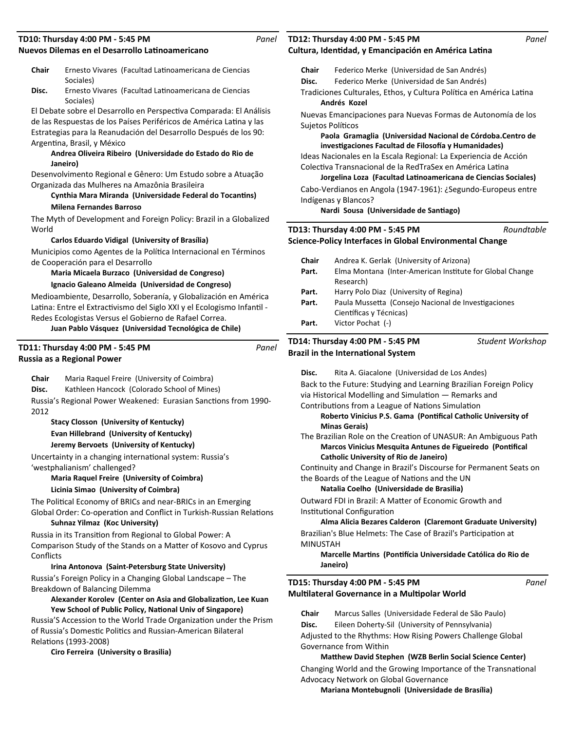### **Nuevos Dilemas en el Desarrollo LaƟnoamericano TD10: Thursday 4:00 PM - 5:45 PM**

- **Chair** Ernesto Vivares (Facultad Latinoamericana de Ciencias Sociales)
- Disc. Ernesto Vivares (Facultad Latinoamericana de Ciencias Sociales)

El Debate sobre el Desarrollo en Perspectiva Comparada: El Análisis de las Respuestas de los Países Periféricos de América Latina y las Estrategias para la Reanudación del Desarrollo Después de los 90: ArgenƟna, Brasil, y México

### **Andrea Oliveira Ribeiro (Universidade do Estado do Rio de Janeiro)**

Desenvolvimento Regional e Gênero: Um Estudo sobre a Atuação Organizada das Mulheres na Amazônia Brasileira

## Cynthia Mara Miranda (Universidade Federal do Tocantins) **Milena Fernandes Barroso**

The Myth of Development and Foreign Policy: Brazil in a Globalized World

### **Carlos Eduardo Vidigal (University of Brasília)**

Municipios como Agentes de la Política Internacional en Términos de Cooperación para el Desarrollo

**Maria Micaela Burzaco (Universidad de Congreso)**

### **Ignacio Galeano Almeida (Universidad de Congreso)**

Medioambiente, Desarrollo, Soberanía, y Globalización en América Latina: Entre el Extractivismo del Siglo XXI y el Ecologismo Infantil -Redes Ecologistas Versus el Gobierno de Rafael Correa.

**Juan Pablo Vásquez (Universidad Tecnológica de Chile)**

| TD11: Thursday 4:00 PM - 5:45 PM |
|----------------------------------|
| Russia as a Regional Power       |

| Chair | Maria Raquel Freire (University of Coimbra) |
|-------|---------------------------------------------|
|-------|---------------------------------------------|

**Disc.** Kathleen Hancock (Colorado School of Mines)

Russia's Regional Power Weakened: Eurasian Sanctions from 1990-2012

### **Stacy Closson (University of Kentucky) Evan Hillebrand (University of Kentucky) Jeremy Bervoets (University of Kentucky)**

Uncertainty in a changing international system: Russia's 'westphalianism' challenged?

### **Maria Raquel Freire (University of Coimbra) Licinia Simao (University of Coimbra)**

The Political Economy of BRICs and near-BRICs in an Emerging Global Order: Co-operation and Conflict in Turkish-Russian Relations **Suhnaz Yilmaz (Koc University)**

### Russia in its Transition from Regional to Global Power: A Comparison Study of the Stands on a Matter of Kosovo and Cyprus Conflicts

## **Irina Antonova (Saint-Petersburg State University)**

Russia's Foreign Policy in a Changing Global Landscape – The Breakdown of Balancing Dilemma

### **Alexander Korolev (Center on Asia and Globalization, Lee Kuan** Yew School of Public Policy, National Univ of Singapore)

Russia'S Accession to the World Trade Organization under the Prism of Russia's Domestic Politics and Russian-American Bilateral Relations (1993-2008)

### **Ciro Ferreira (University o Brasilia)**

#### *Panel* **Cultura, Identidad, y Emancipación en América Latina TD12: Thursday 4:00 PM - 5:45 PM**

**Chair** Federico Merke (Universidad de San Andrés)

- **Disc.** Federico Merke (Universidad de San Andrés)
- Tradiciones Culturales, Ethos, y Cultura Política en América Latina **Andrés Kozel**

Nuevas Emancipaciones para Nuevas Formas de Autonomía de los Sujetos Políticos

# **Paola Gramaglia (Universidad Nacional de Córdoba.Centro de**  investigaciones Facultad de Filosofía y Humanidades)

Ideas Nacionales en la Escala Regional: La Experiencia de Acción Colectiva Transnacional de la RedTraSex en América Latina

**Jorgelina Loza (Facultad LaƟnoamericana de Ciencias Sociales)** Cabo-Verdianos en Angola (1947-1961): ¿Segundo-Europeus entre Indígenas y Blancos?

**Nardi Sousa (Universidade de Santiago)** 

**TD13: Thursday 4:00 PM - 5:45 PM** *Roundtable*

### **Science-Policy Interfaces in Global Environmental Change**

| <b>Chair</b> | Andrea K. Gerlak (University of Arizona)                 |
|--------------|----------------------------------------------------------|
| Part.        | Elma Montana (Inter-American Institute for Global Change |
|              | Research)                                                |
| Part.        | Harry Polo Diaz (University of Regina)                   |
| Part.        | Paula Mussetta (Consejo Nacional de Investigaciones      |
|              | Científicas y Técnicas)                                  |
| Part.        | Victor Pochat (-)                                        |
|              |                                                          |

#### **Brazil in the InternaƟonal System TD14: Thursday 4:00 PM - 5:45 PM** *Student Workshop*

*Panel*

**Disc.** Rita A. Giacalone (Universidad de Los Andes)

Back to the Future: Studying and Learning Brazilian Foreign Policy via Historical Modelling and Simulation - Remarks and Contributions from a League of Nations Simulation

**Roberto Vinicius P.S. Gama (Pontifical Catholic University of Minas Gerais)**

The Brazilian Role on the Creation of UNASUR: An Ambiguous Path **Marcos Vinicius Mesquita Antunes de Figueiredo (Pontifical Catholic University of Rio de Janeiro)**

Continuity and Change in Brazil's Discourse for Permanent Seats on the Boards of the League of Nations and the UN

## **Natalia Coelho (Universidade de Brasilia)**

Outward FDI in Brazil: A Matter of Economic Growth and Institutional Configuration

**Alma Alicia Bezares Calderon (Claremont Graduate University)** Brazilian's Blue Helmets: The Case of Brazil's Participation at MINUSTAH

**Marcelle MarƟns (PonƟİcia Universidade Católica do Rio de Janeiro)**

### **Multilateral Governance in a Multipolar World TD15: Thursday 4:00 PM - 5:45 PM**

*Panel*

**Chair** Marcus Salles (Universidade Federal de São Paulo)

**Disc.** Eileen Doherty-Sil (University of Pennsylvania)

Adjusted to the Rhythms: How Rising Powers Challenge Global Governance from Within

**MaƩhew David Stephen (WZB Berlin Social Science Center)** Changing World and the Growing Importance of the Transnational Advocacy Network on Global Governance

**Mariana Montebugnoli (Universidade de Brasília)**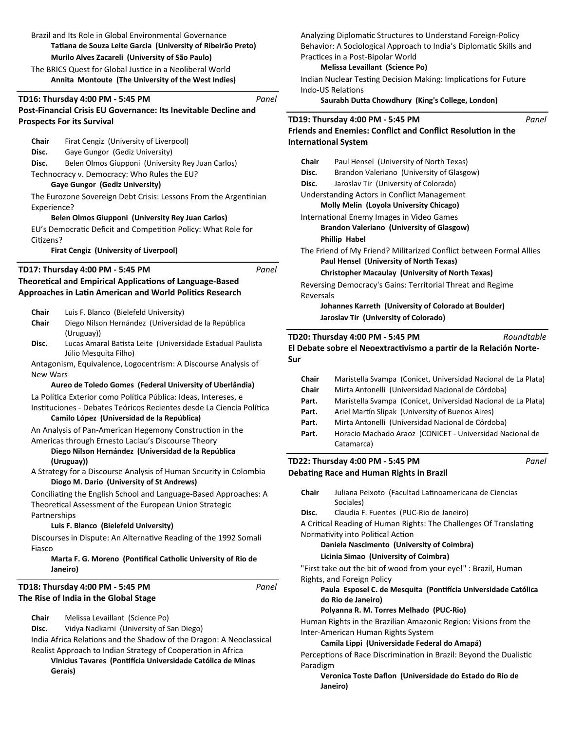Brazil and Its Role in Global Environmental Governance **TaƟana de Souza Leite Garcia (University of Ribeirão Preto)**

### **Murilo Alves Zacareli (University of São Paulo)**

The BRICS Quest for Global Justice in a Neoliberal World **Annita Montoute (The University of the West Indies)**

### **TD16: Thursday 4:00 PM - 5:45 PM**

# **Post-Financial Crisis EU Governance: Its Inevitable Decline and Prospects For its Survival**

**Chair** Firat Cengiz (University of Liverpool)

- **Disc.** Gaye Gungor (Gediz University)
- **Disc.** Belen Olmos Giupponi (University Rey Juan Carlos)

Technocracy v. Democracy: Who Rules the EU?

### **Gaye Gungor (Gediz University)**

The Eurozone Sovereign Debt Crisis: Lessons From the Argentinian Experience?

### **Belen Olmos Giupponi (University Rey Juan Carlos)**

EU's Democratic Deficit and Competition Policy: What Role for Citizens?

**Firat Cengiz (University of Liverpool)**

### **TD17: Thursday 4:00 PM - 5:45 PM**

# **Theoretical and Empirical Applications of Language-Based Approaches in Latin American and World Politics Research**

| Luis F. Blanco (Bielefeld University)<br>Chair |  |
|------------------------------------------------|--|
|------------------------------------------------|--|

- **Chair** Diego Nilson Hernández (Universidad de la República (Uruguay))
- Disc. Lucas Amaral Batista Leite (Universidade Estadual Paulista Júlio Mesquita Filho)

Antagonism, Equivalence, Logocentrism: A Discourse Analysis of New Wars

### **Aureo de Toledo Gomes (Federal University of Uberlândia)**

La Política Exterior como Política Pública: Ideas, Intereses, e Instituciones - Debates Teóricos Recientes desde La Ciencia Política

### **Camilo López (Universidad de la República)**

An Analysis of Pan-American Hegemony Construction in the Americas through Ernesto Laclau's Discourse Theory

### **Diego Nilson Hernández (Universidad de la República (Uruguay))**

A Strategy for a Discourse Analysis of Human Security in Colombia **Diogo M. Dario (University of St Andrews)**

Conciliating the English School and Language-Based Approaches: A Theoretical Assessment of the European Union Strategic Partnerships

### **Luis F. Blanco (Bielefeld University)**

Discourses in Dispute: An Alternative Reading of the 1992 Somali Fiasco

### **Marta F. G. Moreno (Pontifical Catholic University of Rio de Janeiro)**

### **The Rise of India in the Global Stage TD18: Thursday 4:00 PM - 5:45 PM**

**Chair** Melissa Levaillant (Science Po)

**Disc.** Vidya Nadkarni (University of San Diego)

India Africa Relations and the Shadow of the Dragon: A Neoclassical Realist Approach to Indian Strategy of Cooperation in Africa

**Vinicius Tavares (PonƟİcia Universidade Católica de Minas Gerais)**

Analyzing Diplomatic Structures to Understand Foreign-Policy Behavior: A Sociological Approach to India's Diplomatic Skills and Practices in a Post-Bipolar World

### **Melissa Levaillant (Science Po)**

Indian Nuclear Testing Decision Making: Implications for Future Indo-US RelaƟons

**Saurabh DuƩa Chowdhury (King's College, London)**

### **TD19: Thursday 4:00 PM - 5:45 PM**

*Panel*

*Panel*

**Sur**

*Panel*

| <b>Friends and Enemies: Conflict and Conflict Resolution in the</b><br><b>International System</b> |                                                            |  |  |
|----------------------------------------------------------------------------------------------------|------------------------------------------------------------|--|--|
| Chair                                                                                              | Paul Hensel (University of North Texas)                    |  |  |
| Disc.                                                                                              | Brandon Valeriano (University of Glasgow)                  |  |  |
| Disc.                                                                                              | Jaroslav Tir (University of Colorado)                      |  |  |
|                                                                                                    | Understanding Actors in Conflict Management                |  |  |
| <b>Molly Melin (Loyola University Chicago)</b>                                                     |                                                            |  |  |
|                                                                                                    | International Enemy Images in Video Games                  |  |  |
|                                                                                                    | <b>Brandon Valeriano (University of Glasgow)</b>           |  |  |
|                                                                                                    | <b>Phillip Habel</b>                                       |  |  |
| The Friend of My Friend? Militarized Conflict between Formal Allies                                |                                                            |  |  |
|                                                                                                    | Paul Hensel (University of North Texas)                    |  |  |
|                                                                                                    | <b>Christopher Macaulay (University of North Texas)</b>    |  |  |
|                                                                                                    | Reversing Democracy's Gains: Territorial Threat and Regime |  |  |
| Reversals                                                                                          |                                                            |  |  |
|                                                                                                    | Johannes Karreth (University of Colorado at Boulder)       |  |  |
|                                                                                                    | Jaroslav Tir (University of Colorado)                      |  |  |

#### El Debate sobre el Neoextractivismo a partir de la Relación Norte-**TD20: Thursday 4:00 PM - 5:45 PM** *Roundtable*

| <b>Chair</b> | Maristella Svampa (Conicet, Universidad Nacional de La Plata) |
|--------------|---------------------------------------------------------------|
| <b>Chair</b> | Mirta Antonelli (Universidad Nacional de Córdoba)             |
| Part.        | Maristella Svampa (Conicet, Universidad Nacional de La Plata) |
| Part.        | Ariel Martín Slipak (University of Buenos Aires)              |
| Part.        | Mirta Antonelli (Universidad Nacional de Córdoba)             |
| Part.        | Horacio Machado Araoz (CONICET - Universidad Nacional de      |
|              | Catamarca)                                                    |
|              |                                                               |

## **DebaƟng Race and Human Rights in Brazil TD22: Thursday 4:00 PM - 5:45 PM**

*Panel*

*Panel*

Chair Juliana Peixoto (Facultad Latinoamericana de Ciencias Sociales) **Disc.** Claudia F. Fuentes (PUC-Rio de Janeiro)

A Critical Reading of Human Rights: The Challenges Of Translating Normativity into Political Action

# **Daniela Nascimento (University of Coimbra)**

### **Licinia Simao (University of Coimbra)**

"First take out the bit of wood from your eye!" : Brazil, Human

Rights, and Foreign Policy

## **Paula Esposel C. de Mesquita (PonƟİcia Universidade Católica do Rio de Janeiro)**

### **Polyanna R. M. Torres Melhado (PUC-Rio)**

Human Rights in the Brazilian Amazonic Region: Visions from the Inter-American Human Rights System

### **Camila Lippi (Universidade Federal do Amapá)**

Perceptions of Race Discrimination in Brazil: Beyond the Dualistic Paradigm

Veronica Toste Daflon (Universidade do Estado do Rio de **Janeiro)**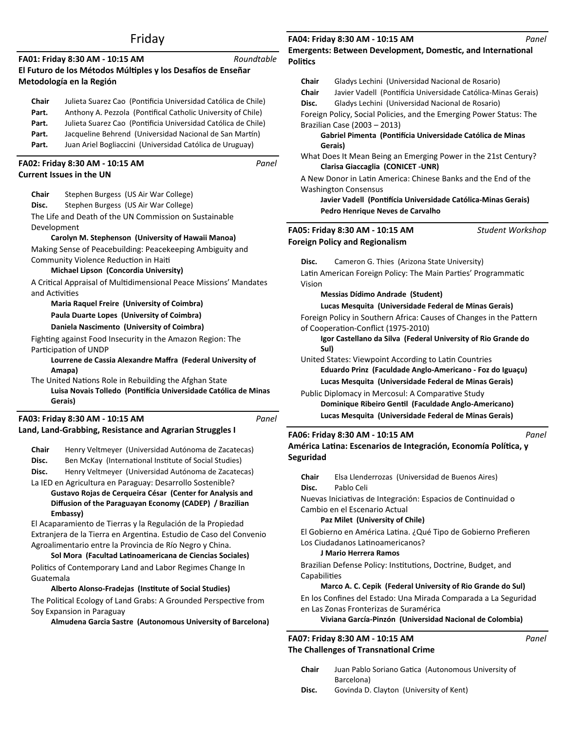# Friday

|                                                 | FA01: Friday 8:30 AM - 10:15 AM<br>El Futuro de los Métodos Múltiples y los Desafíos de Enseñar<br>Metodología en la Región                                                                                                                                                                                                                                                                                                                                                                               | Roundtable |
|-------------------------------------------------|-----------------------------------------------------------------------------------------------------------------------------------------------------------------------------------------------------------------------------------------------------------------------------------------------------------------------------------------------------------------------------------------------------------------------------------------------------------------------------------------------------------|------------|
| Chair<br>Part.<br>Part.<br>Part.<br>Part.       | Julieta Suarez Cao (Pontificia Universidad Católica de Chile)<br>Anthony A. Pezzola (Pontifical Catholic University of Chile)<br>Julieta Suarez Cao (Pontificia Universidad Católica de Chile)<br>Jacqueline Behrend (Universidad Nacional de San Martín)<br>Juan Ariel Bogliaccini (Universidad Católica de Uruguay)                                                                                                                                                                                     |            |
|                                                 | FA02: Friday 8:30 AM - 10:15 AM<br><b>Current Issues in the UN</b>                                                                                                                                                                                                                                                                                                                                                                                                                                        | Panel      |
| Chair<br>Disc.<br>Development<br>and Activities | Stephen Burgess (US Air War College)<br>Stephen Burgess (US Air War College)<br>The Life and Death of the UN Commission on Sustainable<br>Carolyn M. Stephenson (University of Hawaii Manoa)<br>Making Sense of Peacebuilding: Peacekeeping Ambiguity and<br>Community Violence Reduction in Haiti<br>Michael Lipson (Concordia University)<br>A Critical Appraisal of Multidimensional Peace Missions' Mandates<br><b>Maria Raquel Freire (University of Coimbra)</b>                                    |            |
|                                                 | Paula Duarte Lopes (University of Coimbra)<br>Daniela Nascimento (University of Coimbra)<br>Fighting against Food Insecurity in the Amazon Region: The<br>Participation of UNDP<br>Lourrene de Cassia Alexandre Maffra (Federal University of<br>Amapa)<br>The United Nations Role in Rebuilding the Afghan State<br>Luisa Novais Tolledo (Pontifícia Universidade Católica de Minas<br>Gerais)                                                                                                           |            |
|                                                 | FA03: Friday 8:30 AM - 10:15 AM<br>Land, Land-Grabbing, Resistance and Agrarian Struggles I                                                                                                                                                                                                                                                                                                                                                                                                               | Panel      |
| Chair<br>Disc.<br>Disc.                         | Henry Veltmeyer (Universidad Autónoma de Zacatecas)<br>Ben McKay (International Institute of Social Studies)<br>Henry Veltmeyer (Universidad Autónoma de Zacatecas)<br>La IED en Agricultura en Paraguay: Desarrollo Sostenible?<br>Gustavo Rojas de Cerqueira César (Center for Analysis and<br>Diffusion of the Paraguayan Economy (CADEP) / Brazilian<br>Embassy)<br>El Acaparamiento de Tierras y la Regulación de la Propiedad<br>Extranjera de la Tierra en Argentina. Estudio de Caso del Convenio |            |

Agroalimentario entre la Provincia de Río Negro y China. **Sol Mora (Facultad LaƟnoamericana de Ciencias Sociales)** Politics of Contemporary Land and Labor Regimes Change In Guatemala

### **Alberto Alonso-Fradejas (InsƟtute of Social Studies)**

The Political Ecology of Land Grabs: A Grounded Perspective from Soy Expansion in Paraguay

**Almudena Garcia Sastre (Autonomous University of Barcelona)**

### **FA04: Friday 8:30 AM - 10:15 AM**

**Emergents: Between Development, Domestic, and International PoliƟcs** 

|              | Lucas Mesquita (Universidade Federal de Minas Gerais)                                              |                  |
|--------------|----------------------------------------------------------------------------------------------------|------------------|
|              | Dominique Ribeiro Gentil (Faculdade Anglo-Americano)                                               |                  |
|              | Public Diplomacy in Mercosul: A Comparative Study                                                  |                  |
|              | Lucas Mesquita (Universidade Federal de Minas Gerais)                                              |                  |
|              | Eduardo Prinz (Faculdade Anglo-Americano - Foz do Iguaçu)                                          |                  |
|              | Sul)<br>United States: Viewpoint According to Latin Countries                                      |                  |
|              | Igor Castellano da Silva (Federal University of Rio Grande do                                      |                  |
|              | of Cooperation-Conflict (1975-2010)                                                                |                  |
|              | Foreign Policy in Southern Africa: Causes of Changes in the Pattern                                |                  |
|              | Lucas Mesquita (Universidade Federal de Minas Gerais)                                              |                  |
|              | Messias Dídimo Andrade (Student)                                                                   |                  |
| Vision       | Latin American Foreign Policy: The Main Parties' Programmatic                                      |                  |
| Disc.        | Cameron G. Thies (Arizona State University)                                                        |                  |
|              | FA05: Friday 8:30 AM - 10:15 AM<br><b>Foreign Policy and Regionalism</b>                           | Student Workshop |
|              |                                                                                                    |                  |
|              | Pedro Henrique Neves de Carvalho                                                                   |                  |
|              | Javier Vadell (Pontifícia Universidade Católica-Minas Gerais)                                      |                  |
|              | <b>Washington Consensus</b>                                                                        |                  |
|              | Clarisa Giaccaglia (CONICET-UNR)<br>A New Donor in Latin America: Chinese Banks and the End of the |                  |
|              | What Does It Mean Being an Emerging Power in the 21st Century?                                     |                  |
|              | Gerais)                                                                                            |                  |
|              | Brazilian Case (2003 - 2013)<br>Gabriel Pimenta (Pontifícia Universidade Católica de Minas         |                  |
|              | Foreign Policy, Social Policies, and the Emerging Power Status: The                                |                  |
| Disc.        | Gladys Lechini (Universidad Nacional de Rosario)                                                   |                  |
| <b>Chair</b> | Javier Vadell (Pontifícia Universidade Católica-Minas Gerais)                                      |                  |
|              |                                                                                                    |                  |
| <b>Chair</b> | Gladys Lechini (Universidad Nacional de Rosario)                                                   |                  |

# **América Latina: Escenarios de Integración, Economía Política, y Seguridad**

| Chair<br>Disc. | Elsa Llenderrozas (Universidad de Buenos Aires)<br>Pablo Celi                                                                                                         |  |  |
|----------------|-----------------------------------------------------------------------------------------------------------------------------------------------------------------------|--|--|
|                | Nuevas Iniciativas de Integración: Espacios de Continuidad o                                                                                                          |  |  |
|                | Cambio en el Escenario Actual                                                                                                                                         |  |  |
|                | Paz Milet (University of Chile)                                                                                                                                       |  |  |
|                | El Gobierno en América Latina. ¿Qué Tipo de Gobierno Prefieren<br>Los Ciudadanos Latinoamericanos?<br>J Mario Herrera Ramos                                           |  |  |
| Capabilities   | Brazilian Defense Policy: Institutions, Doctrine, Budget, and                                                                                                         |  |  |
|                | Marco A. C. Cepik (Federal University of Rio Grande do Sul)                                                                                                           |  |  |
|                | En los Confines del Estado: Una Mirada Comparada a La Seguridad<br>en Las Zonas Fronterizas de Suramérica<br>Viviana García-Pinzón (Universidad Nacional de Colombia) |  |  |
|                |                                                                                                                                                                       |  |  |

## **The Challenges of Transnational Crime FA07: Friday 8:30 AM - 10:15 AM**

- **Chair** Juan Pablo Soriano GaƟca (Autonomous University of Barcelona)
- **Disc.** Govinda D. Clayton (University of Kent)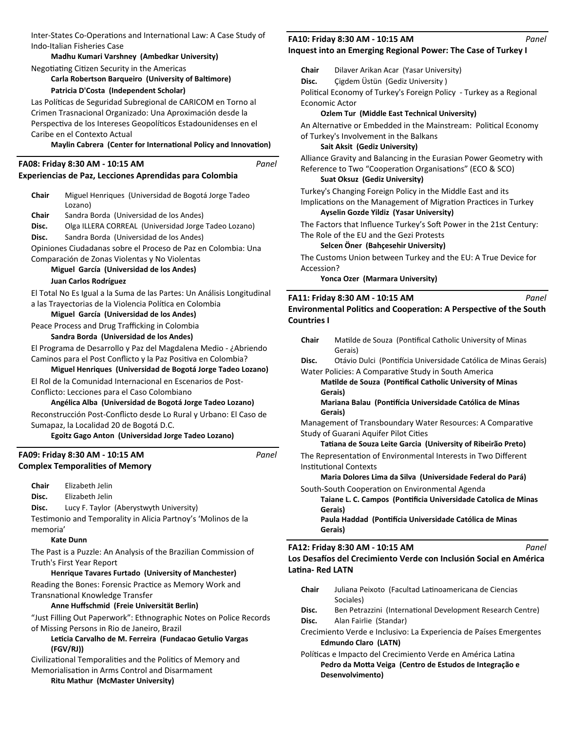Inter-States Co-Operations and International Law: A Case Study of Indo-Italian Fisheries Case

**Madhu Kumari Varshney (Ambedkar University)** Negotiating Citizen Security in the Americas

**Carla Robertson Barqueiro (University of Baltimore) Patricia D'Costa (Independent Scholar)**

Las Políticas de Seguridad Subregional de CARICOM en Torno al Crimen Trasnacional Organizado: Una Aproximación desde la Perspectiva de los Intereses Geopolíticos Estadounidenses en el Caribe en el Contexto Actual

### **Maylin Cabrera (Center for International Policy and Innovation)**

| FA08: Friday 8:30 AM - 10:15 AM |  |  |
|---------------------------------|--|--|
|---------------------------------|--|--|

### **Experiencias de Paz, Lecciones Aprendidas para Colombia**

| Chair    | Miguel Henriques (Universidad de Bogotá Jorge Tadeo<br>Lozano)                                           |  |
|----------|----------------------------------------------------------------------------------------------------------|--|
| Chair    | Sandra Borda (Universidad de los Andes)                                                                  |  |
| Disc.    | Olga ILLERA CORREAL (Universidad Jorge Tadeo Lozano)                                                     |  |
| Disc.    | Sandra Borda (Universidad de los Andes)                                                                  |  |
|          | Opiniones Ciudadanas sobre el Proceso de Paz en Colombia: Una                                            |  |
|          | Comparación de Zonas Violentas y No Violentas                                                            |  |
|          | Miguel García (Universidad de los Andes)                                                                 |  |
|          | Juan Carlos Rodríguez                                                                                    |  |
|          | El Total No Es Igual a la Suma de las Partes: Un Análisis Longitudinal                                   |  |
|          | a las Trayectorias de la Violencia Política en Colombia                                                  |  |
|          | Miguel García (Universidad de los Andes)                                                                 |  |
|          | Peace Process and Drug Trafficking in Colombia                                                           |  |
|          | Sandra Borda (Universidad de los Andes)                                                                  |  |
|          | El Programa de Desarrollo y Paz del Magdalena Medio - ¿Abriendo                                          |  |
|          | Caminos para el Post Conflicto y la Paz Positiva en Colombia?                                            |  |
|          | Miguel Henriques (Universidad de Bogotá Jorge Tadeo Lozano)                                              |  |
|          | El Rol de la Comunidad Internacional en Escenarios de Post-                                              |  |
|          | Conflicto: Lecciones para el Caso Colombiano                                                             |  |
|          | Angélica Alba (Universidad de Bogotá Jorge Tadeo Lozano)                                                 |  |
|          | Reconstrucción Post-Conflicto desde Lo Rural y Urbano: El Caso de                                        |  |
|          | Sumapaz, la Localidad 20 de Bogotá D.C.                                                                  |  |
|          | Egoitz Gago Anton (Universidad Jorge Tadeo Lozano)                                                       |  |
|          | Panel<br>FA09: Friday 8:30 AM - 10:15 AM                                                                 |  |
|          | <b>Complex Temporalities of Memory</b>                                                                   |  |
| Chair    | Elizabeth Jelin                                                                                          |  |
| Disc.    | Elizabeth Jelin                                                                                          |  |
| Disc.    | Lucy F. Taylor (Aberystwyth University)                                                                  |  |
|          | Testimonio and Temporality in Alicia Partnoy's 'Molinos de la                                            |  |
| memoria' |                                                                                                          |  |
|          | <b>Kate Dunn</b>                                                                                         |  |
|          | The Past is a Puzzle: An Analysis of the Brazilian Commission of                                         |  |
|          | Truth's First Year Report<br>Henrique Tavares Furtado (University of Manchester)                         |  |
|          |                                                                                                          |  |
|          | Reading the Bones: Forensic Practice as Memory Work and                                                  |  |
|          | Transnational Knowledge Transfer<br>Anne Huffschmid (Freie Universität Berlin)                           |  |
|          |                                                                                                          |  |
|          | "Just Filling Out Paperwork": Ethnographic Notes on Police Records                                       |  |
|          | of Missing Persons in Rio de Janeiro, Brazil<br>Leticia Carvalho de M. Ferreira (Fundacao Getulio Vargas |  |
|          | (FGV/RJ))                                                                                                |  |
|          | Civilizational Temporalities and the Politics of Memory and                                              |  |
|          | Memorialisation in Arms Control and Disarmament                                                          |  |

### **Ritu Mathur (McMaster University)**

#### **Inquest into an Emerging Regional Power: The Case of Turkey I FA10: Friday 8:30 AM - 10:15 AM** *Panel*

**Chair** Dilaver Arikan Acar (Yasar University)

**Disc.** Çigdem Üstün (Gediz University )

Political Economy of Turkey's Foreign Policy - Turkey as a Regional Economic Actor

### **Ozlem Tur (Middle East Technical University)**

An Alternative or Embedded in the Mainstream: Political Economy of Turkey's Involvement in the Balkans

### **Sait Aksit (Gediz University)**

*Panel*

Alliance Gravity and Balancing in the Eurasian Power Geometry with Reference to Two "Cooperation Organisations" (ECO & SCO)

# **Suat Oksuz (Gediz University)**

Turkey's Changing Foreign Policy in the Middle East and its Implications on the Management of Migration Practices in Turkey **Ayselin Gozde Yildiz (Yasar University)**

The Factors that Influence Turkey's Soft Power in the 21st Century: The Role of the EU and the Gezi Protests

### **Selcen Öner (Bahçesehir University)**

The Customs Union between Turkey and the EU: A True Device for Accession?

**Yonca Ozer (Marmara University)**

### **FA11: Friday 8:30 AM - 10:15 AM**

**Environmental Politics and Cooperation: A Perspective of the South Countries I**

*Panel*

*Panel*

| <b>Chair</b> | Matilde de Souza (Pontifical Catholic University of Minas       |
|--------------|-----------------------------------------------------------------|
|              | Gerais)                                                         |
| Disc.        | Otávio Dulci (Pontifícia Universidade Católica de Minas Gerais) |
|              | Water Policies: A Comparative Study in South America            |

**Matilde de Souza (Pontifical Catholic University of Minas Gerais)**

### **Mariana Balau (PonƟİcia Universidade Católica de Minas Gerais)**

Management of Transboundary Water Resources: A Comparative Study of Guarani Aquifer Pilot Cities

### **TaƟana de Souza Leite Garcia (University of Ribeirão Preto)**

The Representation of Environmental Interests in Two Different Institutional Contexts

### **Maria Dolores Lima da Silva (Universidade Federal do Pará)** South-South Cooperation on Environmental Agenda

Taiane L. C. Campos (Pontificia Universidade Catolica de Minas **Gerais)**

**Paula Haddad (PonƟİcia Universidade Católica de Minas Gerais)**

### **FA12: Friday 8:30 AM - 10:15 AM**

**Los Desaİos del Crecimiento Verde con Inclusión Social en América**  Latina- Red LATN

Chair Juliana Peixoto (Facultad Latinoamericana de Ciencias Sociales)

Disc. Ben Petrazzini (International Development Research Centre) **Disc.** Alan Fairlie (Standar)

Crecimiento Verde e Inclusivo: La Experiencia de Países Emergentes **Edmundo Claro (LATN)**

Políticas e Impacto del Crecimiento Verde en América Latina **Pedro da MoƩa Veiga (Centro de Estudos de Integração e Desenvolvimento)**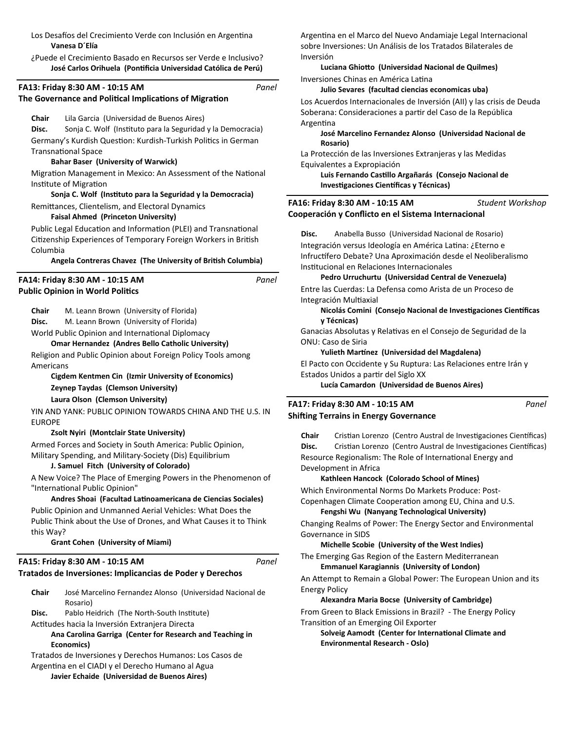Los Desafíos del Crecimiento Verde con Inclusión en Argentina **Vanesa D´Elía** 

¿Puede el Crecimiento Basado en Recursos ser Verde e Inclusivo? José Carlos Orihuela (Pontificia Universidad Católica de Perú)

*Panel*

*Panel*

*Panel*

### **FA13: Friday 8:30 AM - 10:15 AM**

### **The Governance and Political Implications of Migration**

#### **Chair** Lila Garcia (Universidad de Buenos Aires)

Disc. Sonja C. Wolf (Instituto para la Seguridad y la Democracia) Germany's Kurdish Question: Kurdish-Turkish Politics in German TransnaƟonal Space

### **Bahar Baser (University of Warwick)**

Migration Management in Mexico: An Assessment of the National Institute of Migration

# **Sonja C. Wolf (InsƟtuto para la Seguridad y la Democracia)**

Remittances, Clientelism, and Electoral Dynamics

## **Faisal Ahmed (Princeton University)**

Public Legal Education and Information (PLEI) and Transnational Citizenship Experiences of Temporary Foreign Workers in British Columbia

### Angela Contreras Chavez (The University of British Columbia)

### **Public Opinion in World Politics FA14: Friday 8:30 AM - 10:15 AM**

**Chair** M. Leann Brown (University of Florida)

**Disc.** M. Leann Brown (University of Florida)

World Public Opinion and International Diplomacy

### **Omar Hernandez (Andres Bello Catholic University)**

Religion and Public Opinion about Foreign Policy Tools among Americans

**Cigdem Kentmen Cin (Izmir University of Economics) Zeynep Taydas (Clemson University) Laura Olson (Clemson University)**

YIN AND YANK: PUBLIC OPINION TOWARDS CHINA AND THE U.S. IN EUROPE

### **Zsolt Nyiri (Montclair State University)**

Armed Forces and Society in South America: Public Opinion, Military Spending, and Military-Society (Dis) Equilibrium

### **J. Samuel Fitch (University of Colorado)**

A New Voice? The Place of Emerging Powers in the Phenomenon of "International Public Opinion"

#### **Andres Shoai (Facultad LaƟnoamericana de Ciencias Sociales)**

Public Opinion and Unmanned Aerial Vehicles: What Does the Public Think about the Use of Drones, and What Causes it to Think this Way?

**Grant Cohen (University of Miami)**

# **FA15: Friday 8:30 AM - 10:15 AM**

### **Tratados de Inversiones: Implicancias de Poder y Derechos**

| Chair | José Marcelino Fernandez Alonso (Universidad Nacional de |  |
|-------|----------------------------------------------------------|--|
|       | Rosario)                                                 |  |

Disc. Pablo Heidrich (The North-South Institute)

Actitudes hacia la Inversión Extranjera Directa

### **Ana Carolina Garriga (Center for Research and Teaching in Economics)**

Tratados de Inversiones y Derechos Humanos: Los Casos de Argentina en el CIADI y el Derecho Humano al Agua **Javier Echaide (Universidad de Buenos Aires)**

Argentina en el Marco del Nuevo Andamiaje Legal Internacional sobre Inversiones: Un Análisis de los Tratados Bilaterales de Inversión

**Luciana GhioƩo (Universidad Nacional de Quilmes)** Inversiones Chinas en América Latina

### **Julio Sevares (facultad ciencias economicas uba)**

Los Acuerdos Internacionales de Inversión (AII) y las crisis de Deuda Soberana: Consideraciones a partir del Caso de la República **Argentina** 

### **José Marcelino Fernandez Alonso (Universidad Nacional de Rosario)**

La Protección de las Inversiones Extranjeras y las Medidas Equivalentes a Expropiación

**Luis Fernando CasƟllo Argañarás (Consejo Nacional de Investigaciones Científicas y Técnicas)** 

#### **Cooperación y Conflicto en el Sistema Internacional FA16: Friday 8:30 AM - 10:15 AM** *Student Workshop*

**Disc.** Anabella Busso (Universidad Nacional de Rosario) Integración versus Ideología en América LaƟna: ¿Eterno e Infructífero Debate? Una Aproximación desde el Neoliberalismo Institucional en Relaciones Internacionales

**Pedro Urruchurtu (Universidad Central de Venezuela)**

Entre las Cuerdas: La Defensa como Arista de un Proceso de Integración MulƟaxial

### **Nicolás Comini (Consejo Nacional de Investigaciones Científicas y Técnicas)**

Ganacias Absolutas y Relativas en el Consejo de Seguridad de la ONU: Caso de Siria

#### **Yulieth Martínez (Universidad del Magdalena)**

El Pacto con Occidente y Su Ruptura: Las Relaciones entre Irán y Estados Unidos a parƟr del Siglo XX

**Lucía Camardon (Universidad de Buenos Aires)**

### **Shifting Terrains in Energy Governance FA17: Friday 8:30 AM - 10:15 AM**

*Panel*

Chair Cristian Lorenzo (Centro Austral de Investigaciones Científicas) Disc. Cristian Lorenzo (Centro Austral de Investigaciones Científicas) Resource Regionalism: The Role of International Energy and Development in Africa

#### **Kathleen Hancock (Colorado School of Mines)**

Which Environmental Norms Do Markets Produce: Post-Copenhagen Climate Cooperation among EU, China and U.S.

**Fengshi Wu (Nanyang Technological University)**

Changing Realms of Power: The Energy Sector and Environmental Governance in SIDS

### **Michelle Scobie (University of the West Indies)**

The Emerging Gas Region of the Eastern Mediterranean **Emmanuel Karagiannis (University of London)**

An Attempt to Remain a Global Power: The European Union and its Energy Policy

### **Alexandra Maria Bocse (University of Cambridge)**

From Green to Black Emissions in Brazil? - The Energy Policy Transition of an Emerging Oil Exporter

**Solveig Aamodt (Center for International Climate and Environmental Research - Oslo)**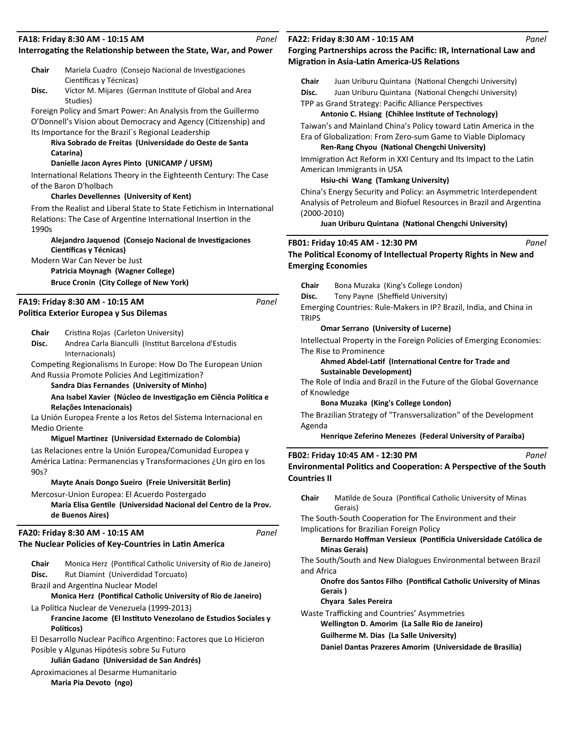| FA18: Friday 8:30 AM - 10:15 AM<br>Panel    |                                                                                                                        |                           | FA22: Friday 8:30 AM - 10:15 AM<br>Panel                                                                                  |       |  |  |
|---------------------------------------------|------------------------------------------------------------------------------------------------------------------------|---------------------------|---------------------------------------------------------------------------------------------------------------------------|-------|--|--|
|                                             | Interrogating the Relationship between the State, War, and Power                                                       |                           | Forging Partnerships across the Pacific: IR, International Law and<br><b>Migration in Asia-Latin America-US Relations</b> |       |  |  |
| Chair                                       | Mariela Cuadro (Consejo Nacional de Investigaciones                                                                    |                           |                                                                                                                           |       |  |  |
| Científicas y Técnicas)                     |                                                                                                                        | Chair                     | Juan Uriburu Quintana (National Chengchi University)                                                                      |       |  |  |
| Disc.                                       | Víctor M. Mijares (German Institute of Global and Area                                                                 | Disc.                     | Juan Uriburu Quintana (National Chengchi University)                                                                      |       |  |  |
| Studies)                                    |                                                                                                                        |                           | TPP as Grand Strategy: Pacific Alliance Perspectives                                                                      |       |  |  |
|                                             | Foreign Policy and Smart Power: An Analysis from the Guillermo                                                         |                           | Antonio C. Hsiang (Chihlee Institute of Technology)                                                                       |       |  |  |
|                                             | O'Donnell's Vision about Democracy and Agency (Citizenship) and<br>Its Importance for the Brazil's Regional Leadership |                           | Taiwan's and Mainland China's Policy toward Latin America in the                                                          |       |  |  |
|                                             | Riva Sobrado de Freitas (Universidade do Oeste de Santa                                                                |                           | Era of Globalization: From Zero-sum Game to Viable Diplomacy                                                              |       |  |  |
| Catarina)                                   |                                                                                                                        |                           | Ren-Rang Chyou (National Chengchi University)                                                                             |       |  |  |
|                                             | Danielle Jacon Ayres Pinto (UNICAMP / UFSM)                                                                            |                           | Immigration Act Reform in XXI Century and Its Impact to the Latin                                                         |       |  |  |
|                                             | International Relations Theory in the Eighteenth Century: The Case                                                     |                           | American Immigrants in USA                                                                                                |       |  |  |
| of the Baron D'holbach                      |                                                                                                                        |                           | Hsiu-chi Wang (Tamkang University)                                                                                        |       |  |  |
|                                             | <b>Charles Devellennes (University of Kent)</b>                                                                        |                           | China's Energy Security and Policy: an Asymmetric Interdependent                                                          |       |  |  |
|                                             | From the Realist and Liberal State to State Fetichism in International                                                 |                           | Analysis of Petroleum and Biofuel Resources in Brazil and Argentina                                                       |       |  |  |
|                                             | Relations: The Case of Argentine International Insertion in the                                                        | $(2000-2010)$             |                                                                                                                           |       |  |  |
| 1990s                                       |                                                                                                                        |                           | Juan Uriburu Quintana (National Chengchi University)                                                                      |       |  |  |
|                                             | Alejandro Jaquenod (Consejo Nacional de Investigaciones                                                                |                           |                                                                                                                           |       |  |  |
| Científicas y Técnicas)                     |                                                                                                                        |                           | FB01: Friday 10:45 AM - 12:30 PM                                                                                          | Panel |  |  |
| Modern War Can Never be Just                |                                                                                                                        |                           | The Political Economy of Intellectual Property Rights in New and                                                          |       |  |  |
|                                             | Patricia Moynagh (Wagner College)                                                                                      | <b>Emerging Economies</b> |                                                                                                                           |       |  |  |
|                                             | <b>Bruce Cronin (City College of New York)</b>                                                                         | Chair                     | Bona Muzaka (King's College London)                                                                                       |       |  |  |
|                                             |                                                                                                                        | Disc.                     | Tony Payne (Sheffield University)                                                                                         |       |  |  |
| FA19: Friday 8:30 AM - 10:15 AM             | Panel                                                                                                                  |                           | Emerging Countries: Rule-Makers in IP? Brazil, India, and China in                                                        |       |  |  |
| Politica Exterior Europea y Sus Dilemas     |                                                                                                                        | <b>TRIPS</b>              |                                                                                                                           |       |  |  |
| Chair                                       | Cristina Rojas (Carleton University)                                                                                   |                           | <b>Omar Serrano</b> (University of Lucerne)                                                                               |       |  |  |
| Disc.                                       | Andrea Carla Bianculli (Institut Barcelona d'Estudis                                                                   |                           | Intellectual Property in the Foreign Policies of Emerging Economies:                                                      |       |  |  |
| Internacionals)                             |                                                                                                                        |                           | The Rise to Prominence                                                                                                    |       |  |  |
|                                             | Competing Regionalisms In Europe: How Do The European Union                                                            |                           | Ahmed Abdel-Latif (International Centre for Trade and                                                                     |       |  |  |
|                                             | And Russia Promote Policies And Legitimization?                                                                        |                           | <b>Sustainable Development)</b>                                                                                           |       |  |  |
|                                             | Sandra Dias Fernandes (University of Minho)                                                                            |                           | The Role of India and Brazil in the Future of the Global Governance                                                       |       |  |  |
|                                             | Ana Isabel Xavier (Núcleo de Investigação em Ciência Política e                                                        | of Knowledge              |                                                                                                                           |       |  |  |
| Relações Intenacionais)                     |                                                                                                                        |                           | Bona Muzaka (King's College London)                                                                                       |       |  |  |
|                                             | La Unión Europea Frente a los Retos del Sistema Internacional en                                                       |                           | The Brazilian Strategy of "Transversalization" of the Development                                                         |       |  |  |
| <b>Medio Oriente</b>                        |                                                                                                                        | Agenda                    |                                                                                                                           |       |  |  |
|                                             | Miguel Martinez (Universidad Externado de Colombia)                                                                    |                           | Henrique Zeferino Menezes (Federal University of Paraíba)                                                                 |       |  |  |
|                                             | Las Relaciones entre la Unión Europea/Comunidad Europea y                                                              |                           | FB02: Friday 10:45 AM - 12:30 PM                                                                                          | Panel |  |  |
|                                             | América Latina: Permanencias y Transformaciones ¿Un giro en los                                                        |                           | Environmental Politics and Cooperation: A Perspective of the South                                                        |       |  |  |
| 90s?                                        |                                                                                                                        | <b>Countries II</b>       |                                                                                                                           |       |  |  |
|                                             | Mayte Anais Dongo Sueiro (Freie Universität Berlin)                                                                    |                           |                                                                                                                           |       |  |  |
|                                             | Mercosur-Union Europea: El Acuerdo Postergado                                                                          | Chair                     | Matilde de Souza (Pontifical Catholic University of Minas                                                                 |       |  |  |
|                                             | María Elisa Gentile (Universidad Nacional del Centro de la Prov.                                                       |                           | Gerais)                                                                                                                   |       |  |  |
| de Buenos Aires)                            |                                                                                                                        |                           | The South-South Cooperation for The Environment and their                                                                 |       |  |  |
| FA20: Friday 8:30 AM - 10:15 AM             | Panel                                                                                                                  |                           | Implications for Brazilian Foreign Policy                                                                                 |       |  |  |
|                                             |                                                                                                                        |                           | Bernardo Hoffman Versieux (Pontifícia Universidade Católica de                                                            |       |  |  |
|                                             | The Nuclear Policies of Key-Countries in Latin America                                                                 |                           | <b>Minas Gerais)</b>                                                                                                      |       |  |  |
| Chair                                       | Monica Herz (Pontifical Catholic University of Rio de Janeiro)                                                         |                           | The South/South and New Dialogues Environmental between Brazil                                                            |       |  |  |
| Disc.                                       | Rut Diamint (Univerdidad Torcuato)                                                                                     | and Africa                |                                                                                                                           |       |  |  |
| Brazil and Argentina Nuclear Model          |                                                                                                                        |                           | Onofre dos Santos Filho (Pontifical Catholic University of Minas                                                          |       |  |  |
|                                             | Monica Herz (Pontifical Catholic University of Rio de Janeiro)                                                         |                           | Gerais)                                                                                                                   |       |  |  |
|                                             | La Política Nuclear de Venezuela (1999-2013)                                                                           |                           | Chyara Sales Pereira                                                                                                      |       |  |  |
|                                             | Francine Jacome (El Instituto Venezolano de Estudios Sociales y                                                        |                           | Waste Trafficking and Countries' Asymmetries                                                                              |       |  |  |
| Políticos)                                  |                                                                                                                        |                           | Wellington D. Amorim (La Salle Rio de Janeiro)                                                                            |       |  |  |
|                                             | El Desarrollo Nuclear Pacífico Argentino: Factores que Lo Hicieron                                                     |                           | <b>Guilherme M. Dias (La Salle University)</b>                                                                            |       |  |  |
| Posible y Algunas Hipótesis sobre Su Futuro |                                                                                                                        |                           | Daniel Dantas Prazeres Amorim (Universidade de Brasilia)                                                                  |       |  |  |
|                                             | Julián Gadano (Universidad de San Andrés)                                                                              |                           |                                                                                                                           |       |  |  |
| Aproximaciones al Desarme Humanitario       |                                                                                                                        |                           |                                                                                                                           |       |  |  |

**Maria Pia Devoto (ngo)**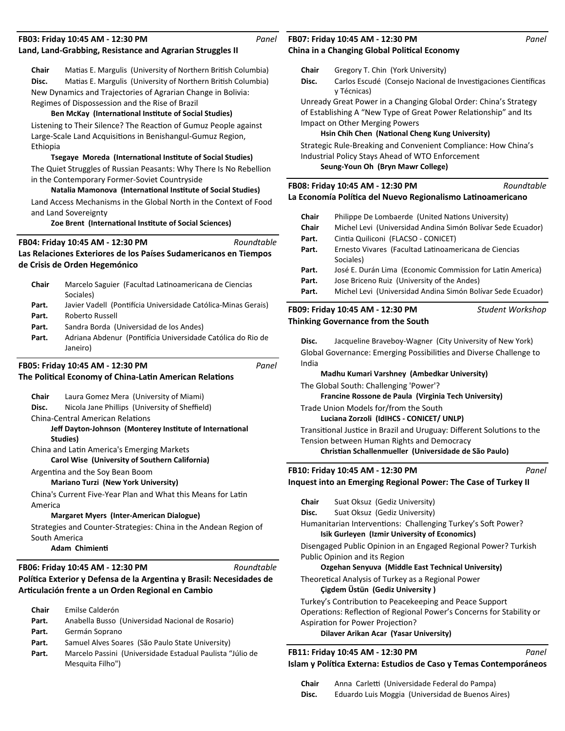| FB03: Friday 10:45 AM - 12:30 PM<br>Panel<br>Land, Land-Grabbing, Resistance and Agrarian Struggles II |                                                                                                                                                                                                                                                                                                                                                                                                                                                                                                                                                                                                                                 |                | FB07: Friday 10:45 AM - 12:30 PM<br>Panel<br>China in a Changing Global Political Economy                                                                                                                                                                                                                                                                                                                                                                                                                  |                  |  |
|--------------------------------------------------------------------------------------------------------|---------------------------------------------------------------------------------------------------------------------------------------------------------------------------------------------------------------------------------------------------------------------------------------------------------------------------------------------------------------------------------------------------------------------------------------------------------------------------------------------------------------------------------------------------------------------------------------------------------------------------------|----------------|------------------------------------------------------------------------------------------------------------------------------------------------------------------------------------------------------------------------------------------------------------------------------------------------------------------------------------------------------------------------------------------------------------------------------------------------------------------------------------------------------------|------------------|--|
| Chair<br>Disc.<br>Ethiopia                                                                             | Matias E. Margulis (University of Northern British Columbia)<br>Matias E. Margulis (University of Northern British Columbia)<br>New Dynamics and Trajectories of Agrarian Change in Bolivia:<br>Regimes of Dispossession and the Rise of Brazil<br>Ben McKay (International Institute of Social Studies)<br>Listening to Their Silence? The Reaction of Gumuz People against<br>Large-Scale Land Acquisitions in Benishangul-Gumuz Region,<br>Tsegaye Moreda (International Institute of Social Studies)<br>The Quiet Struggles of Russian Peasants: Why There Is No Rebellion<br>in the Contemporary Former-Soviet Countryside | Chair<br>Disc. | Gregory T. Chin (York University)<br>Carlos Escudé (Consejo Nacional de Investigaciones Científicas<br>y Técnicas)<br>Unready Great Power in a Changing Global Order: China's Strategy<br>of Establishing A "New Type of Great Power Relationship" and Its<br>Impact on Other Merging Powers<br>Hsin Chih Chen (National Cheng Kung University)<br>Strategic Rule-Breaking and Convenient Compliance: How China's<br>Industrial Policy Stays Ahead of WTO Enforcement<br>Seung-Youn Oh (Bryn Mawr College) |                  |  |
|                                                                                                        | Natalia Mamonova (International Institute of Social Studies)                                                                                                                                                                                                                                                                                                                                                                                                                                                                                                                                                                    |                | FB08: Friday 10:45 AM - 12:30 PM<br>La Economía Política del Nuevo Regionalismo Latinoamericano                                                                                                                                                                                                                                                                                                                                                                                                            | Roundtable       |  |
|                                                                                                        | Land Access Mechanisms in the Global North in the Context of Food<br>and Land Sovereignty                                                                                                                                                                                                                                                                                                                                                                                                                                                                                                                                       |                |                                                                                                                                                                                                                                                                                                                                                                                                                                                                                                            |                  |  |
|                                                                                                        | Zoe Brent (International Institute of Social Sciences)                                                                                                                                                                                                                                                                                                                                                                                                                                                                                                                                                                          | Chair<br>Chair | Philippe De Lombaerde (United Nations University)<br>Michel Levi (Universidad Andina Simón Bolívar Sede Ecuador)                                                                                                                                                                                                                                                                                                                                                                                           |                  |  |
|                                                                                                        | Roundtable<br>FB04: Friday 10:45 AM - 12:30 PM                                                                                                                                                                                                                                                                                                                                                                                                                                                                                                                                                                                  | Part.          | Cintia Quiliconi (FLACSO - CONICET)                                                                                                                                                                                                                                                                                                                                                                                                                                                                        |                  |  |
|                                                                                                        | Las Relaciones Exteriores de los Países Sudamericanos en Tiempos                                                                                                                                                                                                                                                                                                                                                                                                                                                                                                                                                                | Part.          | Ernesto Vivares (Facultad Latinoamericana de Ciencias                                                                                                                                                                                                                                                                                                                                                                                                                                                      |                  |  |
|                                                                                                        | de Crisis de Orden Hegemónico                                                                                                                                                                                                                                                                                                                                                                                                                                                                                                                                                                                                   | Part.          | Sociales)<br>José E. Durán Lima (Economic Commission for Latin America)                                                                                                                                                                                                                                                                                                                                                                                                                                    |                  |  |
| Chair                                                                                                  | Marcelo Saguier (Facultad Latinoamericana de Ciencias<br>Sociales)                                                                                                                                                                                                                                                                                                                                                                                                                                                                                                                                                              | Part.<br>Part. | Jose Briceno Ruiz (University of the Andes)<br>Michel Levi (Universidad Andina Simón Bolívar Sede Ecuador)                                                                                                                                                                                                                                                                                                                                                                                                 |                  |  |
| Part.                                                                                                  | Javier Vadell (Pontifícia Universidade Católica-Minas Gerais)                                                                                                                                                                                                                                                                                                                                                                                                                                                                                                                                                                   |                | FB09: Friday 10:45 AM - 12:30 PM                                                                                                                                                                                                                                                                                                                                                                                                                                                                           | Student Workshop |  |
| Part.<br>Part.                                                                                         | Roberto Russell<br>Sandra Borda (Universidad de los Andes)                                                                                                                                                                                                                                                                                                                                                                                                                                                                                                                                                                      |                | Thinking Governance from the South                                                                                                                                                                                                                                                                                                                                                                                                                                                                         |                  |  |
| Part.                                                                                                  | Adriana Abdenur (Pontifícia Universidade Católica do Rio de<br>Janeiro)                                                                                                                                                                                                                                                                                                                                                                                                                                                                                                                                                         | Disc.          | Jacqueline Braveboy-Wagner (City University of New York)<br>Global Governance: Emerging Possibilities and Diverse Challenge to                                                                                                                                                                                                                                                                                                                                                                             |                  |  |
|                                                                                                        | Panel<br>FB05: Friday 10:45 AM - 12:30 PM                                                                                                                                                                                                                                                                                                                                                                                                                                                                                                                                                                                       | India          |                                                                                                                                                                                                                                                                                                                                                                                                                                                                                                            |                  |  |
|                                                                                                        | The Political Economy of China-Latin American Relations                                                                                                                                                                                                                                                                                                                                                                                                                                                                                                                                                                         |                | Madhu Kumari Varshney (Ambedkar University)                                                                                                                                                                                                                                                                                                                                                                                                                                                                |                  |  |
| Chair                                                                                                  | Laura Gomez Mera (University of Miami)                                                                                                                                                                                                                                                                                                                                                                                                                                                                                                                                                                                          |                | The Global South: Challenging 'Power'?<br>Francine Rossone de Paula (Virginia Tech University)                                                                                                                                                                                                                                                                                                                                                                                                             |                  |  |
| Disc.                                                                                                  | Nicola Jane Phillips (University of Sheffield)                                                                                                                                                                                                                                                                                                                                                                                                                                                                                                                                                                                  |                | Trade Union Models for/from the South                                                                                                                                                                                                                                                                                                                                                                                                                                                                      |                  |  |
|                                                                                                        | <b>China-Central American Relations</b>                                                                                                                                                                                                                                                                                                                                                                                                                                                                                                                                                                                         |                | Luciana Zorzoli (IdIHCS - CONICET/ UNLP)                                                                                                                                                                                                                                                                                                                                                                                                                                                                   |                  |  |
|                                                                                                        | Jeff Dayton-Johnson (Monterey Institute of International<br>Studies)                                                                                                                                                                                                                                                                                                                                                                                                                                                                                                                                                            |                | Transitional Justice in Brazil and Uruguay: Different Solutions to the<br>Tension between Human Rights and Democracy                                                                                                                                                                                                                                                                                                                                                                                       |                  |  |
|                                                                                                        | China and Latin America's Emerging Markets                                                                                                                                                                                                                                                                                                                                                                                                                                                                                                                                                                                      |                | Christian Schallenmueller (Universidade de São Paulo)                                                                                                                                                                                                                                                                                                                                                                                                                                                      |                  |  |
|                                                                                                        | Carol Wise (University of Southern California)<br>Argentina and the Soy Bean Boom                                                                                                                                                                                                                                                                                                                                                                                                                                                                                                                                               |                | FB10: Friday 10:45 AM - 12:30 PM                                                                                                                                                                                                                                                                                                                                                                                                                                                                           | Panel            |  |
|                                                                                                        | Mariano Turzi (New York University)                                                                                                                                                                                                                                                                                                                                                                                                                                                                                                                                                                                             |                | Inquest into an Emerging Regional Power: The Case of Turkey II                                                                                                                                                                                                                                                                                                                                                                                                                                             |                  |  |
|                                                                                                        | China's Current Five-Year Plan and What this Means for Latin                                                                                                                                                                                                                                                                                                                                                                                                                                                                                                                                                                    | Chair          | Suat Oksuz (Gediz University)                                                                                                                                                                                                                                                                                                                                                                                                                                                                              |                  |  |
| America                                                                                                | <b>Margaret Myers (Inter-American Dialogue)</b>                                                                                                                                                                                                                                                                                                                                                                                                                                                                                                                                                                                 | Disc.          | Suat Oksuz (Gediz University)                                                                                                                                                                                                                                                                                                                                                                                                                                                                              |                  |  |
|                                                                                                        | Strategies and Counter-Strategies: China in the Andean Region of                                                                                                                                                                                                                                                                                                                                                                                                                                                                                                                                                                |                | Humanitarian Interventions: Challenging Turkey's Soft Power?<br>Isik Gurleyen (Izmir University of Economics)                                                                                                                                                                                                                                                                                                                                                                                              |                  |  |
|                                                                                                        | South America<br>Adam Chimienti                                                                                                                                                                                                                                                                                                                                                                                                                                                                                                                                                                                                 |                | Disengaged Public Opinion in an Engaged Regional Power? Turkish                                                                                                                                                                                                                                                                                                                                                                                                                                            |                  |  |
|                                                                                                        | Roundtable<br>FB06: Friday 10:45 AM - 12:30 PM                                                                                                                                                                                                                                                                                                                                                                                                                                                                                                                                                                                  |                | Public Opinion and its Region<br>Ozgehan Senyuva (Middle East Technical University)                                                                                                                                                                                                                                                                                                                                                                                                                        |                  |  |
|                                                                                                        | Política Exterior y Defensa de la Argentina y Brasil: Necesidades de<br>Articulación frente a un Orden Regional en Cambio                                                                                                                                                                                                                                                                                                                                                                                                                                                                                                       |                | Theoretical Analysis of Turkey as a Regional Power<br>Çigdem Üstün (Gediz University)                                                                                                                                                                                                                                                                                                                                                                                                                      |                  |  |
|                                                                                                        |                                                                                                                                                                                                                                                                                                                                                                                                                                                                                                                                                                                                                                 |                | Turkey's Contribution to Peacekeeping and Peace Support                                                                                                                                                                                                                                                                                                                                                                                                                                                    |                  |  |
| Chair<br>Part.                                                                                         | Emilse Calderón<br>Anabella Busso (Universidad Nacional de Rosario)                                                                                                                                                                                                                                                                                                                                                                                                                                                                                                                                                             |                | Operations: Reflection of Regional Power's Concerns for Stability or<br>Aspiration for Power Projection?                                                                                                                                                                                                                                                                                                                                                                                                   |                  |  |
| Part.                                                                                                  | Germán Soprano                                                                                                                                                                                                                                                                                                                                                                                                                                                                                                                                                                                                                  |                | Dilaver Arikan Acar (Yasar University)                                                                                                                                                                                                                                                                                                                                                                                                                                                                     |                  |  |
| Part.                                                                                                  | Samuel Alves Soares (São Paulo State University)                                                                                                                                                                                                                                                                                                                                                                                                                                                                                                                                                                                |                |                                                                                                                                                                                                                                                                                                                                                                                                                                                                                                            |                  |  |
| Part.                                                                                                  | Marcelo Passini (Universidade Estadual Paulista "Júlio de<br>Mesquita Filho")                                                                                                                                                                                                                                                                                                                                                                                                                                                                                                                                                   |                | FB11: Friday 10:45 AM - 12:30 PM<br>Islam y Política Externa: Estudios de Caso y Temas Contemporáneos                                                                                                                                                                                                                                                                                                                                                                                                      | Panel            |  |

Chair Anna Carletti (Universidade Federal do Pampa)

**Disc.** Eduardo Luis Moggia (Universidad de Buenos Aires)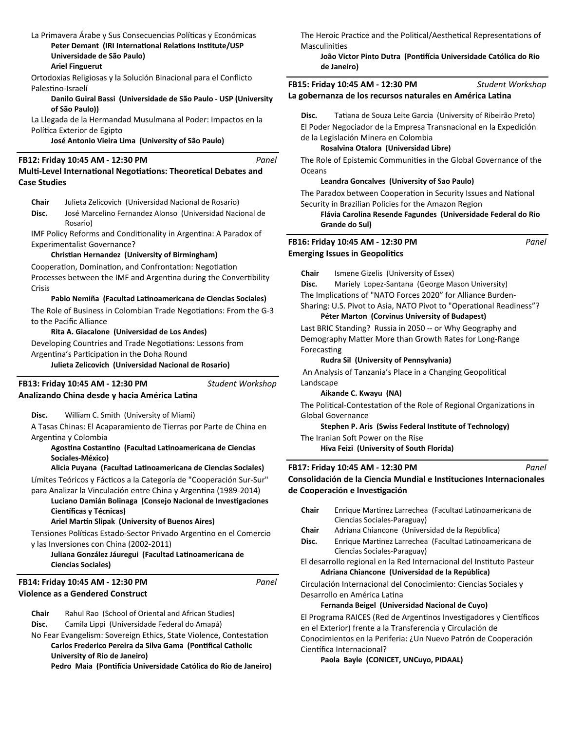### La Primavera Árabe y Sus Consecuencias Políticas y Económicas Peter Demant (IRI International Relations Institute/USP **Universidade de São Paulo) Ariel Finguerut**

Ortodoxias Religiosas y la Solución Binacional para el Conflicto Palestino-Israelí

### **Danilo Guiral Bassi (Universidade de São Paulo - USP (University of São Paulo))**

La Llegada de la Hermandad Musulmana al Poder: Impactos en la Política Exterior de Egipto

**José Antonio Vieira Lima (University of São Paulo)**

### **FB12: Friday 10:45 AM - 12:30 PM**

### *Panel*

## **Multi-Level International Negotiations: Theoretical Debates and Case Studies**

**Chair** Julieta Zelicovich (Universidad Nacional de Rosario)

**Disc.** José Marcelino Fernandez Alonso (Universidad Nacional de Rosario)

IMF Policy Reforms and Conditionality in Argentina: A Paradox of Experimentalist Governance?

### **ChrisƟan Hernandez (University of Birmingham)**

Cooperation, Domination, and Confrontation: Negotiation Processes between the IMF and Argentina during the Convertibility Crisis

### Pablo Nemiña (Facultad Latinoamericana de Ciencias Sociales)

The Role of Business in Colombian Trade Negotiations: From the G-3 to the Pacific Alliance

### **Rita A. Giacalone (Universidad de Los Andes)**

Developing Countries and Trade Negotiations: Lessons from Argentina's Participation in the Doha Round

**Julieta Zelicovich (Universidad Nacional de Rosario)**

**Analizando China desde y hacia América LaƟna FB13: Friday 10:45 AM - 12:30 PM**

*Student Workshop*

**Disc.** William C. Smith (University of Miami)

A Tasas Chinas: El Acaparamiento de Tierras por Parte de China en Argentina y Colombia

**AgosƟna CostanƟno (Facultad LaƟnoamericana de Ciencias Sociales-México)**

### **Alicia Puyana (Facultad LaƟnoamericana de Ciencias Sociales)**

Límites Teóricos y Fácticos a la Categoría de "Cooperación Sur-Sur" para Analizar la Vinculación entre China y Argentina (1989-2014)

Luciano Damián Bolinaga (Consejo Nacional de Investigaciones **Científicas y Técnicas)** 

### **Ariel Martín Slipak (University of Buenos Aires)**

Tensiones Políticas Estado-Sector Privado Argentino en el Comercio y las Inversiones con China (2002-2011)

### Juliana González Jáuregui (Facultad Latinoamericana de **Ciencias Sociales)**

### **Violence as a Gendered Construct FB14: Friday 10:45 AM - 12:30 PM**

*Panel*

**Chair** Rahul Rao (School of Oriental and African Studies)

**Disc.** Camila Lippi (Universidade Federal do Amapá)

No Fear Evangelism: Sovereign Ethics, State Violence, Contestation **Carlos Frederico Pereira da Silva Gama (Pontifical Catholic University of Rio de Janeiro) Pedro Maia (PonƟİcia Universidade Católica do Rio de Janeiro)** The Heroic Practice and the Political/Aesthetical Representations of **Masculinities** 

### **João Victor Pinto Dutra (PonƟİcia Universidade Católica do Rio de Janeiro)**

**FB15: Friday 10:45 AM - 12:30 PM** *Student Workshop*

La gobernanza de los recursos naturales en América Latina

Disc. Tatiana de Souza Leite Garcia (University of Ribeirão Preto) El Poder Negociador de la Empresa Transnacional en la Expedición de la Legislación Minera en Colombia

### **Rosalvina Otalora (Universidad Libre)**

The Role of Epistemic Communities in the Global Governance of the **Oceans** 

### **Leandra Goncalves (University of Sao Paulo)**

The Paradox between Cooperation in Security Issues and National Security in Brazilian Policies for the Amazon Region

**Flávia Carolina Resende Fagundes (Universidade Federal do Rio Grande do Sul)**

#### **Emerging Issues in Geopolitics FB16: Friday 10:45 AM - 12:30 PM** *Panel*

**Chair** Ismene Gizelis (University of Essex)

**Disc.** Mariely Lopez-Santana (George Mason University)

The Implications of "NATO Forces 2020" for Alliance Burden-

Sharing: U.S. Pivot to Asia, NATO Pivot to "Operational Readiness"? **Péter Marton (Corvinus University of Budapest)**

Last BRIC Standing? Russia in 2050 -- or Why Geography and Demography Matter More than Growth Rates for Long-Range **Forecasting** 

### **Rudra Sil (University of Pennsylvania)**

An Analysis of Tanzania's Place in a Changing Geopolitical Landscape

### **Aikande C. Kwayu (NA)**

The Political-Contestation of the Role of Regional Organizations in Global Governance

**Stephen P. Aris (Swiss Federal InsƟtute of Technology)**

The Iranian Soft Power on the Rise

**Hiva Feizi (University of South Florida)**

### **FB17: Friday 10:45 AM - 12:30 PM**

**Consolidación de la Ciencia Mundial e InsƟtuciones Internacionales de Cooperación e InvesƟgación**  *Panel*

- **Chair** Enrique MarƟnez Larrechea (Facultad LaƟnoamericana de Ciencias Sociales-Paraguay) **Chair** Adriana Chiancone (Universidad de la República) Disc. Enrique Martinez Larrechea (Facultad Latinoamericana de
- Ciencias Sociales-Paraguay)
- El desarrollo regional en la Red Internacional del Instituto Pasteur **Adriana Chiancone (Universidad de la República)**

Circulación Internacional del Conocimiento: Ciencias Sociales y Desarrollo en América Latina

### **Fernanda Beigel (Universidad Nacional de Cuyo)**

El Programa RAICES (Red de Argentinos Investigadores y Científicos en el Exterior) frente a la Transferencia y Circulación de Conocimientos en la Periferia: ¿Un Nuevo Patrón de Cooperación Científica Internacional?

**Paola Bayle (CONICET, UNCuyo, PIDAAL)**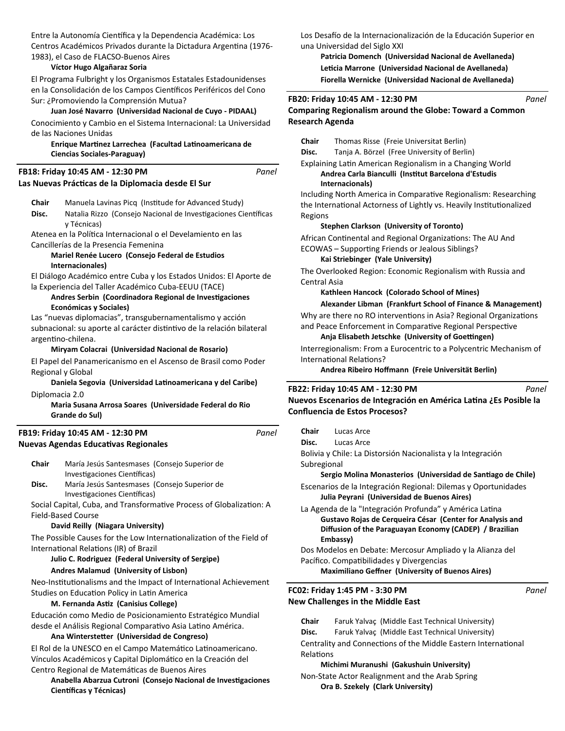Entre la Autonomía Científica y la Dependencia Académica: Los Centros Académicos Privados durante la Dictadura Argentina (1976-1983), el Caso de FLACSO-Buenos Aires

### **Víctor Hugo Algañaraz Soria**

El Programa Fulbright y los Organismos Estatales Estadounidenses en la Consolidación de los Campos Científicos Periféricos del Cono Sur: ¿Promoviendo la Comprensión Mutua?

### **Juan José Navarro (Universidad Nacional de Cuyo - PIDAAL)**

Conocimiento y Cambio en el Sistema Internacional: La Universidad de las Naciones Unidas

### **Enrique MarƟnez Larrechea (Facultad LaƟnoamericana de Ciencias Sociales-Paraguay)**

#### **Las Nuevas PrácƟcas de la Diplomacia desde El Sur FB18: Friday 10:45 AM - 12:30 PM** *Panel*

**Chair** Manuela Lavinas Picq (Institude for Advanced Study)

Disc. Natalia Rizzo (Consejo Nacional de Investigaciones Científicas y Técnicas)

Atenea en la Política Internacional o el Develamiento en las Cancillerías de la Presencia Femenina

### **Mariel Renée Lucero (Consejo Federal de Estudios Internacionales)**

El Diálogo Académico entre Cuba y los Estados Unidos: El Aporte de la Experiencia del Taller Académico Cuba-EEUU (TACE)

### Andres Serbin (Coordinadora Regional de Investigaciones **Económicas y Sociales)**

Las "nuevas diplomacias", transgubernamentalismo y acción subnacional: su aporte al carácter distintivo de la relación bilateral argentino-chilena.

### **Miryam Colacrai (Universidad Nacional de Rosario)**

El Papel del Panamericanismo en el Ascenso de Brasil como Poder Regional y Global

### **Daniela Segovia (Universidad LaƟnoamericana y del Caribe)** Diplomacia 2.0

**Maria Susana Arrosa Soares (Universidade Federal do Rio Grande do Sul)**

### **Nuevas Agendas EducaƟvas Regionales FB19: Friday 10:45 AM - 12:30 PM**

| Chair | María Jesús Santesmases (Consejo Superior de |  |  |
|-------|----------------------------------------------|--|--|
|       | Investigaciones Científicas)                 |  |  |
| Disc. | María Jesús Santesmases (Consejo Superior de |  |  |

Investigaciones Científicas)

Social Capital, Cuba, and Transformative Process of Globalization: A Field-Based Course

### **David Reilly (Niagara University)**

The Possible Causes for the Low Internationalization of the Field of International Relations (IR) of Brazil

# **Julio C. Rodriguez (Federal University of Sergipe)**

# **Andres Malamud (University of Lisbon)**

Neo-Institutionalisms and the Impact of International Achievement Studies on Education Policy in Latin America

#### **M. Fernanda AsƟz (Canisius College)**

Educación como Medio de Posicionamiento Estratégico Mundial desde el Análisis Regional Comparativo Asia Latino América.

#### **Ana WintersteƩer (Universidad de Congreso)**

El Rol de la UNESCO en el Campo Matemático Latinoamericano. Vínculos Académicos y Capital Diplomático en la Creación del Centro Regional de Matemáticas de Buenos Aires

**Anabella Abarzua Cutroni (Consejo Nacional de Investigaciones Científicas y Técnicas)** 

Los Desafío de la Internacionalización de la Educación Superior en una Universidad del Siglo XXI

**Patricia Domench (Universidad Nacional de Avellaneda)** Leticia Marrone (Universidad Nacional de Avellaneda) **Fiorella Wernicke (Universidad Nacional de Avellaneda)**

### **FB20: Friday 10:45 AM - 12:30 PM**

# **Comparing Regionalism around the Globe: Toward a Common Research Agenda**

**Chair** Thomas Risse (Freie Universitat Berlin)

**Disc.** Tanja A. Börzel (Free University of Berlin)

Explaining Latin American Regionalism in a Changing World

### **Andrea Carla Bianculli (InsƟtut Barcelona d'Estudis Internacionals)**

Including North America in Comparative Regionalism: Researching the International Actorness of Lightly vs. Heavily Institutionalized Regions

### **Stephen Clarkson (University of Toronto)**

African Continental and Regional Organizations: The AU And ECOWAS - Supporting Friends or Jealous Siblings?

### **Kai Striebinger (Yale University)**

The Overlooked Region: Economic Regionalism with Russia and Central Asia

### **Kathleen Hancock (Colorado School of Mines)**

### **Alexander Libman (Frankfurt School of Finance & Management)**

Why are there no RO interventions in Asia? Regional Organizations and Peace Enforcement in Comparative Regional Perspective

### Anja Elisabeth Jetschke (University of Goettingen)

Interregionalism: From a Eurocentric to a Polycentric Mechanism of International Relations?

**Andrea Ribeiro Hoīmann (Freie Universität Berlin)**

# **FB22: Friday 10:45 AM - 12:30 PM**

**Nuevos Escenarios de Integración en América LaƟna ¿Es Posible la Confluencia de Estos Procesos?** 

**Chair** Lucas Arce

**Disc.** Lucas Arce Bolivia y Chile: La Distorsión Nacionalista y la Integración

Subregional

*Panel*

Sergio Molina Monasterios (Universidad de Santiago de Chile)

Escenarios de la Integración Regional: Dilemas y Oportunidades **Julia Peyrani (Universidad de Buenos Aires)**

La Agenda de la "Integración Profunda" y América Latina **Gustavo Rojas de Cerqueira César (Center for Analysis and Diffusion of the Paraguayan Economy (CADEP) / Brazilian Embassy)**

Dos Modelos en Debate: Mercosur Ampliado y la Alianza del Pacífico. Compatibilidades y Divergencias

**Maximiliano Geīner (University of Buenos Aires)**

### **New Challenges in the Middle East FC02: Friday 1:45 PM - 3:30 PM**

**Chair** Faruk Yalvaç (Middle East Technical University)

**Disc.** Faruk Yalvaç (Middle East Technical University)

Centrality and Connections of the Middle Eastern International **Relations** 

### **Michimi Muranushi (Gakushuin University)**

Non-State Actor Realignment and the Arab Spring **Ora B. Szekely (Clark University)**

*Panel*

*Panel*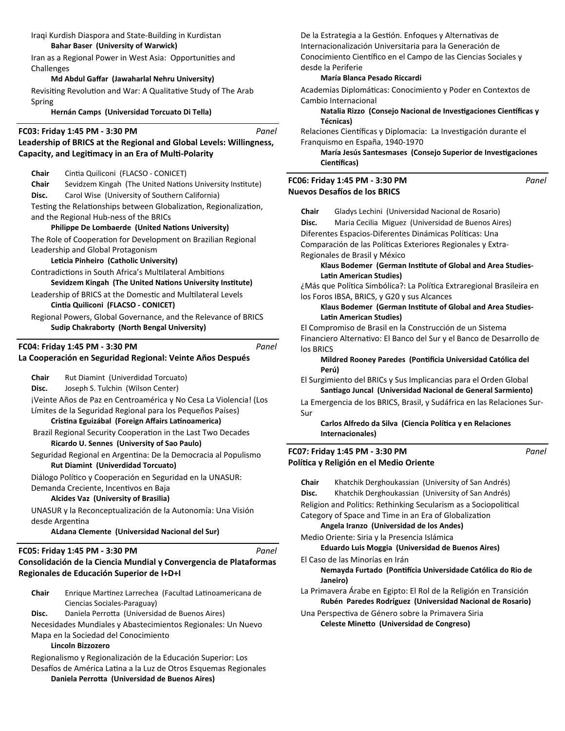### Iraqi Kurdish Diaspora and State-Building in Kurdistan **Bahar Baser (University of Warwick)**

Iran as a Regional Power in West Asia: Opportunities and Challenges

### **Md Abdul Gaīar (Jawaharlal Nehru University)**

Revisiting Revolution and War: A Qualitative Study of The Arab Spring

**Hernán Camps (Universidad Torcuato Di Tella)**

### **FC03: Friday 1:45 PM - 3:30 PM**

# **Leadership of BRICS at the Regional and Global Levels: Willingness, Capacity, and LegiƟmacy in an Era of MulƟ-Polarity**

**Chair** CinƟa Quiliconi (FLACSO - CONICET)

**Chair** Sevidzem Kingah (The United Nations University Institute) **Disc.** Carol Wise (University of Southern California) Testing the Relationships between Globalization, Regionalization, and the Regional Hub-ness of the BRICs

# **Philippe De Lombaerde (United Nations University)**

The Role of Cooperation for Development on Brazilian Regional Leadership and Global Protagonism

# **Leticia Pinheiro (Catholic University)**

Contradictions in South Africa's Multilateral Ambitions Sevidzem Kingah (The United Nations University Institute)

Leadership of BRICS at the Domestic and Multilateral Levels **CinƟa Quiliconi (FLACSO - CONICET)**

Regional Powers, Global Governance, and the Relevance of BRICS **Sudip Chakraborty (North Bengal University)**

# **FC04: Friday 1:45 PM - 3:30 PM**

# **La Cooperación en Seguridad Regional: Veinte Años Después**

**Chair** Rut Diamint (Univerdidad Torcuato) **Disc.** Joseph S. Tulchin (Wilson Center) ¡Veinte Años de Paz en Centroamérica y No Cesa La Violencia! (Los Límites de la Seguridad Regional para los Pequeños Países) **CrisƟna Eguizábal (Foreign Aīairs LaƟnoamerica)**

Brazil Regional Security Cooperation in the Last Two Decades **Ricardo U. Sennes (University of Sao Paulo)**

Seguridad Regional en Argentina: De la Democracia al Populismo **Rut Diamint (Univerdidad Torcuato)**

Diálogo Político y Cooperación en Seguridad en la UNASUR:

Demanda Creciente, Incentivos en Baja

# **Alcides Vaz (University of Brasilia)**

UNASUR y la Reconceptualización de la Autonomía: Una Visión desde Argentina

**ALdana Clemente (Universidad Nacional del Sur)**

# **FC05: Friday 1:45 PM - 3:30 PM**

### *Panel*

*Panel*

*Panel*

**Consolidación de la Ciencia Mundial y Convergencia de Plataformas Regionales de Educación Superior de I+D+I**

| Chair | Enrique Martinez Larrechea (Facultad Latinoamericana de |
|-------|---------------------------------------------------------|
|       | Ciencias Sociales-Paraguay)                             |
| Disc. | Daniela Perrotta (Universidad de Buenos Aires)          |

Necesidades Mundiales y Abastecimientos Regionales: Un Nuevo Mapa en la Sociedad del Conocimiento

## **Lincoln Bizzozero**

Regionalismo y Regionalización de la Educación Superior: Los Desafíos de América Latina a la Luz de Otros Esquemas Regionales **Daniela PerroƩa (Universidad de Buenos Aires)**

De la Estrategia a la Gestión. Enfoques y Alternativas de Internacionalización Universitaria para la Generación de Conocimiento Científico en el Campo de las Ciencias Sociales y desde la Periferie

### **María Blanca Pesado Riccardi**

Academias Diplomáticas: Conocimiento y Poder en Contextos de Cambio Internacional

**Natalia Rizzo (Consejo Nacional de Investigaciones Científicas y Técnicas)**

Relaciones Científicas y Diplomacia: La Investigación durante el Franquismo en España, 1940-1970

**María Jesús Santesmases (Consejo Superior de Investigaciones** Científicas)

### **Nuevos Desafíos de los BRICS FC06: Friday 1:45 PM - 3:30 PM**

**Chair** Gladys Lechini (Universidad Nacional de Rosario)

**Disc.** Maria Cecilia Miguez (Universidad de Buenos Aires)

Diferentes Espacios-Diferentes Dinámicas Políticas: Una

Comparación de las Políticas Exteriores Regionales y Extra-

Regionales de Brasil y México

Klaus Bodemer (German Institute of Global and Area Studies-**LaƟn American Studies)**

¿Más que Política Simbólica?: La Política Extraregional Brasileira en los Foros IBSA, BRICS, y G20 y sus Alcances

Klaus Bodemer (German Institute of Global and Area Studies-**LaƟn American Studies)**

El Compromiso de Brasil en la Construcción de un Sistema Financiero Alternativo: El Banco del Sur y el Banco de Desarrollo de los BRICS

**Mildred Rooney Paredes (Pontificia Universidad Católica del Perú)**

El Surgimiento del BRICs y Sus Implicancias para el Orden Global Santiago Juncal (Universidad Nacional de General Sarmiento)

La Emergencia de los BRICS, Brasil, y Sudáfrica en las Relaciones Sur-Sur

**Carlos Alfredo da Silva (Ciencia Política y en Relaciones Internacionales)**

### **PolíƟca y Religión en el Medio Oriente FC07: Friday 1:45 PM - 3:30 PM**

*Panel*

**Chair** Khatchik Derghoukassian (University of San Andrés) **Disc.** Khatchik Derghoukassian (University of San Andrés) Religion and Politics: Rethinking Secularism as a Sociopolitical Category of Space and Time in an Era of Globalization **Angela Iranzo (Universidad de los Andes)** Medio Oriente: Siria y la Presencia Islámica **Eduardo Luis Moggia (Universidad de Buenos Aires)** El Caso de las Minorías en Irán **Nemayda Furtado (PonƟİcia Universidade Católica do Rio de Janeiro)** La Primavera Árabe en Egipto: El Rol de la Religión en Transición **Rubén Paredes Rodríguez (Universidad Nacional de Rosario)** Una Perspectiva de Género sobre la Primavera Siria **Celeste MineƩo (Universidad de Congreso)**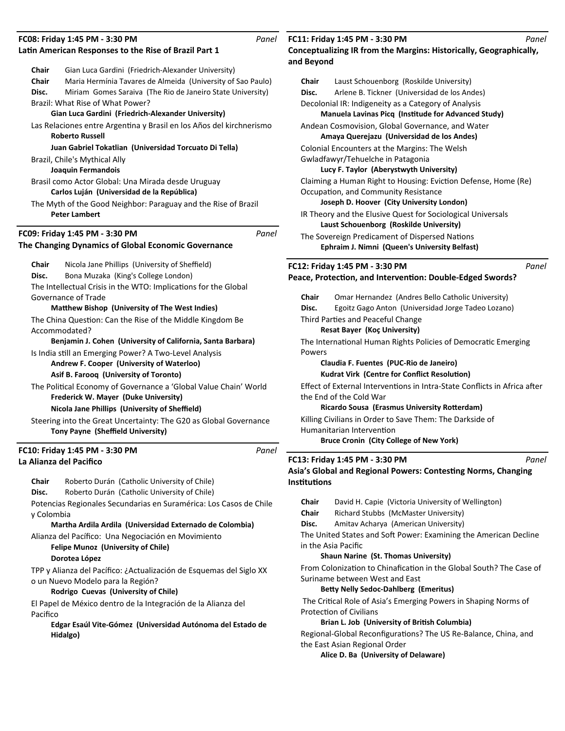# **FC08: Friday 1:45 PM - 3:30 PM**

|               | FC08: Friday 1:45 PM - 3:30 PM<br>Latin American Responses to the Rise of Brazil Part 1          | Panel |
|---------------|--------------------------------------------------------------------------------------------------|-------|
|               |                                                                                                  |       |
| Chair         | Gian Luca Gardini (Friedrich-Alexander University)                                               |       |
| Chair         | Maria Hermínia Tavares de Almeida (University of Sao Paulo)                                      |       |
| Disc.         | Miriam Gomes Saraiva (The Rio de Janeiro State University)                                       |       |
|               | Brazil: What Rise of What Power?                                                                 |       |
|               | Gian Luca Gardini (Friedrich-Alexander University)                                               |       |
|               | Las Relaciones entre Argentina y Brasil en los Años del kirchnerismo                             |       |
|               | <b>Roberto Russell</b>                                                                           |       |
|               | Juan Gabriel Tokatlian (Universidad Torcuato Di Tella)                                           |       |
|               | Brazil, Chile's Mythical Ally                                                                    |       |
|               | Joaquin Fermandois                                                                               |       |
|               | Brasil como Actor Global: Una Mirada desde Uruguay<br>Carlos Luján (Universidad de la República) |       |
|               | The Myth of the Good Neighbor: Paraguay and the Rise of Brazil<br><b>Peter Lambert</b>           |       |
|               |                                                                                                  |       |
|               | FC09: Friday 1:45 PM - 3:30 PM                                                                   | Panel |
|               | The Changing Dynamics of Global Economic Governance                                              |       |
| Chair         | Nicola Jane Phillips (University of Sheffield)                                                   |       |
| Disc.         | Bona Muzaka (King's College London)                                                              |       |
|               | The Intellectual Crisis in the WTO: Implications for the Global                                  |       |
|               | Governance of Trade                                                                              |       |
|               | <b>Matthew Bishop (University of The West Indies)</b>                                            |       |
| Accommodated? | The China Question: Can the Rise of the Middle Kingdom Be                                        |       |
|               | Benjamin J. Cohen (University of California, Santa Barbara)                                      |       |
|               | Is India still an Emerging Power? A Two-Level Analysis                                           |       |
|               | Andrew F. Cooper (University of Waterloo)                                                        |       |
|               | Asif B. Faroog (University of Toronto)                                                           |       |
|               | The Political Economy of Governance a 'Global Value Chain' World                                 |       |
|               | <b>Frederick W. Mayer (Duke University)</b>                                                      |       |
|               | Nicola Jane Phillips (University of Sheffield)                                                   |       |
|               | Steering into the Great Uncertainty: The G20 as Global Governance                                |       |
|               | Tony Payne (Sheffield University)                                                                |       |
|               | FC10: Friday 1:45 PM - 3:30 PM                                                                   | Panel |
|               | La Alianza del Pacifico                                                                          |       |
| Chair         | Roberto Durán (Catholic University of Chile)                                                     |       |

**Disc.** Roberto Durán (Catholic University of Chile)

Potencias Regionales Secundarias en Suramérica: Los Casos de Chile y Colombia

**Martha Ardila Ardila (Universidad Externado de Colombia)**

Alianza del Pacífico: Una Negociación en Movimiento

**Felipe Munoz (University of Chile)**

# **Dorotea López**

TPP y Alianza del Pacífico: ¿Actualización de Esquemas del Siglo XX o un Nuevo Modelo para la Región?

# **Rodrigo Cuevas (University of Chile)**

El Papel de México dentro de la Integración de la Alianza del Pacifico

**Edgar Esaúl Vite-Gómez (Universidad Autónoma del Estado de Hidalgo)**

# **FC11: Friday 1:45 PM - 3:30 PM**

**Conceptualizing IR from the Margins: Historically, Geographically, and Beyond**

| Chair | Laust Schouenborg (Roskilde University)                        |  |
|-------|----------------------------------------------------------------|--|
| Disc. | Arlene B. Tickner (Universidad de los Andes)                   |  |
|       | Decolonial IR: Indigeneity as a Category of Analysis           |  |
|       | Manuela Lavinas Picq (Institude for Advanced Study)            |  |
|       | Andean Cosmovision, Global Governance, and Water               |  |
|       | Amaya Querejazu (Universidad de los Andes)                     |  |
|       | Colonial Encounters at the Margins: The Welsh                  |  |
|       | Gwladfawyr/Tehuelche in Patagonia                              |  |
|       | Lucy F. Taylor (Aberystwyth University)                        |  |
|       | Claiming a Human Right to Housing: Eviction Defense, Home (Re) |  |
|       | Occupation, and Community Resistance                           |  |
|       | Joseph D. Hoover (City University London)                      |  |
|       | IR Theory and the Elusive Quest for Sociological Universals    |  |
|       | Laust Schouenborg (Roskilde University)                        |  |
|       | The Sovereign Predicament of Dispersed Nations                 |  |
|       | Ephraim J. Nimni (Queen's University Belfast)                  |  |
|       | Panel<br>FC12: Friday 1:45 PM - 3:30 PM                        |  |
|       | Peace, Protection, and Intervention: Double-Edged Swords?      |  |
| Chair | Omar Hernandez (Andres Bello Catholic University)              |  |
| Disc. | Egoitz Gago Anton (Universidad Jorge Tadeo Lozano)             |  |
|       | Third Parties and Peaceful Change                              |  |
|       | Resat Bayer (Koç University)                                   |  |
|       | The International Human Rights Policies of Democratic Emerging |  |
|       |                                                                |  |

Powers

**Claudia F. Fuentes (PUC-Rio de Janeiro)**

**Kudrat Virk (Centre for Conflict Resolution)** 

Effect of External Interventions in Intra-State Conflicts in Africa after the End of the Cold War

**Ricardo Sousa (Erasmus University Rotterdam)** 

Killing Civilians in Order to Save Them: The Darkside of Humanitarian Intervention **Bruce Cronin (City College of New York)**

# **FC13: Friday 1:45 PM - 3:30 PM**

Asia's Global and Regional Powers: Contesting Norms, Changing **InsƟtuƟons**

| Chair | David H. Capie (Victoria University of Wellington) |
|-------|----------------------------------------------------|
| Chair | Richard Stubbs (McMaster University)               |
| Disc. | Amitav Acharya (American University)               |

The United States and Soft Power: Examining the American Decline in the Asia Pacific

## **Shaun Narine (St. Thomas University)**

From Colonization to Chinafication in the Global South? The Case of Suriname between West and East

# **BeƩy Nelly Sedoc-Dahlberg (Emeritus)**

The Critical Role of Asia's Emerging Powers in Shaping Norms of Protection of Civilians

# Brian L. Job (University of British Columbia)

Regional-Global Reconfigurations? The US Re-Balance, China, and the East Asian Regional Order

**Alice D. Ba (University of Delaware)**

*Panel*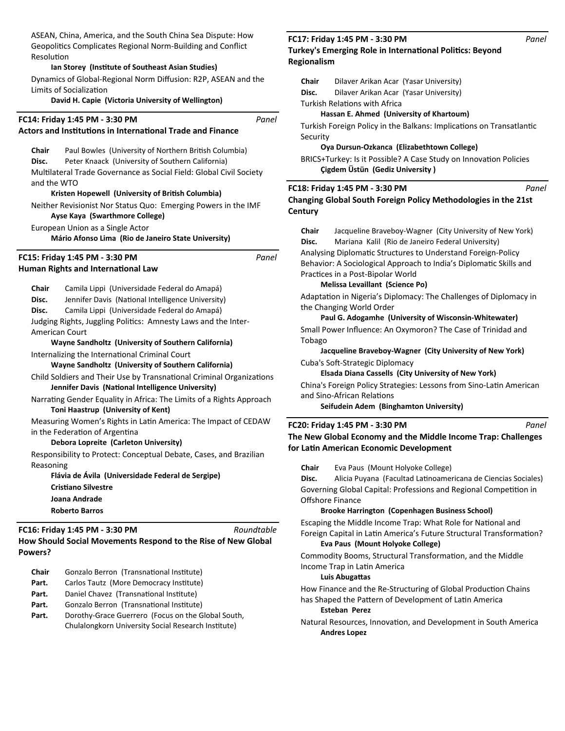ASEAN, China, America, and the South China Sea Dispute: How Geopolitics Complicates Regional Norm-Building and Conflict **Resolution** 

### **Ian Storey (InsƟtute of Southeast Asian Studies)**

Dynamics of Global-Regional Norm Diffusion: R2P, ASEAN and the Limits of Socialization

### **David H. Capie (Victoria University of Wellington)**

| FC14: Friday 1:45 PM - 3:30 PM<br><b>Actors and Institutions in International Trade and Finance</b>                                                                                                                                                                                                                                                                                                                                                                                                                                                                                                                                                                                | Panel       |
|------------------------------------------------------------------------------------------------------------------------------------------------------------------------------------------------------------------------------------------------------------------------------------------------------------------------------------------------------------------------------------------------------------------------------------------------------------------------------------------------------------------------------------------------------------------------------------------------------------------------------------------------------------------------------------|-------------|
| Chair<br>Paul Bowles (University of Northern British Columbia)<br>Peter Knaack (University of Southern California)<br>Disc.<br>Multilateral Trade Governance as Social Field: Global Civil Society<br>and the WTO                                                                                                                                                                                                                                                                                                                                                                                                                                                                  |             |
| Kristen Hopewell (University of British Columbia)<br>Neither Revisionist Nor Status Quo: Emerging Powers in the IMF<br>Ayse Kaya (Swarthmore College)<br>European Union as a Single Actor                                                                                                                                                                                                                                                                                                                                                                                                                                                                                          | F<br>C<br>C |
| Mário Afonso Lima (Rio de Janeiro State University)<br>FC15: Friday 1:45 PM - 3:30 PM<br><b>Human Rights and International Law</b>                                                                                                                                                                                                                                                                                                                                                                                                                                                                                                                                                 | Panel       |
| Chair<br>Camila Lippi (Universidade Federal do Amapá)<br>Disc.<br>Jennifer Davis (National Intelligence University)<br>Disc.<br>Camila Lippi (Universidade Federal do Amapá)<br>Judging Rights, Juggling Politics: Amnesty Laws and the Inter-<br><b>American Court</b><br>Wayne Sandholtz (University of Southern California)<br>Internalizing the International Criminal Court<br>Wayne Sandholtz (University of Southern California)<br>Child Soldiers and Their Use by Transnational Criminal Organizations<br>Jennifer Davis (National Intelligence University)<br>Narrating Gender Equality in Africa: The Limits of a Rights Approach<br>Toni Haastrup (University of Kent) |             |
| Measuring Women's Rights in Latin America: The Impact of CEDAW<br>in the Federation of Argentina<br>Debora Lopreite (Carleton University)<br>Responsibility to Protect: Conceptual Debate, Cases, and Brazilian<br>Reasoning<br>Flávia de Ávila (Universidade Federal de Sergipe)<br><b>Cristiano Silvestre</b><br>Joana Andrade<br><b>Roberto Barros</b>                                                                                                                                                                                                                                                                                                                          | F<br>т<br>f |

**How Should Social Movements Respond to the Rise of New Global Powers? FC16: Friday 1:45 PM - 3:30 PM** *Roundtable*

- **Chair** Gonzalo Berron (Transnational Institute)
- Part. Carlos Tautz (More Democracy Institute)
- Part. Daniel Chavez (Transnational Institute)
- Part. Gonzalo Berron (Transnational Institute)
- Part. Dorothy-Grace Guerrero (Focus on the Global South, Chulalongkorn University Social Research Institute)

### **Turkey's Emerging Role in International Politics: Beyond Regionalism FC17: Friday 1:45 PM - 3:30 PM**

**Chair** Dilaver Arikan Acar (Yasar University) **Disc.** Dilaver Arikan Acar (Yasar University)

Turkish Relations with Africa

### **Hassan E. Ahmed (University of Khartoum)**

Turkish Foreign Policy in the Balkans: Implications on Transatlantic Security

### **Oya Dursun-Ozkanca (Elizabethtown College)**

BRICS+Turkey: Is it Possible? A Case Study on Innovation Policies **Çigdem Üstün (Gediz University )**

### **FC18: Friday 1:45 PM - 3:30 PM**

**Changing Global South Foreign Policy Methodologies in the 21st Century**

**Chair** Jacqueline Braveboy-Wagner (City University of New York) **Disc.** Mariana Kalil (Rio de Janeiro Federal University) Analysing DiplomaƟc Structures to Understand Foreign-Policy Behavior: A Sociological Approach to India's Diplomatic Skills and

Practices in a Post-Bipolar World

# **Melissa Levaillant (Science Po)**

Adaptation in Nigeria's Diplomacy: The Challenges of Diplomacy in the Changing World Order

### **Paul G. Adogamhe (University of Wisconsin-Whitewater)**

Small Power Influence: An Oxymoron? The Case of Trinidad and Tobago

**Jacqueline Braveboy-Wagner (City University of New York)** Cuba's Soft-Strategic Diplomacy

**Elsada Diana Cassells (City University of New York)**

China's Foreign Policy Strategies: Lessons from Sino-Latin American and Sino-African Relations

**Seifudein Adem (Binghamton University)**

#### **FC20: Friday 1:45 PM - 3:30 PM**

**The New Global Economy and the Middle Income Trap: Challenges for LaƟn American Economic Development**

**Chair** Eva Paus (Mount Holyoke College)

Disc. Alicia Puyana (Facultad Latinoamericana de Ciencias Sociales) Governing Global Capital: Professions and Regional Competition in Offshore Finance

### **Brooke Harrington (Copenhagen Business School)**

Escaping the Middle Income Trap: What Role for National and Foreign Capital in Latin America's Future Structural Transformation? **Eva Paus (Mount Holyoke College)**

Commodity Booms, Structural Transformation, and the Middle Income Trap in LaƟn America

### **Luis Abugattas**

How Finance and the Re-Structuring of Global Production Chains has Shaped the Pattern of Development of Latin America

#### **Esteban Perez**

Natural Resources, Innovation, and Development in South America **Andres Lopez** 

*Panel*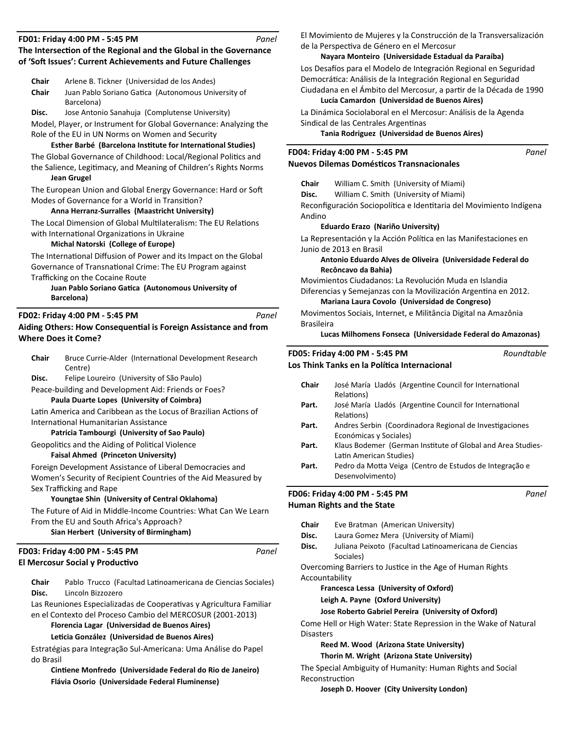### **FD01: Friday 4:00 PM - 5:45 PM**

# The Intersection of the Regional and the Global in the Governance of 'Soft Issues': Current Achievements and Future Challenges *Panel*

| Chair | Arlene B. Tickner (Universidad de los Andes)        |
|-------|-----------------------------------------------------|
| Chair | Juan Pablo Soriano Gatica (Autonomous University of |
|       | Barcelona)                                          |

**Disc.** Jose Antonio Sanahuja (Complutense University)

Model, Player, or Instrument for Global Governance: Analyzing the Role of the EU in UN Norms on Women and Security

# **Esther Barbé (Barcelona InsƟtute for InternaƟonal Studies)**

The Global Governance of Childhood: Local/Regional Politics and the Salience, Legitimacy, and Meaning of Children's Rights Norms **Jean Grugel** 

The European Union and Global Energy Governance: Hard or Soft Modes of Governance for a World in Transition?

**Anna Herranz-Surralles (Maastricht University)**

The Local Dimension of Global Multilateralism: The EU Relations with International Organizations in Ukraine

# **Michal Natorski (College of Europe)**

The International Diffusion of Power and its Impact on the Global Governance of Transnational Crime: The EU Program against Trafficking on the Cocaine Route

# **Juan Pablo Soriano Gatica (Autonomous University of Barcelona)**

# **FD02: Friday 4:00 PM - 5:45 PM**

# **Aiding Others: How ConsequenƟal is Foreign Assistance and from Where Does it Come?**

| <b>Chair</b> | Bruce Currie-Alder (International Development Research |
|--------------|--------------------------------------------------------|
|              | Centre)                                                |
| $\sim$       |                                                        |

**Disc.** Felipe Loureiro (University of São Paulo)

Peace-building and Development Aid: Friends or Foes? **Paula Duarte Lopes (University of Coimbra)**

Latin America and Caribbean as the Locus of Brazilian Actions of International Humanitarian Assistance

## **Patricia Tambourgi (University of Sao Paulo)**

Geopolitics and the Aiding of Political Violence

# **Faisal Ahmed (Princeton University)**

Foreign Development Assistance of Liberal Democracies and Women's Security of Recipient Countries of the Aid Measured by Sex Trafficking and Rape

# **Youngtae Shin (University of Central Oklahoma)**

The Future of Aid in Middle-Income Countries: What Can We Learn From the EU and South Africa's Approach?

**Sian Herbert (University of Birmingham)**

# **El Mercosur Social y Productivo FD03: Friday 4:00 PM - 5:45 PM**

Chair Pablo Trucco (Facultad Latinoamericana de Ciencias Sociales) **Disc.** Lincoln Bizzozero

Las Reuniones Especializadas de Cooperativas y Agricultura Familiar en el Contexto del Proceso Cambio del MERCOSUR (2001-2013)

**Florencia Lagar (Universidad de Buenos Aires)**

## **LeƟcia González (Universidad de Buenos Aires)**

Estratégias para Integração Sul-Americana: Uma Análise do Papel do Brasil

**CinƟene Monfredo (Universidade Federal do Rio de Janeiro) Flávia Osorio (Universidade Federal Fluminense)**

El Movimiento de Mujeres y la Construcción de la Transversalización de la Perspectiva de Género en el Mercosur

# **Nayara Monteiro (Universidade Estadual da Paraíba)**

Los Desafíos para el Modelo de Integración Regional en Seguridad Democrática: Análisis de la Integración Regional en Seguridad Ciudadana en el Ámbito del Mercosur, a partir de la Década de 1990

**Lucía Camardon (Universidad de Buenos Aires)** La Dinámica Sociolaboral en el Mercosur: Análisis de la Agenda

Sindical de las Centrales Argentinas

**Tania Rodriguez (Universidad de Buenos Aires)**

# **FD04: Friday 4:00 PM - 5:45 PM**

# **Nuevos Dilemas DomésƟcos Transnacionales**

**Chair** William C. Smith (University of Miami)

**Disc.** William C. Smith (University of Miami)

Reconfiguración Sociopolítica e Identitaria del Movimiento Indígena Andino

# **Eduardo Erazo (Nariño University)**

La Representación y la Acción Política en las Manifestaciones en Junio de 2013 en Brasil

## **Antonio Eduardo Alves de Oliveira (Universidade Federal do Recôncavo da Bahia)**

Movimientos Ciudadanos: La Revolución Muda en Islandia

Diferencias y Semejanzas con la Movilización Argentina en 2012. **Mariana Laura Covolo (Universidad de Congreso)**

Movimentos Sociais, Internet, e Militância Digital na Amazônia Brasileira

**Lucas Milhomens Fonseca (Universidade Federal do Amazonas)**

### **Los Think Tanks en la PolíƟca Internacional FD05: Friday 4:00 PM - 5:45 PM**

| <b>Chair</b> | José María Lladós (Argentine Council for International<br>Relations)                   |
|--------------|----------------------------------------------------------------------------------------|
| Part.        | José María Lladós (Argentine Council for International<br>Relations)                   |
| Part.        | Andres Serbin (Coordinadora Regional de Investigaciones<br>Económicas y Sociales)      |
| Part.        | Klaus Bodemer (German Institute of Global and Area Studies-<br>Latin American Studies) |
| Part.        | Pedro da Motta Veiga (Centro de Estudos de Integração e<br>Desenvolvimento)            |
|              |                                                                                        |

**Human Rights and the State FD06: Friday 4:00 PM - 5:45 PM**

*Panel*

*Panel*

*Panel*

*Roundtable*

*Panel*

**Chair** Eve Bratman (American University) **Disc.** Laura Gomez Mera (University of Miami) Disc. Juliana Peixoto (Facultad Latinoamericana de Ciencias Sociales) Overcoming Barriers to Justice in the Age of Human Rights Accountability **Francesca Lessa (University of Oxford) Leigh A. Payne (Oxford University) Jose Roberto Gabriel Pereira (University of Oxford)** Come Hell or High Water: State Repression in the Wake of Natural Disasters **Reed M. Wood (Arizona State University)**

**Thorin M. Wright (Arizona State University)**

The Special Ambiguity of Humanity: Human Rights and Social **Reconstruction** 

**Joseph D. Hoover (City University London)**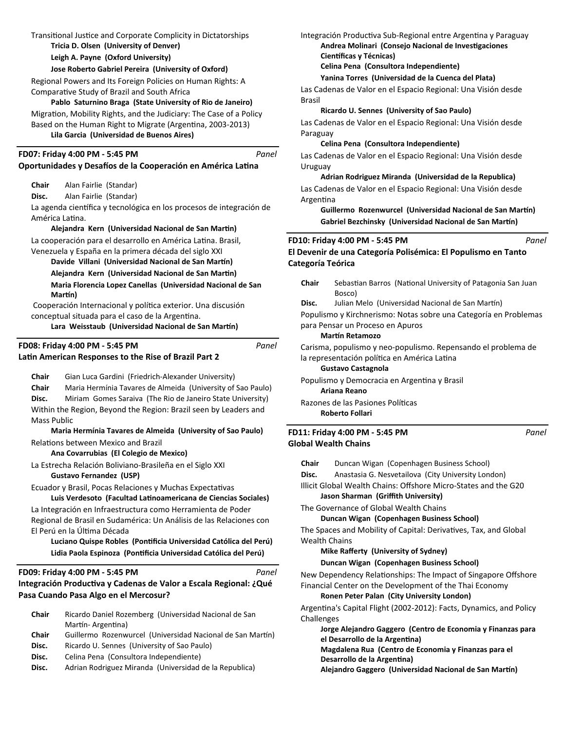| Transitional Justice and Corporate Complicity in Dictatorships<br>Tricia D. Olsen (University of Denver)                                                                                                                                                                                                       | In            |
|----------------------------------------------------------------------------------------------------------------------------------------------------------------------------------------------------------------------------------------------------------------------------------------------------------------|---------------|
| Leigh A. Payne (Oxford University)                                                                                                                                                                                                                                                                             |               |
| Jose Roberto Gabriel Pereira (University of Oxford)                                                                                                                                                                                                                                                            |               |
| Regional Powers and Its Foreign Policies on Human Rights: A<br>Comparative Study of Brazil and South Africa<br>Pablo Saturnino Braga (State University of Rio de Janeiro)<br>Migration, Mobility Rights, and the Judiciary: The Case of a Policy<br>Based on the Human Right to Migrate (Argentina, 2003-2013) | La<br>B<br>La |
| Lila Garcia (Universidad de Buenos Aires)                                                                                                                                                                                                                                                                      | P;            |
| FD07: Friday 4:00 PM - 5:45 PM<br>Panel<br>Oportunidades y Desafíos de la Cooperación en América Latina                                                                                                                                                                                                        | La<br>U       |
| Chair<br>Alan Fairlie (Standar)                                                                                                                                                                                                                                                                                |               |
| Alan Fairlie (Standar)<br>Disc.                                                                                                                                                                                                                                                                                | La<br>Α       |
| La agenda científica y tecnológica en los procesos de integración de<br>América Latina.                                                                                                                                                                                                                        |               |
| Alejandra Kern (Universidad Nacional de San Martin)                                                                                                                                                                                                                                                            |               |
| La cooperación para el desarrollo en América Latina. Brasil,                                                                                                                                                                                                                                                   | <b>FD10</b>   |
| Venezuela y España en la primera década del siglo XXI                                                                                                                                                                                                                                                          | El De         |
| Davide Villani (Universidad Nacional de San Martín)                                                                                                                                                                                                                                                            | Cate          |
| Alejandra Kern (Universidad Nacional de San Martin)                                                                                                                                                                                                                                                            |               |
| Maria Florencia Lopez Canellas (Universidad Nacional de San<br>Martín)                                                                                                                                                                                                                                         | $\mathbf C$   |
| Cooperación Internacional y política exterior. Una discusión                                                                                                                                                                                                                                                   | D             |

conceptual situada para el caso de la Argentina.

Lara Weisstaub (Universidad Nacional de San Martín)

| FD08: Friday 4:00 PM - 5:45 PM                        |
|-------------------------------------------------------|
| Latin American Responses to the Rise of Brazil Part 2 |

**Chair** Gian Luca Gardini (Friedrich-Alexander University)

**Chair** Maria Hermínia Tavares de Almeida (University of Sao Paulo)

**Disc.** Miriam Gomes Saraiva (The Rio de Janeiro State University) Within the Region, Beyond the Region: Brazil seen by Leaders and Mass Public

**Maria Hermínia Tavares de Almeida (University of Sao Paulo)** Relations between Mexico and Brazil

**Ana Covarrubias (El Colegio de Mexico)**

La Estrecha Relación Boliviano-Brasileña en el Siglo XXI **Gustavo Fernandez (USP)**

Ecuador y Brasil, Pocas Relaciones y Muchas Expectativas

**Luis Verdesoto (Facultad LaƟnoamericana de Ciencias Sociales)** La Integración en Infraestructura como Herramienta de Poder Regional de Brasil en Sudamérica: Un Análisis de las Relaciones con El Perú en la ÚlƟma Década

Luciano Quispe Robles (Pontificia Universidad Católica del Perú) Lidia Paola Espinoza (Pontificia Universidad Católica del Perú)

# **FD09: Friday 4:00 PM - 5:45 PM**

# **Integración ProducƟva y Cadenas de Valor a Escala Regional: ¿Qué Pasa Cuando Pasa Algo en el Mercosur?**

| <b>Chair</b> | Ricardo Daniel Rozemberg (Universidad Nacional de San      |
|--------------|------------------------------------------------------------|
|              | Martín-Argentina)                                          |
| Chair        | Guillermo Rozenwurcel (Universidad Nacional de San Martín) |
| Disc.        | Ricardo U. Sennes (University of Sao Paulo)                |
| Disc.        | Celina Pena (Consultora Independiente)                     |

**Disc.** Adrian Rodriguez Miranda (Universidad de la Republica)

Itegración Productiva Sub-Regional entre Argentina y Paraguay **Andrea Molinari (Consejo Nacional de Investigaciones Científicas y Técnicas)** 

**Celina Pena (Consultora Independiente)**

# **Yanina Torres (Universidad de la Cuenca del Plata)**

as Cadenas de Valor en el Espacio Regional: Una Visión desde Brasil

**Ricardo U. Sennes (University of Sao Paulo)**

as Cadenas de Valor en el Espacio Regional: Una Visión desde araguay

**Celina Pena (Consultora Independiente)**

as Cadenas de Valor en el Espacio Regional: Una Visión desde ruguay

# **Adrian Rodriguez Miranda (Universidad de la Republica)**

as Cadenas de Valor en el Espacio Regional: Una Visión desde rgentina

Guillermo Rozenwurcel (Universidad Nacional de San Martín) Gabriel Bezchinsky (Universidad Nacional de San Martín)

### **Philom 4:00 PM - 5:45 PM**

*Panel*

*Panel*

**El Devenir de una Categoría Polisémica: El Populismo en Tanto Categoría Teórica**

hair Sebastian Barros (National University of Patagonia San Juan Bosco)

isc. Julian Melo (Universidad Nacional de San Martín) Populismo y Kirchnerismo: Notas sobre una Categoría en Problemas para Pensar un Proceso en Apuros

### **Martín Retamozo**

*Panel*

*Panel*

Carisma, populismo y neo-populismo. Repensando el problema de la representación política en América Latina

### **Gustavo Castagnola**

Populismo y Democracia en Argentina y Brasil

**Ariana Reano**  Razones de las Pasiones Políticas **Roberto Follari** 

### **Global Wealth Chains FD11: Friday 4:00 PM - 5:45 PM**

**Chair** Duncan Wigan (Copenhagen Business School)

- **Disc.** Anastasia G. Nesvetailova (City University London)
- Illicit Global Wealth Chains: Offshore Micro-States and the G20 **Jason Sharman (Griffith University)**

The Governance of Global Wealth Chains

# **Duncan Wigan (Copenhagen Business School)**

The Spaces and Mobility of Capital: Derivatives, Tax, and Global Wealth Chains

**Mike Rafferty (University of Sydney)** 

# **Duncan Wigan (Copenhagen Business School)**

New Dependency Relationships: The Impact of Singapore Offshore Financial Center on the Development of the Thai Economy

## **Ronen Peter Palan (City University London)**

Argentina's Capital Flight (2002-2012): Facts, Dynamics, and Policy Challenges

**Jorge Alejandro Gaggero (Centro de Economia y Finanzas para el Desarrollo de la ArgenƟna)**

**Magdalena Rua (Centro de Economia y Finanzas para el** 

**Desarrollo de la ArgenƟna)**

Alejandro Gaggero (Universidad Nacional de San Martín)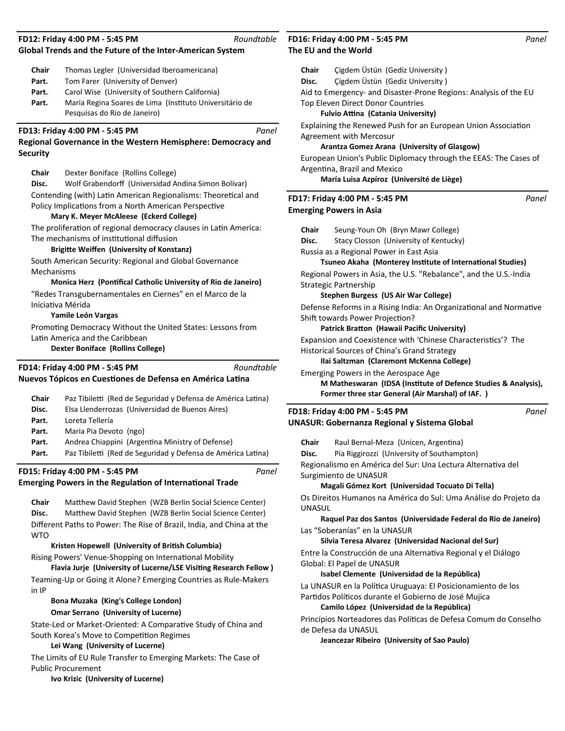## **Global Trends and the Future of the Inter-American System**

| Chair | Thomas Legler (Universidad Iberoamericana) |
|-------|--------------------------------------------|
|-------|--------------------------------------------|

- Part. Tom Farer (University of Denver)
- Part. Carol Wise (University of Southern California)
- Part. Maria Regina Soares de Lima (Instituto Universitário de Pesquisas do Rio de Janeiro)

### **FD13: Friday 4:00 PM - 5:45 PM**

# **Regional Governance in the Western Hemisphere: Democracy and Security**

**Chair** Dexter Boniface (Rollins College)

**Disc.** Wolf Grabendorff (Universidad Andina Simon Bolivar) Contending (with) Latin American Regionalisms: Theoretical and Policy Implications from a North American Perspective

### **Mary K. Meyer McAleese (Eckerd College)**

The proliferation of regional democracy clauses in Latin America: The mechanisms of institutional diffusion

### **BrigiƩe Weiīen (University of Konstanz)**

South American Security: Regional and Global Governance Mechanisms

### **Monica Herz (Pontifical Catholic University of Rio de Janeiro)**

"Redes Transgubernamentales en Ciernes" en el Marco de la IniciaƟva Mérida

### **Yamile León Vargas**

Promoting Democracy Without the United States: Lessons from Latin America and the Caribbean

### **Dexter Boniface (Rollins College)**

**Nuevos Tópicos en Cuestiones de Defensa en América Latina FD14: Friday 4:00 PM - 5:45 PM**

|              | FD15: Friday 4:00 PM - 5:45 PM                               | Panel |
|--------------|--------------------------------------------------------------|-------|
| Part.        | Paz Tibiletti (Red de Seguridad y Defensa de América Latina) |       |
| Part.        | Andrea Chiappini (Argentina Ministry of Defense)             |       |
| Part.        | Maria Pia Devoto (ngo)                                       |       |
| Part.        | Loreta Tellería                                              |       |
| Disc.        | Elsa Llenderrozas (Universidad de Buenos Aires)              |       |
| <b>Chair</b> | Paz Tibiletti (Red de Seguridad y Defensa de América Latina) |       |
|              |                                                              |       |

### **Emerging Powers in the Regulation of International Trade**

**Chair** Matthew David Stephen (WZB Berlin Social Science Center) Disc. Matthew David Stephen (WZB Berlin Social Science Center) Different Paths to Power: The Rise of Brazil, India, and China at the **WTO** 

### **Kristen Hopewell (University of British Columbia)**

Rising Powers' Venue-Shopping on International Mobility

**Flavia Jurje (University of Lucerne/LSE Visiting Research Fellow)** Teaming-Up or Going it Alone? Emerging Countries as Rule-Makers in IP

### **Bona Muzaka (King's College London)**

### **Omar Serrano (University of Lucerne)**

State-Led or Market-Oriented: A Comparative Study of China and South Korea's Move to Competition Regimes

### **Lei Wang (University of Lucerne)**

The Limits of EU Rule Transfer to Emerging Markets: The Case of Public Procurement

# **The EU and the World FD16: Friday 4:00 PM - 5:45 PM**

*Roundtable*

*Panel*

*Roundtable*

**Chair** Çigdem Üstün (Gediz University )

**Disc.** Çigdem Üstün (Gediz University )

Aid to Emergency- and Disaster-Prone Regions: Analysis of the EU Top Eleven Direct Donor Countries

### **Fulvio Attina (Catania University)**

Explaining the Renewed Push for an European Union Association Agreement with Mercosur

### **Arantza Gomez Arana (University of Glasgow)**

European Union's Public Diplomacy through the EEAS: The Cases of Argentina, Brazil and Mexico

### **María Luisa Azpíroz (Université de Liège)**

## **Emerging Powers in Asia FD17: Friday 4:00 PM - 5:45 PM**

*Panel*

**Chair** Seung-Youn Oh (Bryn Mawr College) **Disc.** Stacy Closson (University of Kentucky) Russia as a Regional Power in East Asia **Tsuneo Akaha (Monterey InsƟtute of InternaƟonal Studies)** Regional Powers in Asia, the U.S. "Rebalance", and the U.S.-India Strategic Partnership **Stephen Burgess (US Air War College)** Defense Reforms in a Rising India: An Organizational and Normative Shift towards Power Projection? **Patrick Bratton (Hawaii Pacific University)** Expansion and Coexistence with 'Chinese Characteristics'? The Historical Sources of China's Grand Strategy **Ilai Saltzman (Claremont McKenna College)** Emerging Powers in the Aerospace Age **M Matheswaran (IDSA (InsƟtute of Defence Studies & Analysis), Former three star General (Air Marshal) of IAF. ) UNASUR: Gobernanza Regional y Sistema Global FD18: Friday 4:00 PM - 5:45 PM** *Panel*

Chair Raul Bernal-Meza (Unicen, Argentina)

**Disc.** Pía Riggirozzi (University of Southampton)

Regionalismo en América del Sur: Una Lectura Alternativa del Surgimiento de UNASUR

### **Magali Gómez Kort (Universidad Tocuato Di Tella)**

Os Direitos Humanos na América do Sul: Uma Análise do Projeto da UNASUL

**Raquel Paz dos Santos (Universidade Federal do Rio de Janeiro)** Las "Soberanías" en la UNASUR

**Silvia Teresa Alvarez (Universidad Nacional del Sur)**

Entre la Construcción de una Alternativa Regional y el Diálogo Global: El Papel de UNASUR

### **Isabel Clemente (Universidad de la República)**

La UNASUR en la Política Uruguaya: El Posicionamiento de los Partidos Políticos durante el Gobierno de José Mujica

### **Camilo López (Universidad de la República)**

Princípios Norteadores das Políticas de Defesa Comum do Conselho de Defesa da UNASUL

**Jeancezar Ribeiro (University of Sao Paulo)**

**Ivo Krizic (University of Lucerne)**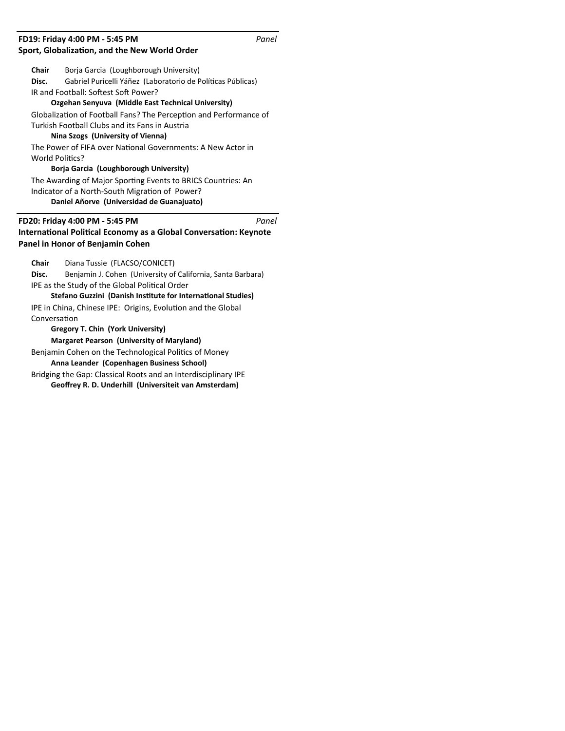# **Sport, Globalization, and the New World Order FD19: Friday 4:00 PM - 5:45 PM**

| Chair           | Borja Garcia (Loughborough University)                                                                                                                  |
|-----------------|---------------------------------------------------------------------------------------------------------------------------------------------------------|
| Disc.           | Gabriel Puricelli Yáñez (Laboratorio de Políticas Públicas)                                                                                             |
|                 | IR and Football: Softest Soft Power?                                                                                                                    |
|                 | Ozgehan Senyuva (Middle East Technical University)                                                                                                      |
|                 | Globalization of Football Fans? The Perception and Performance of                                                                                       |
|                 | Turkish Football Clubs and its Fans in Austria                                                                                                          |
|                 | Nina Szogs (University of Vienna)                                                                                                                       |
|                 | The Power of FIFA over National Governments: A New Actor in                                                                                             |
| World Politics? |                                                                                                                                                         |
|                 | Borja Garcia (Loughborough University)                                                                                                                  |
|                 | The Awarding of Major Sporting Events to BRICS Countries: An                                                                                            |
|                 | Indicator of a North-South Migration of Power?                                                                                                          |
|                 | Daniel Añorve (Universidad de Guanajuato)                                                                                                               |
|                 |                                                                                                                                                         |
|                 | FD20: Friday 4:00 PM - 5:45 PM<br>Panel<br><b>International Political Economy as a Global Conversation: Keynote</b><br>Panel in Honor of Benjamin Cohen |
| Chair           | Diana Tussie (FLACSO/CONICET)                                                                                                                           |
| Disc.           | Benjamin J. Cohen (University of California, Santa Barbara)                                                                                             |
|                 | IPE as the Study of the Global Political Order                                                                                                          |
|                 | Stefano Guzzini (Danish Institute for International Studies)                                                                                            |
|                 | IPE in China, Chinese IPE: Origins, Evolution and the Global                                                                                            |
| Conversation    |                                                                                                                                                         |
|                 | <b>Gregory T. Chin (York University)</b>                                                                                                                |
|                 | <b>Margaret Pearson (University of Maryland)</b>                                                                                                        |
|                 | Benjamin Cohen on the Technological Politics of Money                                                                                                   |
|                 | Anna Leander (Copenhagen Business School)                                                                                                               |
|                 | Bridging the Gap: Classical Roots and an Interdisciplinary IPE                                                                                          |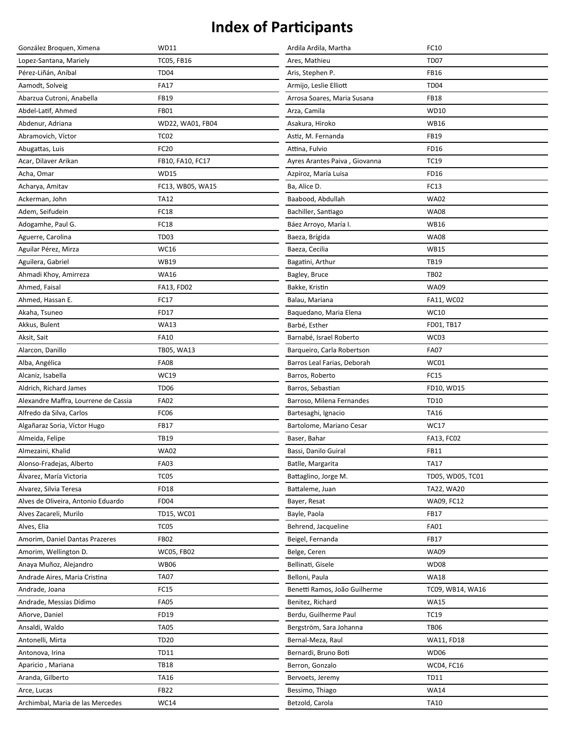| González Broquen, Ximena             | <b>WD11</b>       | Ardila Ardila, Martha         | FC10              |
|--------------------------------------|-------------------|-------------------------------|-------------------|
| Lopez-Santana, Mariely               | <b>TC05, FB16</b> | Ares, Mathieu                 | <b>TD07</b>       |
| Pérez-Liñán, Aníbal                  | <b>TD04</b>       | Aris, Stephen P.              | <b>FB16</b>       |
| Aamodt, Solveig                      | <b>FA17</b>       | Armijo, Leslie Elliott        | <b>TD04</b>       |
| Abarzua Cutroni, Anabella            | <b>FB19</b>       | Arrosa Soares, Maria Susana   | <b>FB18</b>       |
| Abdel-Latif, Ahmed                   | <b>FB01</b>       | Arza, Camila                  | <b>WD10</b>       |
| Abdenur, Adriana                     | WD22, WA01, FB04  | Asakura, Hiroko               | <b>WB16</b>       |
| Abramovich, Víctor                   | TC <sub>02</sub>  | Astiz, M. Fernanda            | <b>FB19</b>       |
| Abugattas, Luis                      | <b>FC20</b>       | Attina, Fulvio                | FD16              |
| Acar, Dilaver Arikan                 | FB10, FA10, FC17  | Ayres Arantes Paiva, Giovanna | <b>TC19</b>       |
| Acha, Omar                           | <b>WD15</b>       | Azpíroz, María Luisa          | FD16              |
| Acharya, Amitav                      | FC13, WB05, WA15  | Ba, Alice D.                  | FC13              |
| Ackerman, John                       | <b>TA12</b>       | Baabood, Abdullah             | <b>WA02</b>       |
| Adem, Seifudein                      | <b>FC18</b>       | Bachiller, Santiago           | <b>WA08</b>       |
| Adogamhe, Paul G.                    | <b>FC18</b>       | Báez Arroyo, María I.         | <b>WB16</b>       |
| Aguerre, Carolina                    | <b>TD03</b>       | Baeza, Brígida                | <b>WA08</b>       |
| Aguilar Pérez, Mirza                 | <b>WC16</b>       | Baeza, Cecilia                | <b>WB15</b>       |
| Aguilera, Gabriel                    | <b>WB19</b>       | Bagatini, Arthur              | <b>TB19</b>       |
| Ahmadi Khoy, Amirreza                | <b>WA16</b>       | Bagley, Bruce                 | <b>TB02</b>       |
| Ahmed, Faisal                        | FA13, FD02        | Bakke, Kristin                | <b>WA09</b>       |
| Ahmed, Hassan E.                     | FC17              | Balau, Mariana                | <b>FA11, WC02</b> |
| Akaha, Tsuneo                        | FD17              | Baquedano, Maria Elena        | WC10              |
| Akkus, Bulent                        | <b>WA13</b>       | Barbé, Esther                 | FD01, TB17        |
| Aksit, Sait                          | <b>FA10</b>       | Barnabé, Israel Roberto       | WC03              |
| Alarcon, Danillo                     | TB05, WA13        | Barqueiro, Carla Robertson    | <b>FA07</b>       |
| Alba, Angélica                       | <b>FA08</b>       | Barros Leal Farias, Deborah   | WC01              |
| Alcaniz, Isabella                    | WC19              | Barros, Roberto               | FC15              |
| Aldrich, Richard James               | TD <sub>06</sub>  | Barros, Sebastian             | FD10, WD15        |
| Alexandre Maffra, Lourrene de Cassia | <b>FA02</b>       | Barroso, Milena Fernandes     | <b>TD10</b>       |
| Alfredo da Silva, Carlos             | FC06              | Bartesaghi, Ignacio           | TA16              |
| Algañaraz Soria, Víctor Hugo         | <b>FB17</b>       | Bartolome, Mariano Cesar      | <b>WC17</b>       |
| Almeida, Felipe                      | <b>TB19</b>       | Baser, Bahar                  | FA13, FC02        |
| Almezaini, Khalid                    | <b>WA02</b>       | Bassi, Danilo Guiral          | <b>FB11</b>       |
| Alonso-Fradejas, Alberto             | <b>FA03</b>       | Batlle, Margarita             | <b>TA17</b>       |
| Álvarez, María Victoria              | <b>TC05</b>       | Battaglino, Jorge M.          | TD05, WD05, TC01  |
| Alvarez, Silvia Teresa               | <b>FD18</b>       | Battaleme, Juan               | TA22, WA20        |
| Alves de Oliveira, Antonio Eduardo   | FD <sub>04</sub>  | Bayer, Resat                  | WA09, FC12        |
| Alves Zacareli, Murilo               | TD15, WC01        | Bayle, Paola                  | <b>FB17</b>       |
| Alves, Elia                          | TC <sub>05</sub>  | Behrend, Jacqueline           | <b>FA01</b>       |
| Amorim, Daniel Dantas Prazeres       | <b>FB02</b>       | Beigel, Fernanda              | <b>FB17</b>       |
| Amorim, Wellington D.                | <b>WC05, FB02</b> | Belge, Ceren                  | <b>WA09</b>       |
| Anaya Muñoz, Alejandro               | <b>WB06</b>       | Bellinati, Gisele             | <b>WD08</b>       |
| Andrade Aires, Maria Cristina        | <b>TA07</b>       | Belloni, Paula                | <b>WA18</b>       |
| Andrade, Joana                       | FC15              | Benetti Ramos, João Guilherme | TC09, WB14, WA16  |
| Andrade, Messias Dídimo              | <b>FA05</b>       | Benitez, Richard              | <b>WA15</b>       |
| Añorve, Daniel                       | FD19              | Berdu, Guilherme Paul         | <b>TC19</b>       |
| Ansaldi, Waldo                       | <b>TA05</b>       | Bergström, Sara Johanna       | <b>TB06</b>       |
| Antonelli, Mirta                     | <b>TD20</b>       | Bernal-Meza, Raul             | <b>WA11, FD18</b> |
| Antonova, Irina                      | <b>TD11</b>       | Bernardi, Bruno Boti          | <b>WD06</b>       |
| Aparicio, Mariana                    | <b>TB18</b>       | Berron, Gonzalo               | WC04, FC16        |
| Aranda, Gilberto                     | <b>TA16</b>       | Bervoets, Jeremy              | <b>TD11</b>       |
| Arce, Lucas                          | <b>FB22</b>       | Bessimo, Thiago               | <b>WA14</b>       |
| Archimbal, Maria de las Mercedes     | <b>WC14</b>       | Betzold, Carola               | <b>TA10</b>       |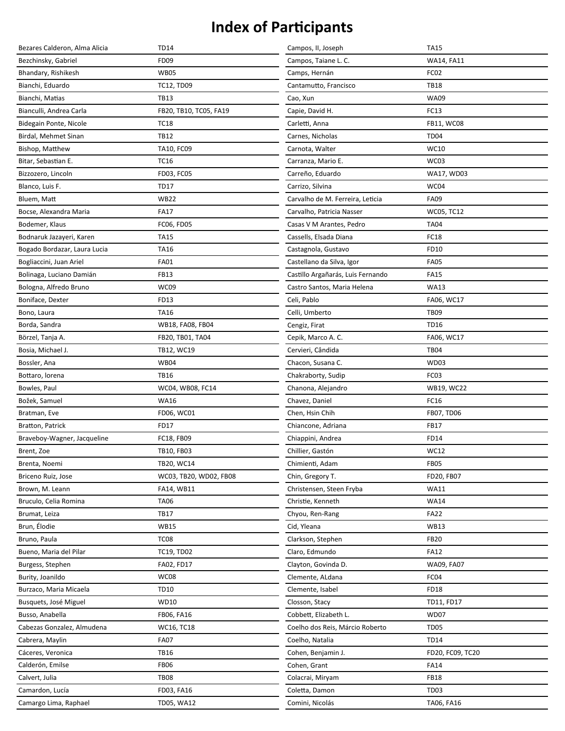| Bezares Calderon, Alma Alicia | <b>TD14</b>            | Campos, II, Joseph                | <b>TA15</b>       |
|-------------------------------|------------------------|-----------------------------------|-------------------|
| Bezchinsky, Gabriel           | <b>FD09</b>            | Campos, Taiane L. C.              | WA14, FA11        |
| Bhandary, Rishikesh           | <b>WB05</b>            | Camps, Hernán                     | FC <sub>02</sub>  |
| Bianchi, Eduardo              | <b>TC12, TD09</b>      | Cantamutto, Francisco             | <b>TB18</b>       |
| Bianchi, Matias               | <b>TB13</b>            | Cao, Xun                          | <b>WA09</b>       |
| Bianculli, Andrea Carla       | FB20, TB10, TC05, FA19 | Capie, David H.                   | FC13              |
| Bidegain Ponte, Nicole        | <b>TC18</b>            | Carletti, Anna                    | FB11, WC08        |
| Birdal, Mehmet Sinan          | <b>TB12</b>            | Carnes, Nicholas                  | <b>TD04</b>       |
| Bishop, Matthew               | TA10, FC09             | Carnota, Walter                   | WC10              |
| Bitar, Sebastian E.           | <b>TC16</b>            | Carranza, Mario E.                | WC03              |
| Bizzozero, Lincoln            | FD03, FC05             | Carreño, Eduardo                  | <b>WA17, WD03</b> |
| Blanco, Luis F.               | <b>TD17</b>            | Carrizo, Silvina                  | WC04              |
| Bluem, Matt                   | <b>WB22</b>            | Carvalho de M. Ferreira, Leticia  | <b>FA09</b>       |
| Bocse, Alexandra Maria        | <b>FA17</b>            | Carvalho, Patricia Nasser         | <b>WC05, TC12</b> |
| Bodemer, Klaus                | FC06, FD05             | Casas V M Arantes, Pedro          | <b>TA04</b>       |
| Bodnaruk Jazayeri, Karen      | <b>TA15</b>            | Cassells, Elsada Diana            | <b>FC18</b>       |
| Bogado Bordazar, Laura Lucia  | <b>TA16</b>            | Castagnola, Gustavo               | FD10              |
| Bogliaccini, Juan Ariel       | <b>FA01</b>            | Castellano da Silva, Igor         | <b>FA05</b>       |
| Bolinaga, Luciano Damián      | <b>FB13</b>            | Castillo Argañarás, Luis Fernando | <b>FA15</b>       |
| Bologna, Alfredo Bruno        | WC09                   | Castro Santos, Maria Helena       | <b>WA13</b>       |
| Boniface, Dexter              | FD13                   | Celi, Pablo                       | FA06, WC17        |
| Bono, Laura                   | TA16                   | Celli, Umberto                    | <b>TB09</b>       |
| Borda, Sandra                 | WB18, FA08, FB04       | Cengiz, Firat                     | <b>TD16</b>       |
| Börzel, Tanja A.              | FB20, TB01, TA04       | Cepik, Marco A. C.                | FA06, WC17        |
| Bosia, Michael J.             | TB12, WC19             | Cervieri, Cândida                 | <b>TB04</b>       |
| Bossler, Ana                  | <b>WB04</b>            | Chacon, Susana C.                 | <b>WD03</b>       |
| Bottaro, lorena               | <b>TB16</b>            | Chakraborty, Sudip                | FC <sub>03</sub>  |
| Bowles, Paul                  | WC04, WB08, FC14       | Chanona, Alejandro                | <b>WB19, WC22</b> |
| Božek, Samuel                 | <b>WA16</b>            | Chavez, Daniel                    | FC16              |
| Bratman, Eve                  | FD06, WC01             | Chen, Hsin Chih                   | FB07, TD06        |
| <b>Bratton, Patrick</b>       | FD17                   | Chiancone, Adriana                | FB17              |
| Braveboy-Wagner, Jacqueline   | FC18, FB09             | Chiappini, Andrea                 | FD14              |
| Brent, Zoe                    | TB10, FB03             | Chillier, Gastón                  | WC12              |
| Brenta, Noemi                 | TB20, WC14             | Chimienti, Adam                   | <b>FB05</b>       |
| Briceno Ruiz, Jose            | WC03, TB20, WD02, FB08 | Chin, Gregory T.                  | FD20, FB07        |
| Brown, M. Leann               | FA14, WB11             | Christensen, Steen Fryba          | <b>WA11</b>       |
| Bruculo, Celia Romina         | <b>TA06</b>            | Christie, Kenneth                 | <b>WA14</b>       |
| Brumat, Leiza                 | <b>TB17</b>            | Chyou, Ren-Rang                   | <b>FA22</b>       |
| Brun, Élodie                  | <b>WB15</b>            | Cid, Yleana                       | <b>WB13</b>       |
| Bruno, Paula                  | TC <sub>08</sub>       | Clarkson, Stephen                 | <b>FB20</b>       |
| Bueno, Maria del Pilar        | <b>TC19, TD02</b>      | Claro, Edmundo                    | <b>FA12</b>       |
| Burgess, Stephen              | FA02, FD17             | Clayton, Govinda D.               | WA09, FA07        |
| Burity, Joanildo              | WC08                   | Clemente, ALdana                  | FC04              |
| Burzaco, Maria Micaela        | <b>TD10</b>            | Clemente, Isabel                  | <b>FD18</b>       |
| Busquets, José Miguel         | WD10                   | Closson, Stacy                    | TD11, FD17        |
| Busso, Anabella               | FB06, FA16             | Cobbett, Elizabeth L.             | WD07              |
| Cabezas Gonzalez, Almudena    | WC16, TC18             | Coelho dos Reis, Márcio Roberto   | <b>TD05</b>       |
| Cabrera, Maylin               | <b>FA07</b>            | Coelho, Natalia                   | <b>TD14</b>       |
| Cáceres, Veronica             | <b>TB16</b>            | Cohen, Benjamin J.                | FD20, FC09, TC20  |
| Calderón, Emilse              | <b>FB06</b>            | Cohen, Grant                      | <b>FA14</b>       |
| Calvert, Julia                | <b>TB08</b>            | Colacrai, Miryam                  | <b>FB18</b>       |
| Camardon, Lucía               | FD03, FA16             | Coletta, Damon                    | <b>TD03</b>       |
| Camargo Lima, Raphael         | TD05, WA12             | Comini, Nicolás                   | TA06, FA16        |
|                               |                        |                                   |                   |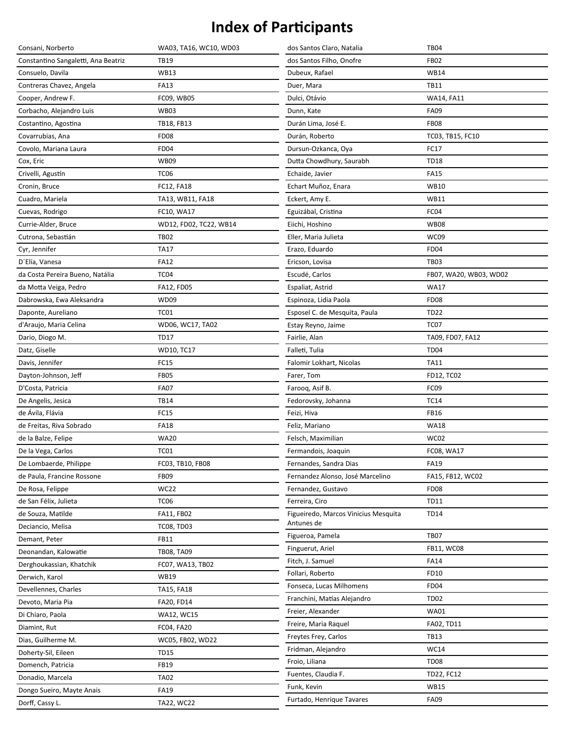| Consani, Norberto                   | WA03, TA16, WC10, WD03 | dos Santos Claro, Natalia            | <b>TB04</b>            |
|-------------------------------------|------------------------|--------------------------------------|------------------------|
| Constantino Sangaletti, Ana Beatriz | <b>TB19</b>            | dos Santos Filho, Onofre             | <b>FB02</b>            |
| Consuelo, Davila                    | <b>WB13</b>            | Dubeux, Rafael                       | <b>WB14</b>            |
| Contreras Chavez, Angela            | <b>FA13</b>            | Duer, Mara                           | <b>TB11</b>            |
| Cooper, Andrew F.                   | FC09, WB05             | Dulci, Otávio                        | <b>WA14, FA11</b>      |
| Corbacho, Alejandro Luis            | <b>WB03</b>            | Dunn, Kate                           | <b>FA09</b>            |
| Costantino, Agostina                | TB18, FB13             | Durán Lima, José E.                  | <b>FB08</b>            |
| Covarrubias, Ana                    | <b>FD08</b>            | Durán, Roberto                       | TC03, TB15, FC10       |
| Covolo, Mariana Laura               | <b>FD04</b>            | Dursun-Ozkanca, Oya                  | FC17                   |
| Cox, Eric                           | <b>WB09</b>            | Dutta Chowdhury, Saurabh             | <b>TD18</b>            |
| Crivelli, Agustín                   | <b>TC06</b>            | Echaide, Javier                      | <b>FA15</b>            |
| Cronin, Bruce                       | FC12, FA18             | Echart Muñoz, Enara                  | <b>WB10</b>            |
| Cuadro, Mariela                     | TA13, WB11, FA18       | Eckert, Amy E.                       | WB11                   |
| Cuevas, Rodrigo                     | FC10, WA17             | Eguizábal, Cristina                  | FC04                   |
| Currie-Alder, Bruce                 | WD12, FD02, TC22, WB14 | Eiichi, Hoshino                      | <b>WB08</b>            |
| Cutrona, Sebastián                  | <b>TB02</b>            | Eller, Maria Julieta                 | WC09                   |
| Cyr, Jennifer                       | <b>TA17</b>            | Erazo, Eduardo                       | <b>FD04</b>            |
| D'Elía, Vanesa                      | <b>FA12</b>            | Ericson, Lovisa                      | <b>TB03</b>            |
| da Costa Pereira Bueno, Natália     | TC <sub>04</sub>       | Escudé, Carlos                       | FB07, WA20, WB03, WD02 |
| da Motta Veiga, Pedro               | FA12, FD05             | Espaliat, Astrid                     | <b>WA17</b>            |
| Dabrowska, Ewa Aleksandra           | <b>WD09</b>            | Espinoza, Lidia Paola                | <b>FD08</b>            |
| Daponte, Aureliano                  | <b>TC01</b>            | Esposel C. de Mesquita, Paula        | <b>TD22</b>            |
| d'Araujo, Maria Celina              | WD06, WC17, TA02       | Estay Reyno, Jaime                   | TC <sub>07</sub>       |
| Dario, Diogo M.                     | <b>TD17</b>            | Fairlie, Alan                        | TA09, FD07, FA12       |
| Datz, Giselle                       | WD10, TC17             | Falleti, Tulia                       | <b>TD04</b>            |
| Davis, Jennifer                     | <b>FC15</b>            | Falomir Lokhart, Nicolas             | <b>TA11</b>            |
| Dayton-Johnson, Jeff                | <b>FB05</b>            | Farer, Tom                           | FD12, TC02             |
| D'Costa, Patricia                   | <b>FA07</b>            | Farooq, Asif B.                      | FC09                   |
| De Angelis, Jesica                  | <b>TB14</b>            | Fedorovsky, Johanna                  | <b>TC14</b>            |
| de Ávila, Flávia                    | FC15                   | Feizi, Hiva                          | <b>FB16</b>            |
| de Freitas, Riva Sobrado            | <b>FA18</b>            | Feliz, Mariano                       | <b>WA18</b>            |
| de la Balze, Felipe                 | <b>WA20</b>            | Felsch, Maximilian                   | WC02                   |
| De la Vega, Carlos                  | <b>TC01</b>            | Fermandois, Joaquin                  | FC08, WA17             |
| De Lombaerde, Philippe              | FC03, TB10, FB08       | Fernandes, Sandra Dias               | FA19                   |
| de Paula, Francine Rossone          | <b>FB09</b>            | Fernandez Alonso, José Marcelino     | FA15, FB12, WC02       |
| De Rosa, Felippe                    | <b>WC22</b>            | Fernandez, Gustavo                   | <b>FD08</b>            |
| de San Félix, Julieta               | TC <sub>06</sub>       | Ferreira, Ciro                       | <b>TD11</b>            |
| de Souza, Matilde                   | FA11, FB02             | Figueiredo, Marcos Vinicius Mesquita | <b>TD14</b>            |
| Deciancio, Melisa                   | <b>TC08, TD03</b>      | Antunes de                           |                        |
| Demant, Peter                       | FB11                   | Figueroa, Pamela                     | <b>TB07</b>            |
| Deonandan, Kalowatie                | TB08, TA09             | Finguerut, Ariel                     | <b>FB11, WC08</b>      |
| Derghoukassian, Khatchik            | FC07, WA13, TB02       | Fitch, J. Samuel                     | <b>FA14</b>            |
| Derwich, Karol                      | <b>WB19</b>            | Follari, Roberto                     | FD10                   |
| Devellennes, Charles                | TA15, FA18             | Fonseca, Lucas Milhomens             | <b>FD04</b>            |
| Devoto, Maria Pia                   | FA20, FD14             | Franchini, Matías Alejandro          | <b>TD02</b>            |
| Di Chiaro, Paola                    | WA12, WC15             | Freier, Alexander                    | <b>WA01</b>            |
| Diamint, Rut                        | FC04, FA20             | Freire, Maria Raquel                 | FA02, TD11             |
| Dias, Guilherme M.                  | WC05, FB02, WD22       | Freytes Frey, Carlos                 | <b>TB13</b>            |
| Doherty-Sil, Eileen                 | <b>TD15</b>            | Fridman, Alejandro                   | <b>WC14</b>            |
| Domench, Patricia                   | <b>FB19</b>            | Froio, Liliana                       | TD <sub>08</sub>       |
| Donadio, Marcela                    | <b>TA02</b>            | Fuentes, Claudia F.                  | TD22, FC12             |
| Dongo Sueiro, Mayte Anais           | <b>FA19</b>            | Funk, Kevin                          | <b>WB15</b>            |
| Dorff, Cassy L.                     | TA22, WC22             | Furtado, Henrique Tavares            | <b>FA09</b>            |
|                                     |                        |                                      |                        |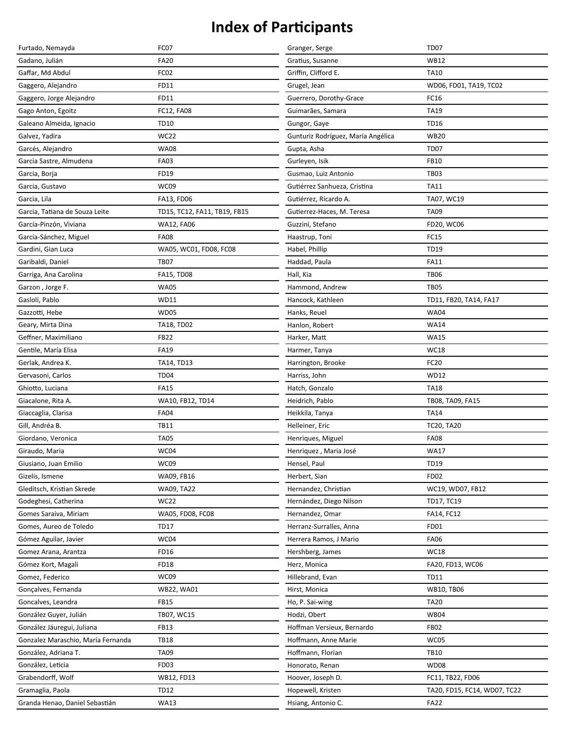| Furtado, Nemayda                   | FC07                         | Granger, Serge                     | <b>TD07</b>                  |
|------------------------------------|------------------------------|------------------------------------|------------------------------|
| Gadano, Julián                     | <b>FA20</b>                  | Gratius, Susanne                   | <b>WB12</b>                  |
| Gaffar, Md Abdul                   | FC02                         | Griffin, Clifford E.               | <b>TA10</b>                  |
| Gaggero, Alejandro                 | FD11                         | Grugel, Jean                       | WD06, FD01, TA19, TC02       |
| Gaggero, Jorge Alejandro           | FD11                         | Guerrero, Dorothy-Grace            | FC16                         |
| Gago Anton, Egoitz                 | FC12, FA08                   | Guimarães, Samara                  | <b>TA19</b>                  |
| Galeano Almeida, Ignacio           | <b>TD10</b>                  | Gungor, Gaye                       | <b>TD16</b>                  |
| Galvez, Yadira                     | <b>WC22</b>                  | Gunturiz Rodríguez, María Angélica | <b>WB20</b>                  |
| Garcés, Alejandro                  | <b>WA08</b>                  | Gupta, Asha                        | <b>TD07</b>                  |
| Garcia Sastre, Almudena            | <b>FA03</b>                  | Gurleyen, Isik                     | <b>FB10</b>                  |
| Garcia, Borja                      | FD19                         | Gusmao, Luiz Antonio               | <b>TB03</b>                  |
| Garcia, Gustavo                    | WC09                         | Gutiérrez Sanhueza, Cristina       | <b>TA11</b>                  |
| Garcia, Lila                       | FA13, FD06                   | Gutiérrez, Ricardo A.              | TA07, WC19                   |
| Garcia, Tatiana de Souza Leite     | TD15, TC12, FA11, TB19, FB15 | Gutierrez-Haces, M. Teresa         | <b>TA09</b>                  |
| García-Pinzón, Viviana             | WA12, FA06                   | Guzzini, Stefano                   | FD20, WC06                   |
| García-Sánchez, Miguel             | <b>FA08</b>                  | Haastrup, Toni                     | <b>FC15</b>                  |
| Gardini, Gian Luca                 | WA05, WC01, FD08, FC08       | Habel, Phillip                     | TD19                         |
| Garibaldi, Daniel                  | <b>TB07</b>                  | Haddad, Paula                      | <b>FA11</b>                  |
| Garriga, Ana Carolina              | <b>FA15, TD08</b>            | Hall, Kia                          | <b>TB06</b>                  |
| Garzon, Jorge F.                   | <b>WA05</b>                  | Hammond, Andrew                    | <b>TB05</b>                  |
| Gasloli, Pablo                     | WD11                         | Hancock, Kathleen                  | TD11, FB20, TA14, FA17       |
| Gazzotti, Hebe                     | <b>WD05</b>                  | Hanks, Reuel                       | <b>WA04</b>                  |
| Geary, Mirta Dina                  | <b>TA18, TD02</b>            | Hanlon, Robert                     | <b>WA14</b>                  |
| Geffner, Maximiliano               | <b>FB22</b>                  | Harker, Matt                       | <b>WA15</b>                  |
| Gentile, María Elisa               | <b>FA19</b>                  | Harmer, Tanya                      | <b>WC18</b>                  |
| Gerlak, Andrea K.                  | TA14, TD13                   | Harrington, Brooke                 | FC20                         |
| Gervasoni, Carlos                  | <b>TD04</b>                  | Harriss, John                      | <b>WD12</b>                  |
| Ghiotto, Luciana                   | <b>FA15</b>                  | Hatch, Gonzalo                     | <b>TA18</b>                  |
| Giacalone, Rita A.                 | WA10, FB12, TD14             | Heidrich, Pablo                    | TB08, TA09, FA15             |
| Giaccaglia, Clarisa                | <b>FA04</b>                  | Heikkila, Tanya                    | <b>TA14</b>                  |
| Gill, Andréa B.                    | <b>TB11</b>                  | Helleiner, Eric                    | <b>TC20, TA20</b>            |
| Giordano, Veronica                 | <b>TA05</b>                  | Henriques, Miguel                  | <b>FA08</b>                  |
| Giraudo, Maria                     | WC04                         | Henriquez, Maria José              | <b>WA17</b>                  |
| Giusiano, Juan Emilio              | WC09                         | Hensel, Paul                       | <b>TD19</b>                  |
| Gizelis, Ismene                    | WA09, FB16                   | Herbert, Sian                      | <b>FD02</b>                  |
| Gleditsch, Kristian Skrede         | WA09, TA22                   | Hernandez, Christian               | WC19, WD07, FB12             |
| Godeghesi, Catherina               | <b>WC22</b>                  | Hernández, Diego Nilson            | TD17, TC19                   |
| Gomes Saraiva, Miriam              | WA05, FD08, FC08             | Hernandez, Omar                    | FA14, FC12                   |
| Gomes, Aureo de Toledo             | <b>TD17</b>                  | Herranz-Surralles, Anna            | FD01                         |
| Gómez Aguilar, Javier              | WC04                         | Herrera Ramos, J Mario             | <b>FA06</b>                  |
| Gomez Arana, Arantza               | <b>FD16</b>                  | Hershberg, James                   | WC18                         |
| Gómez Kort, Magali                 | <b>FD18</b>                  | Herz, Monica                       | FA20, FD13, WC06             |
| Gomez, Federico                    | WC09                         | Hillebrand, Evan                   | <b>TD11</b>                  |
| Gonçalves, Fernanda                | <b>WB22, WA01</b>            | Hirst, Monica                      | WB10, TB06                   |
| Goncalves, Leandra                 | <b>FB15</b>                  | Ho, P. Sai-wing                    | <b>TA20</b>                  |
| González Guyer, Julián             | TB07, WC15                   | Hodzi, Obert                       | <b>WB04</b>                  |
| González Jáuregui, Juliana         | <b>FB13</b>                  | Hoffman Versieux, Bernardo         | <b>FB02</b>                  |
| Gonzalez Maraschio, María Fernanda | <b>TB18</b>                  | Hoffmann, Anne Marie               | WC05                         |
| González, Adriana T.               | <b>TA09</b>                  | Hoffmann, Florian                  | <b>TB10</b>                  |
| González, Leticia                  | FD <sub>03</sub>             | Honorato, Renan                    | <b>WD08</b>                  |
| Grabendorff, Wolf                  | WB12, FD13                   | Hoover, Joseph D.                  | FC11, TB22, FD06             |
| Gramaglia, Paola                   | <b>TD12</b>                  | Hopewell, Kristen                  | TA20, FD15, FC14, WD07, TC22 |
| Granda Henao, Daniel Sebastián     | <b>WA13</b>                  | Hsiang, Antonio C.                 | <b>FA22</b>                  |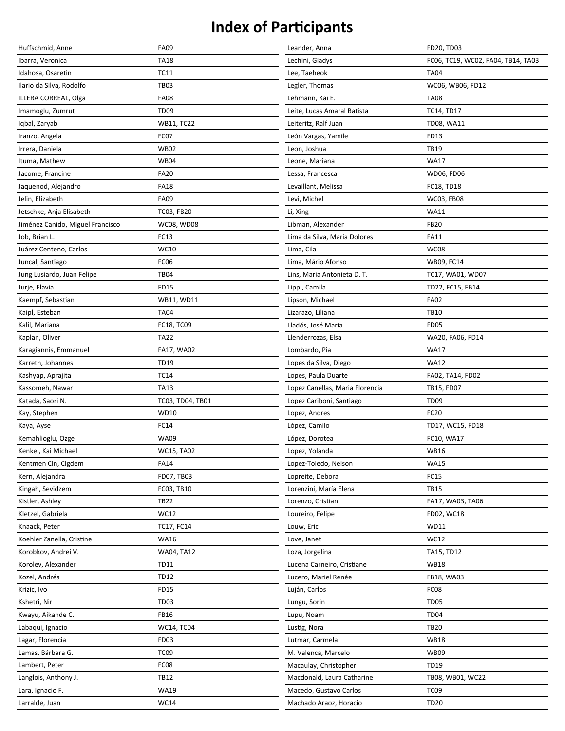| Huffschmid, Anne                 | <b>FA09</b>       | Leander, Anna                   | FD20, TD03                         |
|----------------------------------|-------------------|---------------------------------|------------------------------------|
| Ibarra, Veronica                 | <b>TA18</b>       | Lechini, Gladys                 | FC06, TC19, WC02, FA04, TB14, TA03 |
| Idahosa, Osaretin                | <b>TC11</b>       | Lee, Taeheok                    | <b>TA04</b>                        |
| Ilario da Silva, Rodolfo         | <b>TB03</b>       | Legler, Thomas                  | WC06, WB06, FD12                   |
| ILLERA CORREAL, Olga             | <b>FA08</b>       | Lehmann, Kai E.                 | <b>TA08</b>                        |
| Imamoglu, Zumrut                 | TD <sub>09</sub>  | Leite, Lucas Amaral Batista     | <b>TC14, TD17</b>                  |
| Iqbal, Zaryab                    | <b>WB11, TC22</b> | Leiteritz, Ralf Juan            | <b>TD08, WA11</b>                  |
| Iranzo, Angela                   | FC07              | León Vargas, Yamile             | FD13                               |
| Irrera, Daniela                  | <b>WB02</b>       | Leon, Joshua                    | <b>TB19</b>                        |
| Ituma, Mathew                    | <b>WB04</b>       | Leone, Mariana                  | <b>WA17</b>                        |
| Jacome, Francine                 | <b>FA20</b>       | Lessa, Francesca                | WD06, FD06                         |
| Jaquenod, Alejandro              | <b>FA18</b>       | Levaillant, Melissa             | FC18, TD18                         |
| Jelin, Elizabeth                 | <b>FA09</b>       | Levi, Michel                    | <b>WC03, FB08</b>                  |
| Jetschke, Anja Elisabeth         | TC03, FB20        | Li, Xing                        | <b>WA11</b>                        |
| Jiménez Canido, Miguel Francisco | <b>WC08, WD08</b> | Libman, Alexander               | <b>FB20</b>                        |
| Job, Brian L.                    | FC13              | Lima da Silva, Maria Dolores    | <b>FA11</b>                        |
| Juárez Centeno, Carlos           | WC10              | Lima, Cila                      | WC08                               |
| Juncal, Santiago                 | FC06              | Lima, Mário Afonso              | WB09, FC14                         |
| Jung Lusiardo, Juan Felipe       | <b>TB04</b>       | Lins, Maria Antonieta D. T.     | TC17, WA01, WD07                   |
| Jurje, Flavia                    | <b>FD15</b>       | Lippi, Camila                   | TD22, FC15, FB14                   |
| Kaempf, Sebastian                | WB11, WD11        | Lipson, Michael                 | <b>FA02</b>                        |
| Kaipl, Esteban                   | <b>TA04</b>       | Lizarazo, Liliana               | <b>TB10</b>                        |
| Kalil, Mariana                   | FC18, TC09        | Lladós, José María              | <b>FD05</b>                        |
| Kaplan, Oliver                   | <b>TA22</b>       | Llenderrozas, Elsa              | WA20, FA06, FD14                   |
| Karagiannis, Emmanuel            | FA17, WA02        | Lombardo, Pia                   | <b>WA17</b>                        |
| Karreth, Johannes                | <b>TD19</b>       | Lopes da Silva, Diego           | <b>WA12</b>                        |
| Kashyap, Aprajita                | <b>TC14</b>       | Lopes, Paula Duarte             | FA02, TA14, FD02                   |
| Kassomeh, Nawar                  | <b>TA13</b>       | Lopez Canellas, Maria Florencia | TB15, FD07                         |
| Katada, Saori N.                 | TC03, TD04, TB01  | Lopez Cariboni, Santiago        | <b>TD09</b>                        |
| Kay, Stephen                     | <b>WD10</b>       | Lopez, Andres                   | <b>FC20</b>                        |
| Kaya, Ayse                       | FC14              | López, Camilo                   | TD17, WC15, FD18                   |
| Kemahlioglu, Ozge                | <b>WA09</b>       | López, Dorotea                  | FC10, WA17                         |
| Kenkel, Kai Michael              | <b>WC15, TA02</b> | Lopez, Yolanda                  | <b>WB16</b>                        |
| Kentmen Cin, Cigdem              | <b>FA14</b>       | Lopez-Toledo, Nelson            | <b>WA15</b>                        |
| Kern, Alejandra                  | FD07, TB03        | Lopreite, Debora                | <b>FC15</b>                        |
| Kingah, Sevidzem                 | FC03, TB10        | Lorenzini, María Elena          | <b>TB15</b>                        |
| Kistler, Ashley                  | <b>TB22</b>       | Lorenzo, Cristian               | FA17, WA03, TA06                   |
| Kletzel, Gabriela                | WC12              | Loureiro, Felipe                | FD02, WC18                         |
| Knaack, Peter                    | TC17, FC14        | Louw, Eric                      | WD11                               |
| Koehler Zanella, Cristine        | <b>WA16</b>       | Love, Janet                     | <b>WC12</b>                        |
| Korobkov, Andrei V.              | WA04, TA12        | Loza, Jorgelina                 | TA15, TD12                         |
| Korolev, Alexander               | TD11              | Lucena Carneiro, Cristiane      | <b>WB18</b>                        |
| Kozel, Andrés                    | <b>TD12</b>       | Lucero, Mariel Renée            | FB18, WA03                         |
| Krizic, Ivo                      | FD15              | Luján, Carlos                   | FC <sub>08</sub>                   |
| Kshetri, Nir                     | TD <sub>03</sub>  | Lungu, Sorin                    | TD <sub>05</sub>                   |
| Kwayu, Aikande C.                | FB16              | Lupu, Noam                      | TD <sub>04</sub>                   |
| Labaqui, Ignacio                 | <b>WC14, TC04</b> | Lustig, Nora                    | <b>TB20</b>                        |
| Lagar, Florencia                 | FD <sub>03</sub>  | Lutmar, Carmela                 | <b>WB18</b>                        |
| Lamas, Bárbara G.                | TC <sub>09</sub>  | M. Valenca, Marcelo             | <b>WB09</b>                        |
| Lambert, Peter                   | FC08              | Macaulay, Christopher           | <b>TD19</b>                        |
| Langlois, Anthony J.             | <b>TB12</b>       | Macdonald, Laura Catharine      | TB08, WB01, WC22                   |
| Lara, Ignacio F.                 | <b>WA19</b>       | Macedo, Gustavo Carlos          | TC <sub>09</sub>                   |
| Larralde, Juan                   | <b>WC14</b>       | Machado Araoz, Horacio          | <b>TD20</b>                        |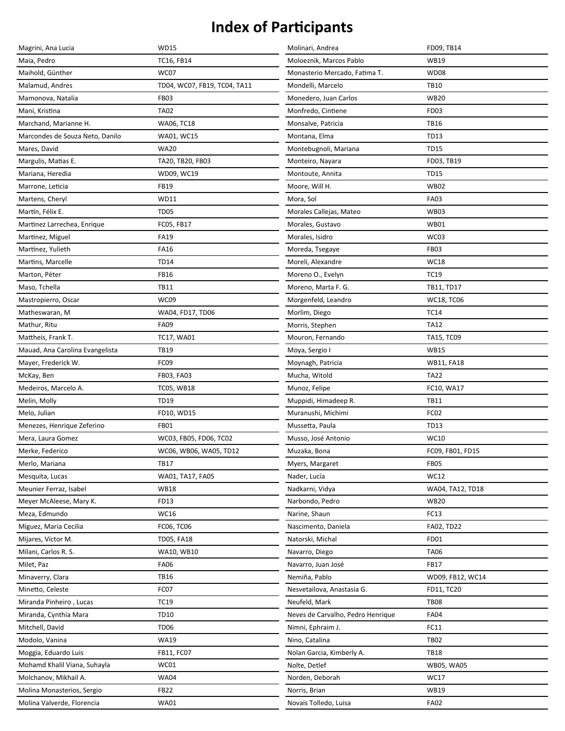| Magrini, Ana Lucia              | <b>WD15</b>                  | Molinari, Andrea                  | FD09, TB14        |
|---------------------------------|------------------------------|-----------------------------------|-------------------|
| Maia, Pedro                     | TC16, FB14                   | Moloeznik, Marcos Pablo           | <b>WB19</b>       |
| Maihold, Günther                | WC07                         | Monasterio Mercado, Fatima T.     | <b>WD08</b>       |
| Malamud, Andres                 | TD04, WC07, FB19, TC04, TA11 | Mondelli, Marcelo                 | <b>TB10</b>       |
| Mamonova, Natalia               | <b>FB03</b>                  | Monedero, Juan Carlos             | <b>WB20</b>       |
| Mani, Kristina                  | <b>TA02</b>                  | Monfredo, Cintiene                | FD <sub>03</sub>  |
| Marchand, Marianne H.           | WA06, TC18                   | Monsalve, Patricia                | <b>TB16</b>       |
| Marcondes de Souza Neto, Danilo | WA01, WC15                   | Montana, Elma                     | <b>TD13</b>       |
| Mares, David                    | <b>WA20</b>                  | Montebugnoli, Mariana             | <b>TD15</b>       |
| Margulis, Matias E.             | TA20, TB20, FB03             | Monteiro, Nayara                  | FD03, TB19        |
| Mariana, Heredia                | WD09, WC19                   | Montoute, Annita                  | <b>TD15</b>       |
| Marrone, Leticia                | <b>FB19</b>                  | Moore, Will H.                    | <b>WB02</b>       |
| Martens, Cheryl                 | WD11                         | Mora, Sol                         | <b>FA03</b>       |
| Martín, Félix E.                | <b>TD05</b>                  | Morales Callejas, Mateo           | <b>WB03</b>       |
| Martinez Larrechea, Enrique     | FC05, FB17                   | Morales, Gustavo                  | <b>WB01</b>       |
| Martinez, Miguel                | <b>FA19</b>                  | Morales, Isidro                   | WC03              |
| Martínez, Yulieth               | <b>FA16</b>                  | Moreda, Tsegaye                   | FB03              |
| Martins, Marcelle               | <b>TD14</b>                  | Moreli, Alexandre                 | <b>WC18</b>       |
| Marton, Péter                   | <b>FB16</b>                  | Moreno O., Evelyn                 | <b>TC19</b>       |
| Maso, Tchella                   | <b>TB11</b>                  | Moreno, Marta F. G.               | TB11, TD17        |
| Mastropierro, Oscar             | WC09                         | Morgenfeld, Leandro               | <b>WC18, TC06</b> |
| Matheswaran, M                  | WA04, FD17, TD06             | Morlim, Diego                     | <b>TC14</b>       |
| Mathur, Ritu                    | <b>FA09</b>                  | Morris, Stephen                   | <b>TA12</b>       |
| Mattheis, Frank T.              | <b>TC17, WA01</b>            | Mouron, Fernando                  | TA15, TC09        |
| Mauad, Ana Carolina Evangelista | <b>TB19</b>                  | Moya, Sergio I                    | <b>WB15</b>       |
| Mayer, Frederick W.             | FC09                         | Moynagh, Patricia                 | <b>WB11, FA18</b> |
| McKay, Ben                      | FB03, FA03                   | Mucha, Witold                     | <b>TA22</b>       |
| Medeiros, Marcelo A.            | <b>TC05, WB18</b>            | Munoz, Felipe                     | FC10, WA17        |
| Melin, Molly                    | <b>TD19</b>                  | Muppidi, Himadeep R.              | <b>TB11</b>       |
| Melo, Julian                    | FD10, WD15                   | Muranushi, Michimi                | FC02              |
| Menezes, Henrique Zeferino      | <b>FB01</b>                  | Mussetta, Paula                   | <b>TD13</b>       |
| Mera, Laura Gomez               | WC03, FB05, FD06, TC02       | Musso, José Antonio               | WC10              |
| Merke, Federico                 | WC06, WB06, WA05, TD12       | Muzaka, Bona                      | FC09, FB01, FD15  |
| Merlo, Mariana                  | <b>TB17</b>                  | Myers, Margaret                   | <b>FB05</b>       |
| Mesquita, Lucas                 | WA01, TA17, FA05             | Nader, Lucía                      | WC12              |
| Meunier Ferraz, Isabel          | <b>WB18</b>                  | Nadkarni, Vidya                   | WA04, TA12, TD18  |
| Meyer McAleese, Mary K.         | FD13                         | Narbondo, Pedro                   | <b>WB20</b>       |
| Meza, Edmundo                   | WC16                         | Narine, Shaun                     | FC13              |
| Miguez, Maria Cecilia           | FC06, TC06                   | Nascimento, Daniela               | FA02, TD22        |
| Mijares, Víctor M.              | <b>TD05, FA18</b>            | Natorski, Michal                  | FD01              |
| Milani, Carlos R. S.            | WA10, WB10                   | Navarro, Diego                    | <b>TA06</b>       |
| Milet, Paz                      | <b>FA06</b>                  | Navarro, Juan José                | <b>FB17</b>       |
| Minaverry, Clara                | <b>TB16</b>                  | Nemiña, Pablo                     | WD09, FB12, WC14  |
| Minetto, Celeste                | FC07                         | Nesvetailova, Anastasia G.        | FD11, TC20        |
| Miranda Pinheiro, Lucas         | <b>TC19</b>                  | Neufeld, Mark                     | <b>TB08</b>       |
| Miranda, Cynthia Mara           | <b>TD10</b>                  | Neves de Carvalho, Pedro Henrique | <b>FA04</b>       |
| Mitchell, David                 | <b>TD06</b>                  | Nimni, Ephraim J.                 | FC11              |
| Modolo, Vanina                  | <b>WA19</b>                  | Nino, Catalina                    | <b>TB02</b>       |
| Moggia, Eduardo Luis            | FB11, FC07                   | Nolan Garcia, Kimberly A.         | <b>TB18</b>       |
| Mohamd Khalil Viana, Suhayla    | WC01                         | Nolte, Detlef                     | WB05, WA05        |
| Molchanov, Mikhail A.           | <b>WA04</b>                  | Norden, Deborah                   | <b>WC17</b>       |
| Molina Monasterios, Sergio      | <b>FB22</b>                  | Norris, Brian                     | <b>WB19</b>       |
| Molina Valverde, Florencia      | <b>WA01</b>                  | Novais Tolledo, Luisa             | <b>FA02</b>       |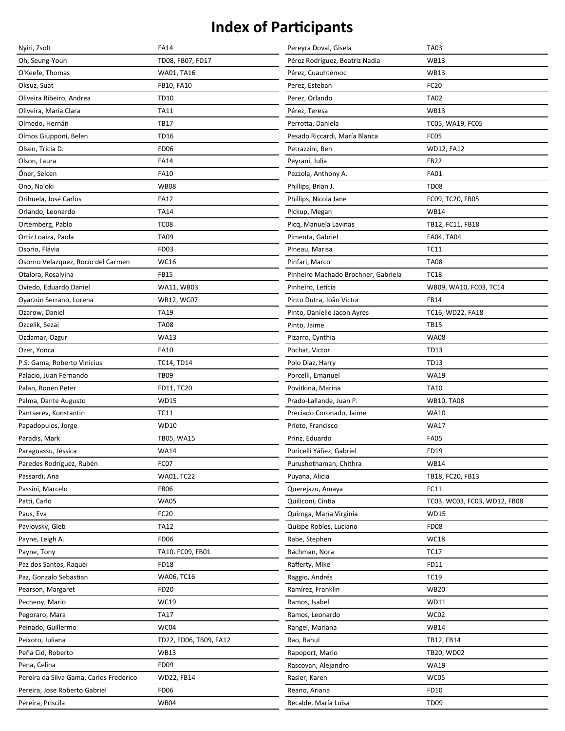| Nyiri, Zsolt                            | <b>FA14</b>            | Pereyra Doval, Gisela               | <b>TA03</b>                  |
|-----------------------------------------|------------------------|-------------------------------------|------------------------------|
| Oh, Seung-Youn                          | TD08, FB07, FD17       | Pérez Rodríguez, Beatriz Nadia      | <b>WB13</b>                  |
| O'Keefe, Thomas                         | WA01, TA16             | Pérez, Cuauhtémoc                   | <b>WB13</b>                  |
| Oksuz, Suat                             | FB10, FA10             | Perez, Esteban                      | FC20                         |
| Oliveira Ribeiro, Andrea                | <b>TD10</b>            | Perez, Orlando                      | <b>TA02</b>                  |
| Oliveira, Maria Clara                   | TA11                   | Pérez, Teresa                       | <b>WB13</b>                  |
| Olmedo, Hernán                          | <b>TB17</b>            | Perrotta, Daniela                   | TC05, WA19, FC05             |
| Olmos Giupponi, Belen                   | <b>TD16</b>            | Pesado Riccardi, María Blanca       | FC05                         |
| Olsen, Tricia D.                        | <b>FD06</b>            | Petrazzini, Ben                     | <b>WD12, FA12</b>            |
| Olson, Laura                            | <b>FA14</b>            | Peyrani, Julia                      | <b>FB22</b>                  |
| Öner, Selcen                            | <b>FA10</b>            | Pezzola, Anthony A.                 | <b>FA01</b>                  |
| Ono, Na'oki                             | <b>WB08</b>            | Phillips, Brian J.                  | <b>TD08</b>                  |
| Orihuela, José Carlos                   | <b>FA12</b>            | Phillips, Nicola Jane               | FC09, TC20, FB05             |
| Orlando, Leonardo                       | <b>TA14</b>            | Pickup, Megan                       | <b>WB14</b>                  |
| Ortemberg, Pablo                        | TC <sub>08</sub>       | Picq, Manuela Lavinas               | TB12, FC11, FB18             |
| Ortiz Loaiza, Paola                     | <b>TA09</b>            | Pimenta, Gabriel                    | FA04, TA04                   |
| Osorio, Flávia                          | FD03                   | Pineau, Marisa                      | <b>TC11</b>                  |
| Osorno Velazquez, Rocío del Carmen      | WC16                   | Pinfari, Marco                      | <b>TA08</b>                  |
| Otalora, Rosalvina                      | <b>FB15</b>            | Pinheiro Machado Brochner, Gabriela | <b>TC18</b>                  |
| Oviedo, Eduardo Daniel                  | WA11, WB03             | Pinheiro, Leticia                   | WB09, WA10, FC03, TC14       |
| Oyarzún Serrano, Lorena                 | <b>WB12, WC07</b>      | Pinto Dutra, João Victor            | <b>FB14</b>                  |
| Ozarow, Daniel                          | <b>TA19</b>            | Pinto, Danielle Jacon Ayres         | TC16, WD22, FA18             |
| Ozcelik, Sezai                          | <b>TA08</b>            | Pinto, Jaime                        | <b>TB15</b>                  |
| Ozdamar, Ozgur                          | <b>WA13</b>            | Pizarro, Cynthia                    | <b>WA08</b>                  |
| Ozer, Yonca                             | <b>FA10</b>            | Pochat, Victor                      | <b>TD13</b>                  |
| P.S. Gama, Roberto Vinicius             | <b>TC14, TD14</b>      | Polo Diaz, Harry                    | <b>TD13</b>                  |
| Palacio, Juan Fernando                  | <b>TB09</b>            | Porcelli, Emanuel                   | <b>WA19</b>                  |
| Palan, Ronen Peter                      | FD11, TC20             | Povitkina, Marina                   | <b>TA10</b>                  |
| Palma, Dante Augusto                    | <b>WD15</b>            | Prado-Lallande, Juan P.             | <b>WB10, TA08</b>            |
| Pantserev, Konstantin                   | <b>TC11</b>            | Preciado Coronado, Jaime            | <b>WA10</b>                  |
| Papadopulos, Jorge                      | <b>WD10</b>            | Prieto, Francisco                   | <b>WA17</b>                  |
| Paradis, Mark                           | TB05, WA15             | Prinz, Eduardo                      | <b>FA05</b>                  |
| Paraguassu, Jéssica                     | <b>WA14</b>            | Puricelli Yáñez, Gabriel            | FD19                         |
| Paredes Rodríguez, Rubén                | FC07                   | Purushothaman, Chithra              | <b>WB14</b>                  |
| Passardi, Ana                           | WA01, TC22             | Puyana, Alicia                      | TB18, FC20, FB13             |
| Passini, Marcelo                        | <b>FB06</b>            | Querejazu, Amaya                    | FC11                         |
| Patti, Carlo                            | <b>WA05</b>            | Quiliconi, Cintia                   | TC03, WC03, FC03, WD12, FB08 |
| Paus, Eva                               | FC20                   | Quiroga, María Virginia             | <b>WD15</b>                  |
| Pavlovsky, Gleb                         | <b>TA12</b>            | Quispe Robles, Luciano              | <b>FD08</b>                  |
| Payne, Leigh A.                         | FD <sub>06</sub>       | Rabe, Stephen                       | <b>WC18</b>                  |
| Payne, Tony                             | TA10, FC09, FB01       | Rachman, Nora                       | <b>TC17</b>                  |
| Paz dos Santos, Raquel                  | <b>FD18</b>            | Rafferty, Mike                      | FD11                         |
| Paz, Gonzalo Sebastian                  | WA06, TC16             | Raggio, Andrés                      | <b>TC19</b>                  |
| Pearson, Margaret                       | <b>FD20</b>            | Ramírez, Franklin                   | <b>WB20</b>                  |
| Pecheny, Mario                          | WC19                   | Ramos, Isabel                       | <b>WD11</b>                  |
| Pegoraro, Mara                          | <b>TA17</b>            | Ramos, Leonardo                     | WC02                         |
| Peinado, Guillermo                      | WC04                   | Rangel, Mariana                     | <b>WB14</b>                  |
| Peixoto, Juliana                        | TD22, FD06, TB09, FA12 | Rao, Rahul                          | TB12, FB14                   |
| Peña Cid, Roberto                       | <b>WB13</b>            | Rapoport, Mario                     | TB20, WD02                   |
| Pena, Celina                            | <b>FD09</b>            | Rascovan, Alejandro                 | <b>WA19</b>                  |
| Pereira da Silva Gama, Carlos Frederico | WD22, FB14             | Rasler, Karen                       | WC05                         |
| Pereira, Jose Roberto Gabriel           | <b>FD06</b>            | Reano, Ariana                       | FD10                         |
| Pereira, Priscila                       | <b>WB04</b>            | Recalde, María Luisa                | <b>TD09</b>                  |
|                                         |                        |                                     |                              |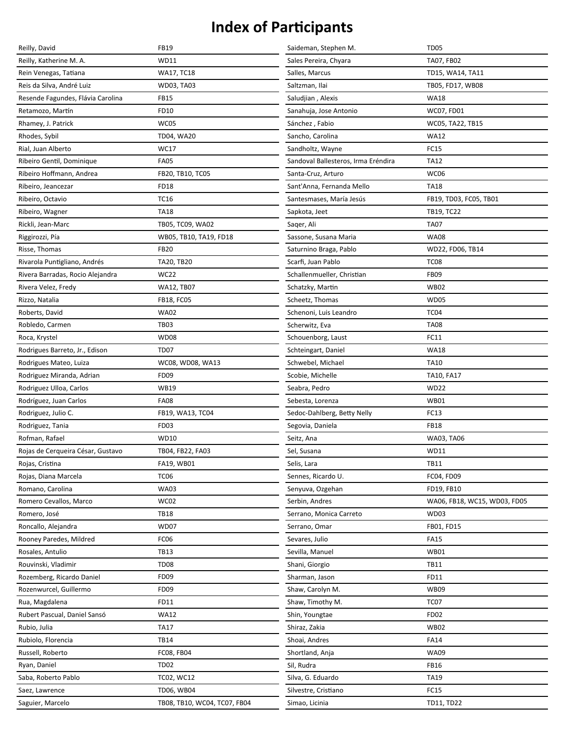| Reilly, David                     | <b>FB19</b>                  | Saideman, Stephen M.                | <b>TD05</b>                  |
|-----------------------------------|------------------------------|-------------------------------------|------------------------------|
| Reilly, Katherine M. A.           | WD11                         | Sales Pereira, Chyara               | TA07, FB02                   |
| Rein Venegas, Tatiana             | WA17, TC18                   | Salles, Marcus                      | TD15, WA14, TA11             |
| Reis da Silva, André Luiz         | WD03, TA03                   | Saltzman, Ilai                      | TB05, FD17, WB08             |
| Resende Fagundes, Flávia Carolina | <b>FB15</b>                  | Saludjian, Alexis                   | <b>WA18</b>                  |
| Retamozo, Martín                  | FD10                         | Sanahuja, Jose Antonio              | WC07, FD01                   |
| Rhamey, J. Patrick                | WC05                         | Sánchez, Fabio                      | WC05, TA22, TB15             |
| Rhodes, Sybil                     | TD04, WA20                   | Sancho, Carolina                    | <b>WA12</b>                  |
| Rial, Juan Alberto                | WC17                         | Sandholtz, Wayne                    | <b>FC15</b>                  |
| Ribeiro Gentil, Dominique         | <b>FA05</b>                  | Sandoval Ballesteros, Irma Eréndira | <b>TA12</b>                  |
| Ribeiro Hoffmann, Andrea          | FB20, TB10, TC05             | Santa-Cruz, Arturo                  | WC06                         |
| Ribeiro, Jeancezar                | <b>FD18</b>                  | Sant'Anna, Fernanda Mello           | <b>TA18</b>                  |
| Ribeiro, Octavio                  | <b>TC16</b>                  | Santesmases, María Jesús            | FB19, TD03, FC05, TB01       |
| Ribeiro, Wagner                   | <b>TA18</b>                  | Sapkota, Jeet                       | TB19, TC22                   |
| Rickli, Jean-Marc                 | TB05, TC09, WA02             | Sager, Ali                          | <b>TA07</b>                  |
| Riggirozzi, Pía                   | WB05, TB10, TA19, FD18       | Sassone, Susana Maria               | <b>WA08</b>                  |
| Risse, Thomas                     | <b>FB20</b>                  | Saturnino Braga, Pablo              | WD22, FD06, TB14             |
| Rivarola Puntigliano, Andrés      | TA20, TB20                   | Scarfi, Juan Pablo                  | TC <sub>08</sub>             |
| Rivera Barradas, Rocio Alejandra  | <b>WC22</b>                  | Schallenmueller, Christian          | <b>FB09</b>                  |
| Rivera Velez, Fredy               | <b>WA12, TB07</b>            | Schatzky, Martin                    | <b>WB02</b>                  |
| Rizzo, Natalia                    | <b>FB18, FC05</b>            | Scheetz, Thomas                     | <b>WD05</b>                  |
| Roberts, David                    | <b>WA02</b>                  | Schenoni, Luis Leandro              | TC <sub>04</sub>             |
| Robledo, Carmen                   | <b>TB03</b>                  | Scherwitz, Eva                      | <b>TA08</b>                  |
| Roca, Krystel                     | <b>WD08</b>                  | Schouenborg, Laust                  | FC11                         |
| Rodrigues Barreto, Jr., Edison    | TD07                         | Schteingart, Daniel                 | <b>WA18</b>                  |
| Rodrigues Mateo, Luiza            | WC08, WD08, WA13             | Schwebel, Michael                   | <b>TA10</b>                  |
| Rodriguez Miranda, Adrian         | <b>FD09</b>                  | Scobie, Michelle                    | TA10, FA17                   |
| Rodriguez Ulloa, Carlos           | <b>WB19</b>                  | Seabra, Pedro                       | <b>WD22</b>                  |
| Rodríguez, Juan Carlos            | <b>FA08</b>                  | Sebesta, Lorenza                    | <b>WB01</b>                  |
| Rodriguez, Julio C.               | FB19, WA13, TC04             | Sedoc-Dahlberg, Betty Nelly         | FC13                         |
| Rodriguez, Tania                  | FD <sub>03</sub>             | Segovia, Daniela                    | <b>FB18</b>                  |
| Rofman, Rafael                    | WD10                         | Seitz, Ana                          | WA03, TA06                   |
| Rojas de Cerqueira César, Gustavo | TB04, FB22, FA03             | Sel, Susana                         | WD11                         |
| Rojas, Cristina                   | FA19, WB01                   | Selis, Lara                         | <b>TB11</b>                  |
| Rojas, Diana Marcela              | <b>TC06</b>                  | Sennes, Ricardo U.                  | FC04, FD09                   |
| Romano, Carolina                  | <b>WA03</b>                  | Senyuva, Ozgehan                    | FD19, FB10                   |
| Romero Cevallos, Marco            | WC02                         | Serbin, Andres                      | WA06, FB18, WC15, WD03, FD05 |
| Romero, José                      | <b>TB18</b>                  | Serrano, Monica Carreto             | <b>WD03</b>                  |
| Roncallo, Alejandra               | <b>WD07</b>                  | Serrano. Omar                       | FB01, FD15                   |
| Rooney Paredes, Mildred           | FC <sub>06</sub>             | Sevares, Julio                      | <b>FA15</b>                  |
| Rosales, Antulio                  | <b>TB13</b>                  | Sevilla, Manuel                     | <b>WB01</b>                  |
| Rouvinski, Vladimir               | <b>TD08</b>                  | Shani, Giorgio                      | <b>TB11</b>                  |
| Rozemberg, Ricardo Daniel         | FD <sub>09</sub>             | Sharman, Jason                      | FD11                         |
| Rozenwurcel, Guillermo            | FD <sub>09</sub>             | Shaw, Carolyn M.                    | <b>WB09</b>                  |
| Rua, Magdalena                    | FD11                         | Shaw, Timothy M.                    | TC <sub>07</sub>             |
| Rubert Pascual, Daniel Sansó      | <b>WA12</b>                  | Shin, Youngtae                      | FD <sub>02</sub>             |
| Rubio, Julia                      | <b>TA17</b>                  | Shiraz, Zakia                       | <b>WB02</b>                  |
| Rubiolo, Florencia                | <b>TB14</b>                  | Shoai, Andres                       | <b>FA14</b>                  |
| Russell, Roberto                  | FC08, FB04                   | Shortland, Anja                     | <b>WA09</b>                  |
| Ryan, Daniel                      | <b>TD02</b>                  | Sil, Rudra                          | <b>FB16</b>                  |
| Saba, Roberto Pablo               | TC02, WC12                   | Silva, G. Eduardo                   | <b>TA19</b>                  |
| Saez, Lawrence                    | TD06, WB04                   | Silvestre, Cristiano                | FC15                         |
| Saguier, Marcelo                  | TB08, TB10, WC04, TC07, FB04 | Simao, Licinia                      | TD11, TD22                   |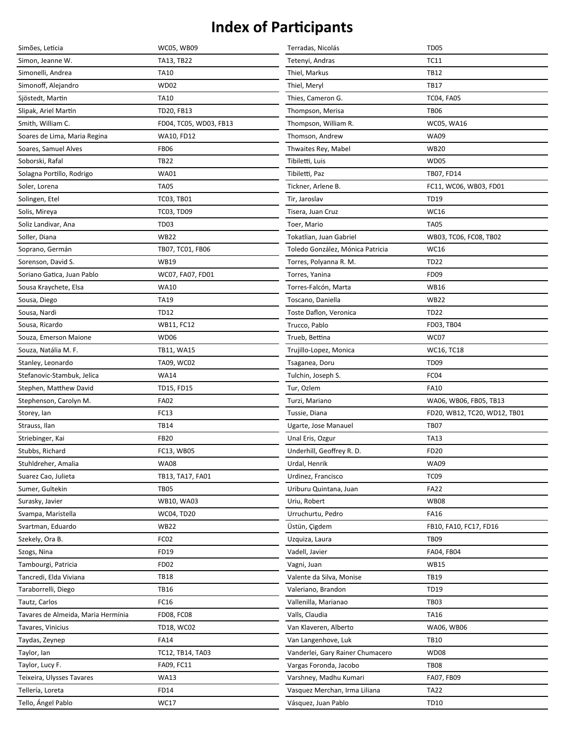| Simões, Leticia                    | <b>WC05, WB09</b>      | Terradas, Nicolás                | <b>TD05</b>                  |
|------------------------------------|------------------------|----------------------------------|------------------------------|
| Simon, Jeanne W.                   | TA13, TB22             | Tetenyi, Andras                  | <b>TC11</b>                  |
| Simonelli, Andrea                  | <b>TA10</b>            | Thiel, Markus                    | <b>TB12</b>                  |
| Simonoff, Alejandro                | <b>WD02</b>            | Thiel, Meryl                     | <b>TB17</b>                  |
| Sjöstedt, Martin                   | <b>TA10</b>            | Thies, Cameron G.                | <b>TC04, FA05</b>            |
| Slipak, Ariel Martín               | TD20, FB13             | Thompson, Merisa                 | <b>TB06</b>                  |
| Smith, William C.                  | FD04, TC05, WD03, FB13 | Thompson, William R.             | WC05, WA16                   |
| Soares de Lima, Maria Regina       | <b>WA10, FD12</b>      | Thomson, Andrew                  | <b>WA09</b>                  |
| Soares, Samuel Alves               | <b>FB06</b>            | Thwaites Rey, Mabel              | <b>WB20</b>                  |
| Soborski, Rafal                    | <b>TB22</b>            | Tibiletti, Luis                  | <b>WD05</b>                  |
| Solagna Portillo, Rodrigo          | <b>WA01</b>            | Tibiletti, Paz                   | TB07, FD14                   |
| Soler, Lorena                      | <b>TA05</b>            | Tickner, Arlene B.               | FC11, WC06, WB03, FD01       |
| Solingen, Etel                     | TC03, TB01             | Tir, Jaroslav                    | <b>TD19</b>                  |
| Solis, Mireya                      | TC03, TD09             | Tisera, Juan Cruz                | WC16                         |
| Soliz Landivar, Ana                | <b>TD03</b>            | Toer, Mario                      | <b>TA05</b>                  |
| Soller, Diana                      | <b>WB22</b>            | Tokatlian, Juan Gabriel          | WB03, TC06, FC08, TB02       |
| Soprano, Germán                    | TB07, TC01, FB06       | Toledo González, Mónica Patricia | WC16                         |
| Sorenson, David S.                 | <b>WB19</b>            | Torres, Polyanna R. M.           | <b>TD22</b>                  |
| Soriano Gatica, Juan Pablo         | WC07, FA07, FD01       | Torres, Yanina                   | FD09                         |
| Sousa Kraychete, Elsa              | <b>WA10</b>            | Torres-Falcón, Marta             | WB16                         |
| Sousa, Diego                       | <b>TA19</b>            | Toscano, Daniella                | <b>WB22</b>                  |
| Sousa, Nardi                       | <b>TD12</b>            | Toste Daflon, Veronica           | <b>TD22</b>                  |
| Sousa, Ricardo                     | <b>WB11, FC12</b>      | Trucco, Pablo                    | FD03, TB04                   |
| Souza, Emerson Maione              | <b>WD06</b>            | Trueb, Bettina                   | WC07                         |
| Souza, Natália M. F.               | TB11, WA15             | Trujillo-Lopez, Monica           | WC16, TC18                   |
| Stanley, Leonardo                  | TA09, WC02             | Tsaganea, Doru                   | <b>TD09</b>                  |
| Stefanovic-Stambuk, Jelica         | <b>WA14</b>            | Tulchin, Joseph S.               | FC04                         |
| Stephen, Matthew David             | TD15, FD15             | Tur, Ozlem                       | <b>FA10</b>                  |
| Stephenson, Carolyn M.             | <b>FA02</b>            | Turzi, Mariano                   | WA06, WB06, FB05, TB13       |
| Storey, lan                        | FC13                   | Tussie, Diana                    | FD20, WB12, TC20, WD12, TB01 |
| Strauss, Ilan                      | <b>TB14</b>            | Ugarte, Jose Manauel             | <b>TB07</b>                  |
| Striebinger, Kai                   | <b>FB20</b>            | Unal Eris, Ozgur                 | <b>TA13</b>                  |
| Stubbs, Richard                    | FC13, WB05             | Underhill, Geoffrey R. D.        | <b>FD20</b>                  |
| Stuhldreher, Amalia                | <b>WA08</b>            | Urdal, Henrik                    | <b>WA09</b>                  |
| Suarez Cao, Julieta                | TB13, TA17, FA01       | Urdinez, Francisco               | <b>TC09</b>                  |
| Sumer, Gultekin                    | <b>TB05</b>            | Uriburu Quintana, Juan           | <b>FA22</b>                  |
| Surasky, Javier                    | WB10, WA03             | Uriu, Robert                     | <b>WB08</b>                  |
| Svampa, Maristella                 | WC04, TD20             | Urruchurtu, Pedro                | <b>FA16</b>                  |
| Svartman, Eduardo                  | <b>WB22</b>            | Üstün, Çigdem                    | FB10, FA10, FC17, FD16       |
| Szekely, Ora B.                    | FC <sub>02</sub>       | Uzquiza, Laura                   | <b>TB09</b>                  |
| Szogs, Nina                        | FD19                   | Vadell, Javier                   | FA04, FB04                   |
| Tambourgi, Patricia                | <b>FD02</b>            | Vagni, Juan                      | <b>WB15</b>                  |
| Tancredi, Elda Viviana             | <b>TB18</b>            | Valente da Silva, Monise         | TB19                         |
| Taraborrelli, Diego                | <b>TB16</b>            | Valeriano, Brandon               | <b>TD19</b>                  |
| Tautz, Carlos                      | FC16                   | Vallenilla, Marianao             | <b>TB03</b>                  |
| Tavares de Almeida, Maria Hermínia | <b>FD08, FC08</b>      | Valls, Claudia                   | <b>TA16</b>                  |
| Tavares, Vinicius                  | TD18, WC02             | Van Klaveren, Alberto            | WA06, WB06                   |
| Taydas, Zeynep                     | <b>FA14</b>            | Van Langenhove, Luk              | TB10                         |
| Taylor, Ian                        | TC12, TB14, TA03       | Vanderlei, Gary Rainer Chumacero | WD08                         |
| Taylor, Lucy F.                    | FA09, FC11             | Vargas Foronda, Jacobo           | <b>TB08</b>                  |
| Teixeira, Ulysses Tavares          | <b>WA13</b>            | Varshney, Madhu Kumari           | FA07, FB09                   |
| Tellería, Loreta                   | FD14                   | Vasquez Merchan, Irma Liliana    | <b>TA22</b>                  |
| Tello, Ángel Pablo                 | <b>WC17</b>            | Vásquez, Juan Pablo              | <b>TD10</b>                  |